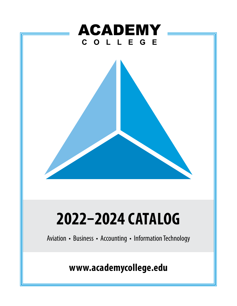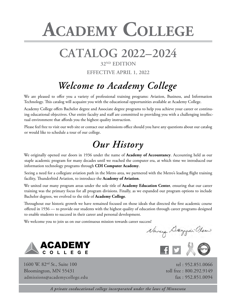# **Academy College**

# **CATALOG 2022–2024**

# **32ND EDITION EFFECTIVE APRIL 1, 2022**

# *Welcome to Academy College*

We are pleased to offer you a variety of professional training programs: Aviation, Business, and Information Technology. This catalog will acquaint you with the educational opportunities available at Academy College.

Academy College offers Bachelor degree and Associate degree programs to help you achieve your career or continuing educational objectives. Our entire faculty and staff are committed to providing you with a challenging intellectual environment that affords you the highest quality instruction.

Please feel free to visit our web site or contact our admissions office should you have any questions about our catalog or would like to schedule a tour of our college.

# *Our History*

We originally opened our doors in 1936 under the name of **Academy of Accountancy**. Accounting held as our staple academic program for many decades until we reached the computer era, at which time we introduced our information technology programs through **CDI Computer Academy**.

Seeing a need for a collegiate aviation path in the Metro area, we partnered with the Metro's leading flight training facility, Thunderbird Aviation, to introduce the **Academy of Aviation**.

We united our many program areas under the sole title of **Academy Education Center**, ensuring that our career training was the primary focus for all program divisions. Finally, as we expanded our program options to include Bachelor degrees, we evolved to the title of **Academy College**.

Throughout our historic growth we have remained focused on those ideals that directed the first academic course offered in 1936 — to provide our students with the highest quality of education through career programs designed to enable students to succeed in their career and personal development.

We welcome you to join us on our continuous mission towards career success!

Nancy Dayyon Olsen



1600 W. 82nd St., Suite 100 Bloomington, MN 55431 admissions@academycollege.edu

tel : 952.851.0066 toll free : 800.292.9149 fax : 952.851.0094

*A private coeducational college incorporated under the laws of Minnesota*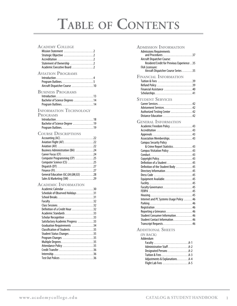# **Table of Contents**

# <span id="page-2-0"></span>**Academy College**

| Aircraft Dispatcher Course 10                                                                                                                                                                                                                                                                                                      |
|------------------------------------------------------------------------------------------------------------------------------------------------------------------------------------------------------------------------------------------------------------------------------------------------------------------------------------|
| Introduction 13<br>Bachelor of Science Degrees 14                                                                                                                                                                                                                                                                                  |
| Bachelor of Science Degree 19                                                                                                                                                                                                                                                                                                      |
| Accounting (AC)22<br>Aviation Flight (AF) 22<br>Aviation (AV) 22<br>Business Administration (BA) 24<br>Career Focus (CF) 24<br>Computer Programming (CP) 25<br>Computer Science (CS) 25<br>Dispatch (DT) 27<br>General Education (GC, GH, GM, GS) 28<br>Sales & Marketing (SM) 29                                                  |
| Academic Calendar 30<br>Schedule of Observed Holidays 31<br>School Breaks31<br>Class Sessions32<br>Definition of a Credit Hour 32<br>Academic Standards 33<br>Scholar Recognition 33<br>Satisfactory Academic Progress 33<br>Graduation Requirements 34<br>Student Status Changes 35<br>Program Changes 35<br>Attendance Policy 35 |
|                                                                                                                                                                                                                                                                                                                                    |

| <b>ADMISSION INFORMATION</b>                                        |
|---------------------------------------------------------------------|
| <b>Admissions Requirements</b>                                      |
| Aircraft Dispatcher Course:                                         |
| Resident/Credit for Previous Experience 35<br><b>FAA Licensure:</b> |
| Aircraft Dispatcher Course Series 35                                |
| <b>FINANCIAL INFORMATION</b>                                        |
| Tuition & Fees 39                                                   |
| Financial Assistance 40                                             |
|                                                                     |
| <b>STUDENT SERVICES</b>                                             |
| Career Services42                                                   |
| Advisement Services 42                                              |
| Authorized Testing Center 42                                        |
| Distance Education 42                                               |
| <b>GENERAL INFORMATION</b>                                          |
| Academic Freedom Policy. 43                                         |
| Accreditation 43                                                    |
|                                                                     |
| Association Memberships43                                           |
| <b>Campus Security Policy</b><br>& Crime Report Statistics43        |
| Campus Visitation Policy 43                                         |
|                                                                     |
| Copyright Policy43                                                  |
| Definition of a Student 45                                          |
| Definition of the Student Body 45                                   |
|                                                                     |
| Dress Code 45                                                       |
| Equipment Available45                                               |
| Faculty Governance45                                                |
|                                                                     |
|                                                                     |
| Internet and PC Systems Usage Policy 46                             |
|                                                                     |
| Registration 46                                                     |
|                                                                     |
| Student Consumer Information46                                      |
| Student Contact Information46                                       |
| Transcript Requests46                                               |
| <b>ADDITIONAL SHEETS</b>                                            |
| (IN BACK)<br>Addendum                                               |
|                                                                     |

| Administrative Staff A-2<br>Designated Persons A-2<br>Adjustments & ExplanationsA-4<br>Flight Lab Fees A-5 |
|------------------------------------------------------------------------------------------------------------|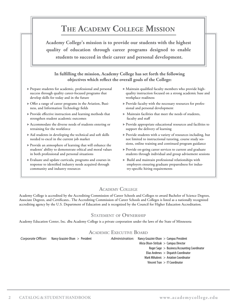# **The Academy College Mission**

<span id="page-3-0"></span>**Academy College's mission is to provide our students with the highest quality of education through career programs designed to enable students to succeed in their career and personal development.**

# **In fulfilling the mission, Academy College has set forth the following objectives which reflect the overall goals of the College:**

- Prepare students for academic, professional and personal success through quality career-focused programs that develop skills for today and in the future
- Offer a range of career programs in the Aviation, Business, and Information Technology fields
- Provide effective instruction and learning methods that strengthen student academic outcomes
- Accommodate the diverse needs of students entering or retraining for the workforce
- Aid students in developing the technical and soft skills needed to excel in the current job market
- Provide an atmosphere of learning that will enhance the students' ability to demonstrate ethical and moral values in both professional and personal situations
- Evaluate and update curricula, programs and courses in response to identified industry needs acquired through community and industry resources
- Maintain qualified faculty members who provide highquality instruction focused on a strong academic base and workplace readiness
- Provide faculty with the necessary resources for professional and personal development
- Maintain facilities that meet the needs of students, faculty and staff
- Provide appropriate educational resources and facilities to support the delivery of learning
- Provide students with a variety of resources including, but not limited to instructional tutoring, course study sessions, online training and continued program guidance
- Provide on-going career services to current and graduate students through individual and group advisement sessions
- $\blacktriangleright$  Build and maintain professional relationships with employers ensuring graduate preparedness for industry-specific hiring requirements

# **Academy College**

Academy College is accredited by the Accrediting Commission of Career Schools and Colleges to award Bachelor of Science Degrees, Associate Degrees, and Certificates.. The Accrediting Commission of Career Schools and Colleges is listed as a nationally recognized accrediting agency by the U.S. Department of Education and is recognized by the Council for Higher Education Accreditation.

# **Statement of Ownership**

Academy Education Center, Inc. dba Academy College is a private corporation under the laws of the State of Minnesota

# **Academic Executive Board**

*Corporate Officer:* Nancy Grazzini-Olson > President *Administration:* Nancy Grazzini-Olson > Campus President

Alicia Olson-Strilzuk > Campus Director

Roger Sage > Business/Accounting Coordinator

Elias Andrews > Dispatch Coordinator

- Mark Mihalovic > Aviation Coordinator
- Vincent Tran > IT Coordinator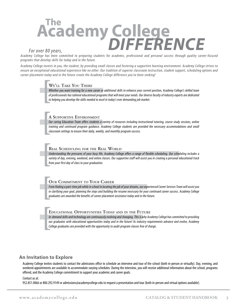# *For over 80 years,*  **The Academy College** *DIFFERENCE*

*Academy College has been committed to preparing students for academic, professional and personal success through quality career-focused programs that develop skills for today and in the future.*

*Academy College invests in you, the student, by providing small classes and fostering a supportive learning environment. Academy College strives to ensure an exceptional educational experience like no other. Our tradition of superior classroom instruction, student support, scheduling options and career placement today and in the future create the Academy College difference you've been seeking!*

### **We'll Take You There**

**W**<br> *W*<br> *ot*<br> *to Whether you want training for a new career or additional skills to enhance your current position, Academy College's skilled team of professionals has tailored educational programs that will meet your needs. Our diverse faculty of industry experts are dedicated to helping you develop the skills needed to excel in today's ever demanding job market.* 

### **A Supportive Environment**

**A**<br> *O*<br> *tr*<br> *cl Our caring Education Team offers students a variety of resources including instructional tutoring, course study sessions, online training and continued program guidance. Academy College students are provided the necessary accommodations and small classroom settings to ensure their daily, weekly, and monthly program success.*

#### **Real Scheduling for the Real World**

**R**<br>*Ull va*<br>*fre Understanding the pressures of your busy life, Academy College offers a range of flexible scheduling. Our scheduling includes a variety of day, evening, weekend, and online classes. Our supportive staff will assist you in creating a personal educational track from your first day of class to your graduation.*

### **Our Commitment to Your Career**

**[c**<br>*Fr*<br>*in*<br>*gr From finding a part-time job while in school to locating the job of your dreams, our experienced Career Services Team will assist you in clarifying your goal, planning the steps and building the resume necessary for your continued career success. Academy College graduates are awarded the benefits of career placement assistance today and in the future.* 

#### **Educational Opportunities Today and in the Future**

**F**<br>
In<br> *ou*<br> *Ca In-demand skills and technology are continuously evolving and changing. This is why Academy College has committed to providing our graduates with educational opportunities today and in the future! As industry requirements advance and evolve, Academy College graduates are provided with the opportunity to audit program classes free of charge.*

# **An Invitation to Explore**

Academy College invites students to contact the admissions office to schedule an interview and tour of the school (both in-person or virtually). Day, evening, and weekend appointments are available to accommodate varying schedules. During the interview, you will receive additional information about the school, programs offered, and the Academy College commitment to support your academic and career goals.

Contact us at:

952.851.0066 or 800.292.9149 or admissions@academycollege.edu to request a presentation and tour (both in-person and virtual options available).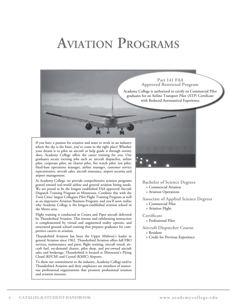# <span id="page-5-0"></span>**Aviation Programs**

If you have a passion for aviation and want to work in an industry where the sky is the limit, you've come to the right place! Whether your dream is to pilot an aircraft or help guide it through stormy skies, Academy College offers the career training for you. Our graduates secure exciting jobs such as: aircraft dispatcher, airline pilot, corporate pilot, air charter pilot, fire watch pilot, test pilot, fixed-base operations manager, airline manager, customer service representative, aircraft sales, aircraft insurance, airport security and airport management.

At Academy College, we provide comprehensive aviation programs geared toward real-world airline and general aviation hiring needs. We are proud to be the longest established FAA approved Aircraft Dispatch Training Program in Minnesota. Combine this with the Twin Cities' largest Collegiate Pilot Flight Training Program as well as an impressive Aviation Business Program, and you'll soon realize why Academy College is the longest-established aviation school in the Metro area.

Flight training is conducted in Cessna and Piper aircraft delivered by Thunderbird Aviation. This intense and exhilarating instruction is complemented by virtual and augmented reality options, and structured ground school training that prepares graduates for competitive careers in aviation.

Thunderbird Aviation has been the Upper Midwest's leader in general Aviation since 1962. Thunderbird Aviation offers full FBO services, maintenance and parts, flight training, aircraft rental, aircraft fuel, on-demand charter, pilot shop, and pre-owned aircraft sales and brokerage. Thunderbird is located at Minnesota's Flying Cloud (KFCM) and Crystal (KMIC) Airports.

To show our commitment to the industry, Academy College and/or Thunderbird Aviation and their employees are members of numerous professional organizations that promote professional aviation and aviation interests.

![](_page_5_Picture_6.jpeg)

**Part 141 FAA Approved Restricted Program** Academy College is authorized to certify its Commercial Pilot graduates for an Airline Transport Pilot (ATP) Certificate with Reduced Aeronautical Experience.

> **Bachelor of Science Degrees** > Commercial Aviation > Aviation Operations

**Associate of Applied Science Degrees** > Commercial Pilot

> Aviation Flight

**Certificate**

> Professional Pilot

**Aircraft Dispatcher Course**

- > Resident
- > Credit for Previous Experience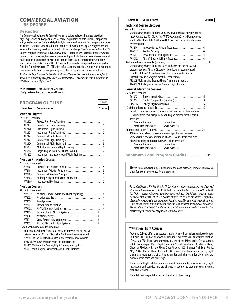# <span id="page-6-0"></span>**COMMERCIAL AVIATION**

#### **BS DEGREE**

#### **Description**

The Commercial Aviation BS Degree Program provides aviation, business, practical flight experience, and opportunities for career exploration to help students prepare for entry-level careers as Commercial pilots flying in general aviation, for a corporation, or for an airline. Students who enroll in the Commercial Aviation BS Degree Program are not expected to have any previous technical skills or knowledge. The Commercial Aviation BS Degree Program teaches aerodynamics, airspace, aviation law, aircraft operations, safety, human factors, weather, business management, plus flight training in single-engine and multi-engine aircraft from private pilot though flight instructor certificates. Students learn the technical skills and soft skills needed to succeed in entry-level positions such as Certified Flight Instructor (CFI, CFII), first officer, and charter pilot. Along with a minimum number of flight hours, a four year degree is often a requirement for major airlines. *Academy College Commercial Aviation Bachelor of Science Degree graduates are eligible to apply for a restricted privileges Airline Transport Pilot (ATP) Certificate with a minimum of 1000 hours of total flight time.\**

#### **Minimums:** 180 Quarter Credits

16 Quarters to complete (48 mo.)

# **PROGRAM OUTLINE**

| Number Course Name   | <b>Credits</b> |
|----------------------|----------------|
| 'NUUNAMI UU I LIINE' |                |

#### **Aviation Flight\*\***

| 17 credits is required |                                                 |
|------------------------|-------------------------------------------------|
| AF2102                 |                                                 |
| AF2103                 |                                                 |
| AF2120                 |                                                 |
| AF <sub>2121</sub>     |                                                 |
| AF2122                 |                                                 |
| AF2123                 |                                                 |
| AF2124                 |                                                 |
| AF3203                 |                                                 |
| AF3212                 |                                                 |
| AF3207                 | Instrument Instructor Ground/Flight Training  1 |
|                        |                                                 |

#### **Aviation Principles Courses**

-<br>20 credits is required

| שטווווט וטונעונים. |  |
|--------------------|--|
| AV2101             |  |
| AV2104             |  |
| AV2105             |  |
| AV3305             |  |
| AV3306             |  |
|                    |  |

#### **Aviation Courses**

| 52 credits is required<br>Students may choose from 3000 level and above in the AF, AV, DT | Aviation Human Factors and Flight Physiology  4<br>Introduction to Aircraft Systems4<br>Crew Resource Management 4<br>Aircraft Electronic Flight Systems4 |
|-------------------------------------------------------------------------------------------|-----------------------------------------------------------------------------------------------------------------------------------------------------------|

category courses. Aircraft Dispatcher Certificate is recommended. 6 credits of the 4000 level courses in the recommended Aircraft Dispatcher Course program meet this requirement. AF3203 Multi-engine Ground/Flight Training is an option. AF4001 Multi-Engine Instructor Ground/Flight Training

**Number Course Name Credits**

| <b>Technical Course Electives</b>                     |                                                                        |
|-------------------------------------------------------|------------------------------------------------------------------------|
| 46 credits is required                                |                                                                        |
|                                                       | Students may choose from the 2000 or above technical category courses  |
|                                                       | in AF, AV, AC, BA, CS, DT, FI, SM. AV3120 Aviation Safety Management   |
|                                                       | and DT2001 through DT2008 Aircraft Dispatcher Courses/Certificate are  |
| recommended.                                          |                                                                        |
| AV3214                                                | Introduction to Aircraft Systems4                                      |
| AV4007                                                |                                                                        |
| AV4011                                                |                                                                        |
| AV4012                                                | Aircraft Electronic Flight Systems4                                    |
|                                                       |                                                                        |
|                                                       | Students may choose from 3000 level and above in the AF, AV, DT        |
|                                                       | category courses. Aircraft Dispatcher Certificate is recommended.      |
|                                                       | 6 credits of the 4000 level courses in the recommended Aircraft        |
| Dispatcher Course program meet this requirement.      |                                                                        |
|                                                       | AF3203 Multi-engine Ground/Flight Training is an option.               |
| AF4001 Multi-Engine Instructor Ground/Flight Training |                                                                        |
| <b>General Education Courses</b>                      |                                                                        |
| 45 credits is required                                |                                                                        |
| GC2002                                                |                                                                        |
| GC2004                                                | English Composition (required) 5                                       |
| GM2112                                                |                                                                        |
|                                                       |                                                                        |
|                                                       | Including required courses, students must choose a minimum of one      |
|                                                       | (1) course from each discipline depending on prerequisites. Discipline |
| areas are:                                            |                                                                        |
| Communications                                        | <b>Humanities</b>                                                      |
| Math/Natural Science                                  | <b>Social Sciences</b>                                                 |

24 additional credits (required) . . . . . . . . . . . . . . . . . . . . . . . . . . . . . . . . . . . . . . 24 3000 and above level courses are encouraged but not required. Students must choose a minimum of one (1) course from each discipline depending on prerequisites. Discipline areas are:<br>Communications<br>Humanities Communications Math/Natural Science Social Sciences **Minimum Total Program Credits** . . . . . . . . . . . . . . . . . 180

**Note:** Some electives may fall into more than one category; students can receive credit for a course only once for the program.

*\*To be eligible for a FAA Restricted ATP Certificate, student must ensure compliance of all applicable requirements of FAR 61.160. This includes, but is not limited to, all FAA 141 flight school requirements and course prerequisites. In addition, students should be aware that transfer of AF & AV coded courses will only be considered if originally obtained from an institution of higher education with FAA authority to certify its graduates for an Airline Transport Pilot Certificate with reduced aeronautical experience. Please refer to the Credit Transfer section of this catalog for specifics regarding the transferring of Private Pilot Flight and Ground courses.*

#### **\*\*Aviation Flight Courses**

Academy College offers a structured, results-oriented curriculum conducted under FAR Part 141. This FAA approved curriculum is delivered via Thunderbird Aviation - Crystal an FBO, Fixed Base Operator, located at the Minneapolis/Crystal Airport, 5800 Crystal Airport Road, Crystal MN, 55429 and Thunderbird Aviation - Flying Cloud, an FBO located at the Flying Cloud Airport, 14091 Pioneer Trail, Eden Prairie, MN, 55347. The facilities offers full FBO services, maintenance and parts, flight training, aircraft rental, aircraft fuel, on-demand charter, pilot shop, and preowned aircraft sales and brokerage.

The Aviation Flight Lab fees are determined on an hourly basis for aircraft, flight instruction, and supplies, and are charged in addition to academic course tuition, fees, and textbooks.

Flight lab fees are published as an addendum to the catalog.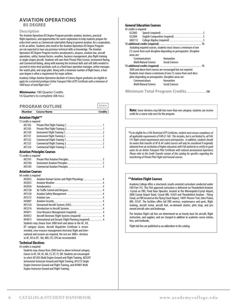# **AVIATION OPERATIONS**

**BS DEGREE**

#### **Description**

The Aviation Operations BS Degree Program provides aviation, business, practical flight experience, and opportunities for career exploration to help students prepare for entry-level careers as Commercial-rated pilots flying in general aviation, for a corporation, or for an airline. Students who enroll in the Aviation Operations BS Degree Program are not expected to have any previous technical skills or knowledge. The Aviation Operations BS Degree Program teaches aerodynamics, airspace, aviation law, aircraft operations, safety, human factors, weather, business management, plus flight training in single-engine aircraft. Students will earn their Private Pilot License, Instrument Rating, and Commercial Rating, along with learning the technical skills and soft skills needed to succeed in entry-level positions such as a fixed-base operation manager, airline manager, fire-watch pilot, and cargo pilot. Along with a minimum number of flight hours, a fouryear degree is often a requirement for major airlines.

*Academy College Aviation Operations Bachelor of Science Degree graduates are eligible to apply for a restricted privileges Airline Transport Pilot (ATP) Certificate with a minimum of 1000 hours of total flight time.\**

#### **Minimums:** 180 Quarter Credits

16 Quarters to complete (48 mo.)

#### **PROGRAM OUTLINE**

**Number Course Name** 

#### **Aviation Flight\*\***

| 13 credits is required |                                        |  |
|------------------------|----------------------------------------|--|
| AF2102                 |                                        |  |
| AF2103                 |                                        |  |
| AF2120                 |                                        |  |
| AF2121                 |                                        |  |
| AF2122                 |                                        |  |
| AF2123                 |                                        |  |
| AF2124                 |                                        |  |
|                        | Aviation Principles Courses            |  |
| 15 credits is required |                                        |  |
|                        | $M/2101$ Defines $D1 + L$ and $D2 + L$ |  |

| AV2101 |  |
|--------|--|
| AV2104 |  |
| AV2105 |  |

#### **Aviation Courses**

| 64 credits is required |                                                                 |  |
|------------------------|-----------------------------------------------------------------|--|
| AV2032                 | Aviation Human Factors and Flight Physiology  4                 |  |
| AV2033                 |                                                                 |  |
| AV2034                 |                                                                 |  |
| AV2128                 |                                                                 |  |
| AV3120                 |                                                                 |  |
| AV3215                 |                                                                 |  |
| AV4007                 |                                                                 |  |
| AV3124                 | Unmanned Aircraft Systems (UAS) 4                               |  |
| AV3214                 |                                                                 |  |
| AV4011                 | Crew Resource Management (required)  4                          |  |
| AV4012                 | Aircraft Electronic Flight Systems (required)  4                |  |
| AV4013                 | International and Oceanic Flight Planning (required) 4          |  |
|                        | Students may choose from 3000 level and above in the AF, AV,    |  |
|                        | DT category classes. Aircraft Dispatcher Certificate is recom-  |  |
|                        | mended, crew resource management electronic flight and inter-   |  |
|                        | national and oceanic are required, the rest are 3000+ electives |  |
|                        | in AF, AV or DT. Me, MEI, CFI, CFII are reccomended.            |  |
|                        |                                                                 |  |

#### **Technical Electives** 43 credits is required

Students may choose from 2000 level or above technical category classes in AF, AV, AC, BA, CS, DT, FI, SM. Students are encouraged to select AF3203 Multi Engine Ground and Flight Training, AD3207 Instrument Instructor Ground and Flight Training, AF3212 Single Engine Instructor Ground and Flight Training, and AF4001 Multi Engine Instructor Ground and Flight Training:

#### **General Education Courses**

| 45 credits is required |  |  |  |
|------------------------|--|--|--|
|                        |  |  |  |

| ו נו נונטא של היה <del>ני ד</del> |                                      |                                                                        |  |
|-----------------------------------|--------------------------------------|------------------------------------------------------------------------|--|
| GC2002                            |                                      |                                                                        |  |
| GC2004                            |                                      | English Composition (required) 5                                       |  |
| GM2112                            |                                      |                                                                        |  |
|                                   |                                      |                                                                        |  |
|                                   |                                      | Including required courses, students must choose a minimum of one      |  |
|                                   |                                      | (1) course from each discipline depending on prerequisites. Discipline |  |
| areas are:                        |                                      |                                                                        |  |
|                                   | Communications                       | <b>Humanities</b>                                                      |  |
|                                   | Math/Natural Science Social Sciences |                                                                        |  |
|                                   |                                      |                                                                        |  |
|                                   |                                      | 3000 and above level courses are encouraged but not required.          |  |
|                                   |                                      | Students must choose a minimum of one (1) course from each disci-      |  |
|                                   |                                      | pline depending on prerequisites. Discipline areas are:                |  |
|                                   | Communications                       | <b>Humanities</b>                                                      |  |
|                                   | Math/Natural Science Social Sciences |                                                                        |  |
|                                   |                                      |                                                                        |  |

**Minimum Total Program Credits** . . . . . . . . . . . . . . . . . 180

**Note:** Some electives may fall into more than one category; students can receive credit for a course only once for the program.

*\*To be eligible for a FAA Restricted ATP Certificate, student must ensure compliance of all applicable requirements of FAR 61.160. This includes, but is not limited to, all FAA 141 flight school requirements and course prerequisites. In addition, students should be aware that transfer of AF & AV coded courses will only be considered if originally obtained from an institution of higher education with FAA authority to certify its graduates for an Airline Transport Pilot Certificate with reduced aeronautical experience. Please refer to the Credit Transfer section of this catalog for specifics regarding the transferring of Private Pilot Flight and Ground courses.*

#### **\*\*Aviation Flight Courses**

Academy College offers a structured, results-oriented curriculum conducted under FAR Part 141. This FAA approved curriculum is delivered via Thunderbird Aviation - Crystal an FBO, Fixed Base Operator, located at the Minneapolis/Crystal Airport, 5800 Crystal Airport Road, Crystal MN, 55429 and Thunderbird Aviation - Flying Cloud, an FBO located at the Flying Cloud Airport, 14091 Pioneer Trail, Eden Prairie, MN, 55347. The facilities offers full FBO services, maintenance and parts, flight training, aircraft rental, aircraft fuel, on-demand charter, pilot shop, and preowned aircraft sales and brokerage.

The Aviation Flight Lab fees are determined on an hourly basis for aircraft, flight instruction, and supplies, and are charged in addition to academic course tuition, fees, and textbooks.

Flight lab fees are published as an addendum to the catalog.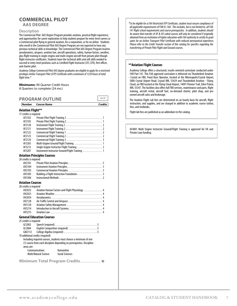# **COMMERCIAL PILOT**

**AAS DEGREE**

#### **Description**

The Commercial Pilot AAS Degree Program provides aviation, practical flight experience, and opportunities for career exploration to help students prepare for entry-level careers as a Commercial pilot flying in general aviation, for a corporation, or for an airline Students who enroll in the Commercial Pilot AAS Degree Program are not expected to have any previous technical skills or knowledge. The Commercial Pilot AAS Degree Program teaches aerodynamics, airspace, aviation law, aircraft operations, safety, human factors, weather, plus flight training in single-engine and multi-engine aircraft from private pilot though flight instructor certificates. Students learn the technical skills and soft skills needed to succeed in entry-level positions such as Certified Flight Instructor (CFI, CFII), first officer, and charter pilot.

*Academy College Commercial Pilot AAS degree graduates are eligible to apply for a restricted privileges Airline Transport Pilot (ATP) Certificate with a minimum of 1250 hours of total flight time.\**

**Minimums:** 90 Quarter Credit Hours 8 Quarters to complete (24 mo.)

#### **PROGRAM OUTLINE**

**Number Course Name Credits**

#### **Aviation Flight\*\***

| 17 credits is required           |                                                                        |
|----------------------------------|------------------------------------------------------------------------|
| AF2102                           |                                                                        |
| AF2103                           |                                                                        |
| AF2120                           |                                                                        |
| AF2121                           |                                                                        |
| AF2122                           |                                                                        |
| AF2123                           |                                                                        |
| AF2124                           |                                                                        |
| AF3203                           |                                                                        |
| AF3212                           |                                                                        |
| AF3207                           | Instrument Instructor Ground/Flight Training  1                        |
|                                  | <b>Aviation Principles Courses</b>                                     |
| 20 credits is required           |                                                                        |
| AV2101                           |                                                                        |
| AV2104                           |                                                                        |
| AV2105                           |                                                                        |
| AV3305                           |                                                                        |
| AV3306                           |                                                                        |
| <b>Aviation Courses</b>          |                                                                        |
| 28 credits is required           |                                                                        |
| AV2032                           | Aviation Human Factors and Flight Physiology  4                        |
| AV2033                           |                                                                        |
| AV2034                           |                                                                        |
| AV2128                           |                                                                        |
| AV3120                           |                                                                        |
| AV3214                           |                                                                        |
| AV3215                           |                                                                        |
|                                  | <b>General Education Courses</b>                                       |
| 25 credits is required           |                                                                        |
| GC2002                           |                                                                        |
| GC2004                           | English Composition (required) 5                                       |
| GM2112                           |                                                                        |
| 10 additional credits (required) |                                                                        |
|                                  | Including required courses, students must choose a minimum of one      |
|                                  | (1) course from each discipline depending on prerequisites. Discipline |
| areas are:                       |                                                                        |
|                                  | Communications<br><b>Humanities</b>                                    |
|                                  | Math/Natural Science<br><b>Social Sciences</b>                         |
|                                  |                                                                        |

**Minimum Total Program Credits** . . . . . . . . . . . . . . . . . . 90

*\*To be eligible for a FAA Restricted ATP Certificate, student must ensure compliance of all applicable requirements of FAR 61.160. This includes, but is not limited to, all FAA 141 flight school requirements and course prerequisites. In addition, students should be aware that transfer of AF & AV coded courses will only be considered if originally obtained from an institution of higher education with FAA authority to certify its graduates for an Airline Transport Pilot Certificate with reduced aeronautical experience. Please refer to the Credit Transfer section of this catalog for specifics regarding the transferring of Private Pilot Flight and Ground courses.*

#### **\*\*Aviation Flight Courses**

Academy College offers a structured, results-oriented curriculum conducted under FAR Part 141. This FAA approved curriculum is delivered via Thunderbird Aviation - Crystal an FBO, Fixed Base Operator, located at the Minneapolis/Crystal Airport, 5800 Crystal Airport Road, Crystal MN, 55429 and Thunderbird Aviation - Flying Cloud, an FBO located at the Flying Cloud Airport, 14091 Pioneer Trail, Eden Prairie, MN, 55347. The facilities also offers full FBO services, maintenance and parts, flight training, aircraft rental, aircraft fuel, on-demand charter, pilot shop, and preowned aircraft sales and brokerage.

The Aviation Flight Lab fees are determined on an hourly basis for aircraft, flight instruction, and supplies, and are charged in addition to academic course tuition, fees, and textbooks.

Flight lab fees are published as an addendum to the catalog.

AF4001 Multi Engine Instructor Ground/Flight Training is approved for VA and Private Loan funding.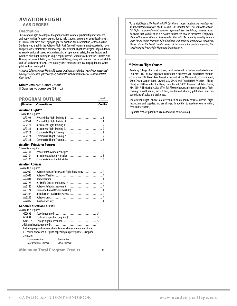#### **AVIATION FLIGHT AAS DEGREE**

#### **Description**

The Aviation Flight AAS Degree Program provides aviation, practical flight experience, and opportunities for career exploration to help students prepare for entry-level careers as Commercial-rated pilots flying in general aviation, for a corporation, or for an airline. Students who enroll in the Aviation Flight AAS Degree Program are not expected to have any previous technical skills or knowledge. The Aviation Flight AAS Degree Program teaches aerodynamics, airspace, aviation law, aircraft operations, safety, human factors, and weather, plus flight training in single-engine aircraft. Students will earn their Private Pilot License, Instrument Rating, and Commercial Rating, along with learning the technical skills and soft skills needed to succeed in entry-level positions such as a cargo pilot, fire watch pilot, and air charter pilot.

*Academy College Aviation Flight AAS degree graduates are eligible to apply for a restricted privileges Airline Transport Pilot (ATP) Certificate with a minimum of 1250 hours of total flight time.\**

#### **Minimums:** 90 Quarter Credits

8 Quarters to complete (24 mo.)

| <b>PROGRAM OUTLINE</b> | <b>AAF</b> |
|------------------------|------------|
|                        |            |

**Number Course Name Credits**

#### **Aviation Flight\*\***

| 13 credits is required  |                                                 |   |
|-------------------------|-------------------------------------------------|---|
| AF2102                  |                                                 |   |
| AF2103                  |                                                 |   |
| AF2120                  |                                                 |   |
| AF2121                  |                                                 |   |
| AF <sub>2122</sub>      |                                                 |   |
| AF2123                  |                                                 |   |
| AF <sub>2124</sub>      |                                                 |   |
|                         | <b>Aviation Principles Courses</b>              |   |
| 15 credits is required  |                                                 |   |
| AV2101                  |                                                 |   |
| AV2104                  |                                                 |   |
| AV2105                  |                                                 |   |
| <b>Aviation Courses</b> |                                                 |   |
| 36 credits is required  |                                                 |   |
| AV2032                  | Aviation Human Factors and Flight Physiology  4 |   |
| AV2033                  |                                                 |   |
| AV2034                  |                                                 |   |
| AV2128                  |                                                 |   |
| AV3120                  |                                                 |   |
| AV3124                  | Unmanned Aircraft Systems (UAS) 4               |   |
| AV3214                  |                                                 |   |
| AV3215                  |                                                 |   |
| AV4007                  |                                                 |   |
|                         | <b>General Education Courses</b>                |   |
| 26 credits is required  |                                                 |   |
|                         | (1)                                             | г |

| G(2002)                                                           |                      |                                                                        |  |  |
|-------------------------------------------------------------------|----------------------|------------------------------------------------------------------------|--|--|
| GC2004                                                            |                      | English Composition (required) 5                                       |  |  |
| GM <sub>2112</sub>                                                |                      |                                                                        |  |  |
|                                                                   |                      |                                                                        |  |  |
| Including required courses, students must choose a minimum of one |                      |                                                                        |  |  |
|                                                                   |                      | (1) course from each discipline depending on prerequisites. Discipline |  |  |
| areas are:                                                        |                      |                                                                        |  |  |
|                                                                   | Communications       | <b>Humanities</b>                                                      |  |  |
|                                                                   | Math/Natural Science | <b>Social Sciences</b>                                                 |  |  |

**Minimum Total Program Credits** . . . . . . . . . . . . . . . . . . 90

*\*To be eligible for a FAA Restricted ATP Certificate, student must ensure compliance of all applicable requirements of FAR 61.160. This includes, but is not limited to, all FAA 141 flight school requirements and course prerequisites. In addition, students should be aware that transfer of AF & AV coded courses will only be considered if originally obtained from an institution of higher education with FAA authority to certify its graduates for an Airline Transport Pilot Certificate with reduced aeronautical experience. Please refer to the Credit Transfer section of this catalog for specifics regarding the transferring of Private Pilot Flight and Ground courses.*

#### **\*\*Aviation Flight Courses**

Academy College offers a structured, results-oriented curriculum conducted under FAR Part 141. This FAA approved curriculum is delivered via Thunderbird Aviation - Crystal an FBO, Fixed Base Operator, located at the Minneapolis/Crystal Airport, 5800 Crystal Airport Road, Crystal MN, 55429 and Thunderbird Aviation - Flying Cloud, an FBO located at the Flying Cloud Airport, 14091 Pioneer Trail, Eden Prairie, MN, 55347. The facilities also offers full FBO services, maintenance and parts, flight training, aircraft rental, aircraft fuel, on-demand charter, pilot shop, and preowned aircraft sales and brokerage.

The Aviation Flight Lab fees are determined on an hourly basis for aircraft, flight instruction, and supplies, and are charged in addition to academic course tuition, fees, and textbooks.

Flight lab fees are published as an addendum to the catalog.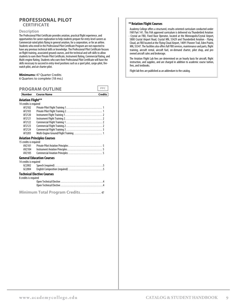# **PROFESSIONAL PILOT**

#### **CERTIFICATE**

#### **Description**

The Professional Pilot Certificate provides aviation, practical flight experience, and opportunities for career exploration to help students prepare for entry-level careers as Commercial-rated pilots flying in general aviation, for a corporation, or for an airline. Students who enroll in the Professional Pilot Certificate Program are not expected to have any previous technical skills or knowledge. The Professional Pilot Certificate focuses on flight training, associated ground courses, and the technical and soft skills to allow students to earn their Private Pilot Certificate, Instrument Rating, Commercial Rating, and Multi-engine Rating. Students who earn their Professional Pilot Certificate will have the skills necessary to succeed in entry-level positions such as a sport pilot, cargo-pilot, firewatch pilot, and air charter pilot.

#### **Minimums:** 47 Quarter Credits

6 Quarters to complete (18 mo.)

|                        | <b>PROGRAM OUTLINE</b>           |                |
|------------------------|----------------------------------|----------------|
| Number                 | <b>Course Name</b>               | <b>Credits</b> |
| Aviation Flight**      |                                  |                |
| 14 credits is required |                                  |                |
| AF2102                 |                                  |                |
| AF2103                 |                                  |                |
| AF2120                 |                                  |                |
| AF <sub>2121</sub>     |                                  |                |
| AF2122                 |                                  |                |
| AF2123                 |                                  |                |
| AF2124                 |                                  |                |
| AF3203                 |                                  |                |
|                        | Aviation Principles Courses      |                |
| 15 credits is required |                                  |                |
| AV2101                 |                                  |                |
| AV2104                 |                                  |                |
| AV2105                 |                                  |                |
|                        | <b>General Education Courses</b> |                |
| 14 credits is required |                                  |                |
| GC2002                 |                                  |                |
| GC2004                 |                                  |                |
|                        | Technical Elective Courses       |                |
| 8 credits is required  |                                  |                |

| reguirea |  |
|----------|--|
|          |  |
|          |  |
|          |  |

#### **\*\*Aviation Flight Courses**

Academy College offers a structured, results-oriented curriculum conducted under FAR Part 141. This FAA approved curriculum is delivered via Thunderbird Aviation - Crystal an FBO, Fixed Base Operator, located at the Minneapolis/Crystal Airport, 5800 Crystal Airport Road, Crystal MN, 55429 and Thunderbird Aviation - Flying Cloud, an FBO located at the Flying Cloud Airport, 14091 Pioneer Trail, Eden Prairie, MN, 55347. The facilities also offers full FBO services, maintenance and parts, flight training, aircraft rental, aircraft fuel, on-demand charter, pilot shop, and preowned aircraft sales and brokerage.

The Aviation Flight Lab fees are determined on an hourly basis for aircraft, flight instruction, and supplies, and are charged in addition to academic course tuition, fees, and textbooks.

Flight lab fees are published as an addendum to the catalog.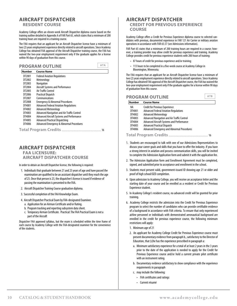#### <span id="page-11-0"></span>**AIRCRAFT DISPATCHER RESIDENT COURSE**

Academy College offers an eleven-week Aircraft Dispatcher diploma course based on the training outline detailed in Appendix A of FAR Part 65, which states that a minimum of 200 training hours are required in a training course.

The FAA requires that an applicant for an Aircraft Dispatcher license have a minimum of two (2) years employment experience directly related to aircraft operations. Since Academy College has obtained FAA approval of the Aircraft Dispatcher training course, the FAA has waived the two-year employment requirement only if the graduate applies for a license within 90 days of graduation from this course.

#### **PROGRAM OUTLINE**

| <b>Number</b> | <b>Course Name</b>                               |
|---------------|--------------------------------------------------|
| DT2001        | <b>Federal Aviation Regulations</b>              |
| DT2002        | Meteorology                                      |
| DT2003        | Navigation                                       |
| DT2004        | Aircraft Systems and Performance                 |
| DT2005        | Air Traffic Control                              |
| DT2006        | <b>Practical Dispatch</b>                        |
| DT2007        | Communications                                   |
| DT2008        | <b>Emergency &amp; Abnormal Procedures</b>       |
| DT4001        | <b>Advanced Federal Aviation Regulations</b>     |
| DT4002        | <b>Advanced Meteorology</b>                      |
| DT4003        | Advanced Navigation and Air Traffic Control      |
| DT4004        | <b>Advanced Aircraft Systems and Performance</b> |
| DT4005        | <b>Advanced Practical Dispatching</b>            |
| DT4006        | Advanced Emergency & Abnormal Procedures         |
|               | <b>Total Program Credits </b><br>16              |

## **AIRCRAFT DISPATCHER FAA LICENSURE: AIRCRAFT DISPATCHER COURSE**

In order to obtain an Aircraft Dispatcher license, the following is required:

- 1. Individuals that graduate between 21 and 23 years of age and have passed the examination are qualified to be an assistant dispatcher until they reach the age of 23. Once that person is 23, the dispatcher's license is issued if evidence of passing the examination is presented to the FAA.
- 2. Aircraft Dispatcher Training Course graduation diploma.
- 3. Successful completion of the FAA Knowledge Exam.
- 4. Aircraft Dispatcher Practical Exam by FAA-designated Examiner.
	- a. Application for an Airman Certificate and/or Rating.
	- b. Program tracking and reporting subsystem data sheet.
	- c. Temporary Airman Certificate. Practical: The FAA Practical Exam is not a part of the Aircraft

Dispatcher FAA approved syllabus, but the exam is scheduled within the time frame of each course by Academy College with the FAA-designated examiner for the convenience of the students.

#### **AIRCRAFT DISPATCHER CREDIT FOR PREVIOUS EXPERIENCE COURSE**

Academy College offers a Credit for Previous Experience diploma course to selected candidates with previous, documented experience in FAR 121 Air Carrier or military aviation operations in accordance with FAR 65.57 (see Admissions information).

FAR Part 65 states that a minimum of 200 training hours are required in a course; however, a training provider may allow credit for previous experience and training. Academy College provides credit for previous experience students with 200 hours of training:

- 87 hours of credit for previous experience and/or training;
- 113 hours to be completed in a five-week course at Academy College in Bloomington, Minnesota;

The FAA requires that an applicant for an Aircraft Dispatcher license have a minimum of two (2) years employment experience directly related to aircraft operations. Since Academy College has obtained FAA approval of the Aircraft Dispatcher course, the FAA has waived the two-year employment requirement only if the graduate applies for a license within 90 days of graduation from this course.

#### **PROGRAM OUTLINE Number Course Name**

| ΝA     | <b>Credit for Previous Experience</b>        |
|--------|----------------------------------------------|
| DT4001 | <b>Advanced Federal Aviation Regulations</b> |
| DT4002 | <b>Advanced Meteorology</b>                  |
| DT4003 | Advanced Navigation and Air Traffic Control  |
| DT4004 | Advanced Aircraft Systems and Performance    |
| DT4005 | <b>Advanced Practical Dispatch</b>           |
| DT4006 | Advanced Emergency and Abnormal Procedures   |
|        |                                              |

#### **Total Program Credits** . . . . . . . . . . . . . . . . . . . . . . . . . . . . . . . . . . 16

- 1. Students are encouraged to talk with one of our Admissions Representatives to discuss your career goals and skills that you have to offer the industry. If you have a strong interest in aviation and possess communication skills, you will be invited to complete the Admission Application form and submit it with the application fee.
- 2. The Admission Application form and Enrollment Agreement must be completed, signed, and submitted prior to acceptance and enrollment in the school.
- 3. Students must present valid, government-issued ID showing age 21 or older and proof of high school/GED completion.
- 4. Upon admission to Academy College, you will receive an acceptance letter and the starting date of your course and be enrolled as a resident or Credit for Previous Experience student.
- 5. In Academy College's resident course, no advanced credit will be granted for prior training.
- 6. Academy College restricts the admission into the Credit for Previous Experience program to select the number of candidates who can provide certifiable evidence of a background in accordance with FAA criteria. To ensure that only experienced airline personnel or individuals with demonstrated aeronautical background are enrolled in the credit for previous experience course, the following minimum restrictions will apply:
	- 1. Minimum age of 21
	- 2. An applicant for Academy College Credit for Previous Experience course must present documentary evidence from paragraph b., satisfactory to the Director of Education, that (s)he has the experience prescribed in paragraph a:
		- a. Minimum satisfactory experience for a total of at least 2 years in the 3 years prior to the date of the application is needed to apply for the Credit for Previous Experience course and/or hold a current private pilot certificate with an instrument rating.
		- b. Documentary evidence satisfactory to show compliance with the experience requirements in paragraph
		- c. may include the following:
			- FAA certificates and ratings
			- Current résumé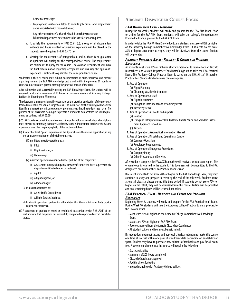- Academic transcripts
- Employment verification letter to include job duties and employment dates associated with those duties (or)
- Any other experience(s) that the lead dispatch instructor and Education Department determines to be satisfactory or required.
- c. To satisfy the requirements of FAR 65.61 (d), a copy of all documentary evidence and hours granted for previous experience will be placed in the student's record required by FAR 65.70 (a).
- d. Meeting the requirements of paragraphs a. and b. above is no guarantee an applicant will qualify for the correspondence course. The requirements are minimums to apply for the course. The Aviation Department will make the final determination regarding acceptance and ensuring the applicant's experience is sufficient to qualify for the correspondence course.

Student(s) in the CPE course must submit documentation of prior experience and present a passing score on the FAA ADX knowledge test, dated within the previous 24 months of course completion date, prior to starting the practical portion of the class.

After submission and successfully passing the FAA Knowledge Exam, the student will be required to attend a minimum of 80 hours in classroom sessions at Academy College's facilities in Bloomington, Minnesota.

The classroom training session will concentrate on the practical application of the previously learned material in the various subject areas. The instructors for this training will be able to identify and correct any misconceptions or problem areas that the student may have. The purpose of this classroom training is to prepare a student to demonstrate the skill requirements as outlined in FAR 65.59.

§ 65 .57 Experience or training requirements. An applicant for an aircraft dispatcher diploma must present documentary evidence satisfactory to the Administrator that he or she has the experience prescribed in paragraph (b) of this section as follows:

- (a) A total of at least 2 years' experience in the 3 years before the date of application, in any one or in any combination of the following areas:
	- (1) In military aircraft operations as a:
		- (i) Pilot;
		- (ii) Flight navigator; or
		- (iii) Meteorologist.
	- (2) In aircraft operations conducted under part 121 of this chapter as:
		- (i) An assistant in dispatching air carrier aircraft, under the direct supervision of a dispatcher certificated under this subpart;
		- (ii) A pilot;
		- (iii) A flight engineer, or
		- (iv) A meteorologist.
	- (3) In aircraft operations as:
		- (i) An Air Traffic Controller; or
		- (ii) A Flight Service Specialist.
	- (4) In aircraft operations, performing other duties that the Administrator finds provide equivalent experience.
- (b) A statement of graduation issued or revalidated in accordance with § 65 .70(b) of this part, showing that the person has successfully completed an approved aircraft dispatcher course.

### **Aircraft Dispatcher Course Focus**

#### *FAA Knowledge Exam - Resident*

During the six weeks, students will study and prepare for the FAA ADX Exam. Prior to sitting for the FAA ADX Exam, students will take the college's Comprehensive Knowledge Exam, a pre-test to the FAA ADX Exam.

In order to take the FAA Written Knowledge Exam, students must score 80% or higher on the Academy College Comprehensive Knowledge Exam. If students do not score 80% or higher after three attempts, they will be dismissed from the course. Tuition will be prorated.

#### *Academy Practical Exam - Resident & Credit for Previous Experience*

All students must score 80% or higher in all exam categories to receive both an Aircraft Dispatcher's and Aircraft Dispatcher Coordinator's sign-off to take the FAA Practical Exam. The Academy College Practical Exam is based on the FAA Aircraft Dispatcher Practical Test Standards which covers these categories:

- 1. Area of Operation
	- (a) Flight Planning
	- (b) Obtaining Weather Information
- 2. Area of Operation: Aircraft
	- (a) Flight Instruments
	- (b) Navigation Instruments and Avionics Systems
	- (c) Aircraft Systems
- 3. Area of Operation: Air Route and Airports
	- (a) Routing
	- (b) Using and Interpretation of SID's, En Route Charts, Star's, and Standard Instrument Approach Procedures
	- (c) Airports
- 4. Area of Operation: Aeronautical Information Manual
- 5. Area of Operation: Dispatch and Operational Control
	- (a) Company Operation
	- (b) Regulatory Requirements
- 6. Area of Operation: Emergency Procedures
	- (a) Company Policy
	- (b) Other Procedures and Services

After students complete the FAA ADX Exam, they will receive a printed score report. The original copy is returned to the student. This document will be submitted to the FAA designated examiner at the FAA Practical Exam session.

If resident students do not score 70% or higher on the FAA Knowledge Exam, they may continue to study and prepare to retest by the end of the 8th week. Students must attend all dispatch classes during this time period. If students do not score 70% or higher on the retest, they will be dismissed from the course. Tuition will be prorated and any remaining funds will be returned per policy.

#### *FAA Practical Exam - Resident and Credit for Previous Experience*

Beginning Week 6, students will study and prepare for the FAA Practical (oral) Exam. During Week 10, students will take the Academy College Practical Exam, a pre-test to the FAA oral exam.

- Must score 80% or higher on the Academy College Comprehensive Knowledge Exam.
- Must score 70% or higher on FAA ADX Exam.
- Receive approval from the Aircraft Dispatcher Coordinator.
- All student tuition and fees must be paid in full.

If student does not meet testing and approval criteria, student may retake this course one time at no cost within one year of enrollment date depending on availability of space. Student may have to purchase new editions of textbooks and pay for all exam fees. A second enrollment into this course will require the following:

- Space availability
- Minimum of 200 hours completed
- Dispatch Coordinator approval
- Additional fees for testing
- In good standing with Academy College policies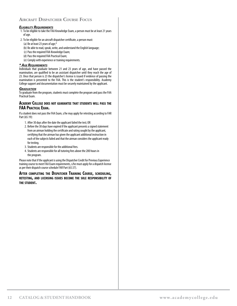## **Aircraft Dispatcher Course Focus**

#### *Eligibility Requirements*

- 1. To be eligible to take the FAA Knowledge Exam, a person must be at least 21 years of age.
- 2. To be eligible for an aircraft dispatcher certificate, a person must:
	- (a) Be at least 23 years of age;\*
	- (b) Be able to read, speak, write, and understand the English language;
	- (c) Pass the required FAA Knowledge Exam;
	- (d) Pass the required FAA Practical Exam;
	- (e) Comply with experience or training requirements.

#### *\* Age Requirements*

Individuals that graduate between 21 and 23 years of age, and have passed the examination, are qualified to be an assistant dispatcher until they reach the age of 23. Once that person is 23 the dispatcher's license is issued if evidence of passing the examination is presented to the FAA. This is the student's responsibility. Academy College support and documentation must be securely maintained by the applicant.

#### *Graduation*

To graduate from the program, students must complete the program and pass the FAA Practical Exam.

#### **Academy College does not guarantee that students will pass the FAA PracticalExam.**

If a student does not pass the FAA Exam, s/he may apply for retesting according to FAR Part (65.19):

- 1. After 30 days after the date the applicant failed the test; OR
- 2. Before the 30 days have expired if the applicant presents a signed statement from an airman holding the certificate and rating sought by the applicant, certifying that the airman has given the applicant additional instruction in each of the subjects failed and that the airman considers the applicant ready for testing.
- 3. Students are responsible for the additional fees.
- 4. Students are responsible for all tutoring fees above the 200 hours in the program.

Please note that if the applicant is using the Dispatcher Credit for Previous Experience training course to meet FAA Exam requirements, s/he must apply for a dispatch license as per their dispatch course schedule FAR Part (65.57).

**After completing the Dispatcher Training Course, scheduling, retesting, and licensing issues become the sole responsibility of the student.**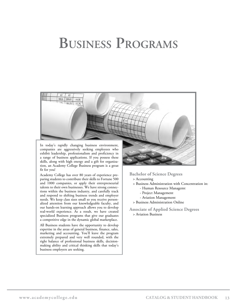# <span id="page-14-0"></span>**Business Programs**

![](_page_14_Picture_1.jpeg)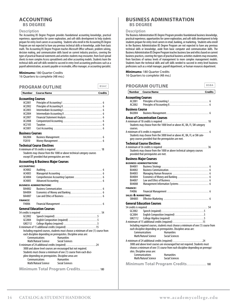#### <span id="page-15-0"></span>**ACCOUNTING BS DEGREE**

#### **Description**

The Accounting BS Degree Program provides foundational accounting knowledge, practical experience, opportunities for career exploration, and soft-skills development to help students prepare for entry-level careers in accounting. Students who enroll in the Accounting BS Degree Program are not expected to have any previous technical skills or knowledge, aside from basic math. The Accounting BS Degree Program teaches Microsoft Office software, problem solving, decision making, and communication skills based on current industry practices, covering the types of practical financial statements and activities students may encounter, from Excel spread sheets to more complex Access spreadsheets and other accounting models. Students learn the technical skills and soft skills needed to succeed in entry-level accounting professions such as a payroll administration, accounts payable or receivable, office manager, or accounting specialist.

#### **Minimums:** 180 Quarter Credits

16 Quarters to complete (48 mo.)

| Number | Course Name | <b>Credits</b> |
|--------|-------------|----------------|
|        |             |                |

#### **Accounting Courses**

| AC2001                                                                                                                             |                                                                                   |  |  |
|------------------------------------------------------------------------------------------------------------------------------------|-----------------------------------------------------------------------------------|--|--|
| AC2002                                                                                                                             |                                                                                   |  |  |
| AC2003                                                                                                                             |                                                                                   |  |  |
| AC2004                                                                                                                             |                                                                                   |  |  |
| AC2007                                                                                                                             |                                                                                   |  |  |
| AC2008                                                                                                                             |                                                                                   |  |  |
| AC2105                                                                                                                             |                                                                                   |  |  |
| AC3001                                                                                                                             |                                                                                   |  |  |
| <b>Business Courses</b>                                                                                                            |                                                                                   |  |  |
| BA2004                                                                                                                             |                                                                                   |  |  |
| FI2010                                                                                                                             |                                                                                   |  |  |
|                                                                                                                                    | <b>Technical Course Electives</b>                                                 |  |  |
|                                                                                                                                    |                                                                                   |  |  |
|                                                                                                                                    | Students may choose from the 1000 or above technical category courses             |  |  |
|                                                                                                                                    | except DT provided that prerequisites are met.                                    |  |  |
|                                                                                                                                    | <b>Accounting &amp; Business Major Courses</b>                                    |  |  |
| <b>ACCOUNTING:</b>                                                                                                                 |                                                                                   |  |  |
| AC4002                                                                                                                             |                                                                                   |  |  |
| AC4003                                                                                                                             |                                                                                   |  |  |
| AC4004                                                                                                                             |                                                                                   |  |  |
| AC4005                                                                                                                             |                                                                                   |  |  |
|                                                                                                                                    | <b>BUSINESS ADMINISTRATION:</b>                                                   |  |  |
| BA4002                                                                                                                             |                                                                                   |  |  |
| BA4004                                                                                                                             |                                                                                   |  |  |
| BA4007                                                                                                                             |                                                                                   |  |  |
| <b>FINANCE:</b>                                                                                                                    |                                                                                   |  |  |
| FI4006                                                                                                                             |                                                                                   |  |  |
|                                                                                                                                    | <b>General Education Courses</b>                                                  |  |  |
|                                                                                                                                    |                                                                                   |  |  |
| GC2002                                                                                                                             |                                                                                   |  |  |
| GC2004                                                                                                                             | English Composition (required) 5                                                  |  |  |
| GM2112                                                                                                                             |                                                                                   |  |  |
|                                                                                                                                    | A minimum of 15 additional credits (required) 15                                  |  |  |
|                                                                                                                                    | Including required courses, students must choose a minimum of one (1) course from |  |  |
|                                                                                                                                    | each discipline depending on prerequisites. Discipline areas are:                 |  |  |
|                                                                                                                                    | <b>Communications</b><br><b>Humanities</b>                                        |  |  |
|                                                                                                                                    | Math/Natural Science<br><b>Social Sciences</b>                                    |  |  |
|                                                                                                                                    | A minimum of 24 additional credits (required) 24                                  |  |  |
|                                                                                                                                    |                                                                                   |  |  |
| 3000 and above level courses are encouraged but not required.<br>Students must choose a minimum of one (1) course from each disci- |                                                                                   |  |  |

pline depending on prerequisites. Discipline areas are: **Communications** Humanities<br> **Math/Natural Science** Social Sciences Math/Natural Science

**Minimum Total Program Credits** . . . . . . . . . . . . . . . . . 180

### **BUSINESS ADMINISTRATION BS DEGREE**

#### **Description**

The Business Administration BS Degree Program provides foundational business knowledge, practical experience, opportunities for career exploration, and soft-skills development to help students prepare for entry-level careers in retail, banking, or marketing. Students who enroll in the Business Administration BS Degree Program are not expected to have any previous technical skills or knowledge, aside from basic computer and communication skills. The Business Administration BS Degree Program teaches business law and ethics based on current business practices, covering the types of practical business activities students may encounter, from functions of various levels of management to more complex management models. Students learn the technical skills and soft skills needed to succeed in entry-level business professions such as a retail manager, payroll department, or human resources department.

#### **Minimums:** 180 Quarter Credits 16 Quarters to complete (48 mo.)

**PROGRAM OUTLINE Number Course Name Credits Accounting Courses** AC2001 Principles of Accounting I . . . . . . . . . . . . . . . . . . . . . . . . . . . . . . . . . . 6 AC2002 Principles of Accounting II . . . . . . . . . . . . . . . . . . . . . . . . . . . . . . . . . . 6 **Business Course**<br>BA2004 Busi BA2004 Business Management . . . . . . . . . . . . . . . . . . . . . . . . . . . . . . . . . . . . . 6 **Areas of Concentration Courses** A minimum of 18 credits is required . . . . . . . . . . . . . . . . . . . . . . . . . . . . . . . . . . . . . . . 18 Students may choose from the 1000 level or above AC, BA, FI, SM category courses. A minimum of 6 credits is required . . . . . . . . . . . . . . . . . . . . . . . . . . . . . . . . . . . . . . . . . 6 Students may choose from the 3000 level or above AC, BA, FI, or SM category courses provided that the prerequisites are met. **Technical Course Electives** A minimum of 36 credits is required . . . . . . . . . . . . . . . . . . . . . . . . . . . . . . . . . . . . . . . 36 Students may choose from the 1000 or above technical category courses provided that prerequisites are met. **Business Major Courses business ADMINISTRATION:**<br>BA4001 Business Strate BA4001 Business Strategy . . . . . . . . . . . . . . . . . . . . . . . . . . . . . . . . . . . . . . . . . 6 BA4002 Business Communication . . . . . . . . . . . . . . . . . . . . . . . . . . . . . . . . . . . 6 BA4003 Managing Human Resources . . . . . . . . . . . . . . . . . . . . . . . . . . . . . . . 6 BA4004 Economics of Money and Banking . . . . . . . . . . . . . . . . . . . . . . . . . . . 6 BA4007 Law and Ethics of Business . . . . . . . . . . . . . . . . . . . . . . . . . . . . . . . . . 6 BA4008 Management Information Systems . . . . . . . . . . . . . . . . . . . . . . . . . . 6 **finance:** FI4006 Financial Management . . . . . . . . . . . . . . . . . . . . . . . . . . . . . . . . . . . . 6 **sales & marketing:**<br>SM4005 Effective SM4005 Effective Marketing . . . . . . . . . . . . . . . . . . . . . . . . . . . . . . . . . . . . . . . 6 **General Education Courses** 54 credits is required . . . . . . . . . . . . . . . . . . . . . . . . . . . . . . . . . . . . . . . . . . . . . . . . . . . . 54 GC2002 Speech (required) . . . . . . . . . . . . . . . . . . . . . . . . . . . . . . . . . . . . 5 GC2004 English Composition (required) . . . . . . . . . . . . . . . . . . . . . . . . 5 GM2112 College Algebra (required) . . . . . . . . . . . . . . . . . . . . . . . . . . . . 5 A minimum of 15 additional credits (required) . . . . . . . . . . . . . . . . . . . . . . . . . 15 Including required courses, students must choose a minimum of one (1) course from each discipline depending on prerequisites. Discipline areas are: **Communications** Humanities<br> **Math/Natural Science** Social Sciences Math/Natural Science A minimum of 24 additional credits (required) . . . . . . . . . . . . . . . . . . . . . . . . . 24 3000 and above level courses are encouraged but not required. Students must choose a minimum of one (1) course from each discipline depending on prerequisites. Discipline areas are: **Communications** Humanities<br>
Math/Natural Science Social Sciences Math/Natural Science **Minimum Total Program Credits** . . . . . . . . . . . . . . . . . 180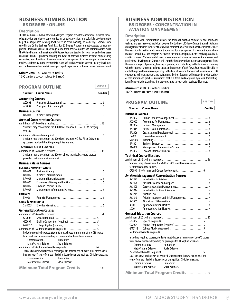# **BUSINESS ADMINISTRATION**

**BS DEGREE - ONLINE**

#### **Description**

The Online Business Administration BS Degree Program provides foundational business knowledge, practical experience, opportunities for career exploration, and soft-skills development to help students prepare for entry-level careers in retail, banking, or marketing. Students who enroll in the Online Business Administration BS Degree Program are not expected to have any previous technical skills or knowledge, aside from basic computer and communication skills. The Online Business Administration BS Degree Program teaches business law and ethics based on current business practices, covering the types of practical business activities students may encounter, from functions of various levels of management to more complex management models. Students learn the technical skills and soft skills needed to succeed in entry-level business professions such as a retail manager, payroll department, or human resources department.

#### **Minimums:** 180 Quarter Credits

16 Quarters to complete (48 mo.)

| <b>Number</b><br><b>Course Name</b><br><b>Credits</b><br><b>Accounting Courses</b><br>AC2001<br>AC2002<br><b>Business Course</b><br>BA2004<br><b>Areas of Concentration Courses</b><br>Students may choose from the 1000 level or above AC, BA, FI, SM category<br>courses.<br>Students may choose from the 3000 level or above AC, BA, FI, or SM catego-<br>ry courses provided that the prerequisites are met.<br><b>Technical Course Electives</b><br>Students may choose from the 1000 or above technical category courses<br>provided that prerequisites are met.<br><b>Business Major Courses</b><br><b>BUSINESS ADMINISTRATION:</b><br>BA4001<br>BA4002<br>BA4003<br>BA4004<br>BA4007<br>BA4008<br><b>FINANCE:</b><br>FI4006<br>SALES & MARKETING:<br>SM4005<br><b>General Education Courses</b><br>GC2002<br>English Composition (required) 5<br>GC2004<br>GM2112<br>A minimum of 15 additional credits (required) 15<br>Including required courses, students must choose a minimum of one (1) course<br>from each discipline depending on prerequisites. Discipline areas are:<br>Communications<br><b>Humanities</b><br>Math/Natural Science<br><b>Social Sciences</b><br>A minimum of 24 additional credits (required) 24<br>3000 and above level courses are encouraged but not required. Students must choose a min-<br>imum of one (1) course from each discipline depending on prerequisites. Discipline areas are:<br><b>Communications</b><br><b>Humanities</b><br>Math/Natural Science<br><b>Social Sciences</b> | <b>PROGRAM OUTLINE</b> |  | OBSBA |
|------------------------------------------------------------------------------------------------------------------------------------------------------------------------------------------------------------------------------------------------------------------------------------------------------------------------------------------------------------------------------------------------------------------------------------------------------------------------------------------------------------------------------------------------------------------------------------------------------------------------------------------------------------------------------------------------------------------------------------------------------------------------------------------------------------------------------------------------------------------------------------------------------------------------------------------------------------------------------------------------------------------------------------------------------------------------------------------------------------------------------------------------------------------------------------------------------------------------------------------------------------------------------------------------------------------------------------------------------------------------------------------------------------------------------------------------------------------------------------------------------------------------------------|------------------------|--|-------|
|                                                                                                                                                                                                                                                                                                                                                                                                                                                                                                                                                                                                                                                                                                                                                                                                                                                                                                                                                                                                                                                                                                                                                                                                                                                                                                                                                                                                                                                                                                                                    |                        |  |       |
|                                                                                                                                                                                                                                                                                                                                                                                                                                                                                                                                                                                                                                                                                                                                                                                                                                                                                                                                                                                                                                                                                                                                                                                                                                                                                                                                                                                                                                                                                                                                    |                        |  |       |
|                                                                                                                                                                                                                                                                                                                                                                                                                                                                                                                                                                                                                                                                                                                                                                                                                                                                                                                                                                                                                                                                                                                                                                                                                                                                                                                                                                                                                                                                                                                                    |                        |  |       |
|                                                                                                                                                                                                                                                                                                                                                                                                                                                                                                                                                                                                                                                                                                                                                                                                                                                                                                                                                                                                                                                                                                                                                                                                                                                                                                                                                                                                                                                                                                                                    |                        |  |       |
|                                                                                                                                                                                                                                                                                                                                                                                                                                                                                                                                                                                                                                                                                                                                                                                                                                                                                                                                                                                                                                                                                                                                                                                                                                                                                                                                                                                                                                                                                                                                    |                        |  |       |
|                                                                                                                                                                                                                                                                                                                                                                                                                                                                                                                                                                                                                                                                                                                                                                                                                                                                                                                                                                                                                                                                                                                                                                                                                                                                                                                                                                                                                                                                                                                                    |                        |  |       |
|                                                                                                                                                                                                                                                                                                                                                                                                                                                                                                                                                                                                                                                                                                                                                                                                                                                                                                                                                                                                                                                                                                                                                                                                                                                                                                                                                                                                                                                                                                                                    |                        |  |       |
|                                                                                                                                                                                                                                                                                                                                                                                                                                                                                                                                                                                                                                                                                                                                                                                                                                                                                                                                                                                                                                                                                                                                                                                                                                                                                                                                                                                                                                                                                                                                    |                        |  |       |
|                                                                                                                                                                                                                                                                                                                                                                                                                                                                                                                                                                                                                                                                                                                                                                                                                                                                                                                                                                                                                                                                                                                                                                                                                                                                                                                                                                                                                                                                                                                                    |                        |  |       |
|                                                                                                                                                                                                                                                                                                                                                                                                                                                                                                                                                                                                                                                                                                                                                                                                                                                                                                                                                                                                                                                                                                                                                                                                                                                                                                                                                                                                                                                                                                                                    |                        |  |       |
| Minimum Total Program Credits 180                                                                                                                                                                                                                                                                                                                                                                                                                                                                                                                                                                                                                                                                                                                                                                                                                                                                                                                                                                                                                                                                                                                                                                                                                                                                                                                                                                                                                                                                                                  |                        |  |       |

## **BUSINESS ADMINISTRATION BS DEGREE - CONCENTRATION IN AVIATION MANAGEMENT**

#### **Description**

This program with concentration allows the technical aviation student to add additional training and earn a second bachelor's degree. The Bachelor of Science Concentration in Aviation Management provides the best of both with a combination of our traditional Bachelor of Science Business Administration and a concentration aviation management is a concentration where many of the technical and program electives in the traditional program are simply replaced with aviation courses. We have added new courses in organizational development and career and professional development. Students will learn the fundamentals of business management from the core strategies of planning, leading, organizing and controlling, to the basics of accounting with the income statement, balance sheet, and statement of cash flows. Students will be able to apply this general business competency to the field of aviation from airport management, FBO operations, risk management, and aviation marketing. Students will engage in a wide variety of case studies and practical simulations that will teach skills of group dynamics, forecasting, identifying variations, and creating action plans to solve aviation business dilemmas.

#### **Minimums:** 180 Quarter Credits

16 Quarters to complete (48 mo.)

|                         | <b>PROGRAM OUTLINE</b>            |                                                                                      | <b>BSBAVM</b>  |
|-------------------------|-----------------------------------|--------------------------------------------------------------------------------------|----------------|
| <b>Number</b>           | <b>Course Name</b>                |                                                                                      | <b>Credits</b> |
| <b>Business Courses</b> |                                   |                                                                                      |                |
| BA2002                  |                                   |                                                                                      |                |
| AC2000                  |                                   |                                                                                      |                |
| BA2004                  |                                   |                                                                                      |                |
| BA2015                  |                                   |                                                                                      |                |
| <b>BA2006</b>           |                                   |                                                                                      |                |
| FI4006                  |                                   |                                                                                      |                |
| SM2003                  |                                   |                                                                                      |                |
| BA4001                  |                                   |                                                                                      |                |
| BA4008                  |                                   |                                                                                      |                |
| BA4007                  |                                   |                                                                                      |                |
|                         | <b>Technical Course Electives</b> |                                                                                      |                |
|                         |                                   |                                                                                      |                |
|                         |                                   | Students may choose from the 2000 or 3000 level Business and/or                      |                |
|                         | technical category courses.       |                                                                                      |                |
|                         |                                   |                                                                                      |                |
|                         |                                   | <b>Aviation Management Concentration Courses</b>                                     |                |
| AV2127                  |                                   |                                                                                      |                |
| AV2128                  |                                   |                                                                                      |                |
| AV3125                  |                                   |                                                                                      |                |
| AV3214                  |                                   |                                                                                      |                |
| AV3215                  |                                   |                                                                                      |                |
| AV3340                  |                                   |                                                                                      |                |
| AV3555                  |                                   |                                                                                      |                |
| 3000                    |                                   |                                                                                      |                |
| 3000                    |                                   |                                                                                      |                |
|                         | <b>General Education Courses</b>  |                                                                                      |                |
|                         |                                   |                                                                                      |                |
| GC2002                  |                                   |                                                                                      |                |
| GC2004                  |                                   | English Composition (required) 5                                                     |                |
| GM2112                  |                                   |                                                                                      |                |
|                         |                                   |                                                                                      |                |
|                         |                                   |                                                                                      |                |
|                         |                                   | Including required courses, students must choose a minimum of one (1) course         |                |
|                         |                                   | from each discipline depending on prerequisites. Discipline areas are:               |                |
|                         | Communications                    | <b>Humanities</b>                                                                    |                |
|                         | Math/Natural Science              | <b>Social Sciences</b>                                                               |                |
|                         |                                   |                                                                                      |                |
|                         |                                   | 3000 and above level courses are required. Students must choose a minimum of one (1) |                |
|                         |                                   | course from each discipline depending on prerequisites. Discipline areas are:        |                |
|                         | Communications                    | <b>Humanities</b>                                                                    |                |
|                         | Math/Natural Science              | <b>Social Sciences</b>                                                               |                |
|                         |                                   | Minimum Total Program Credits 180                                                    |                |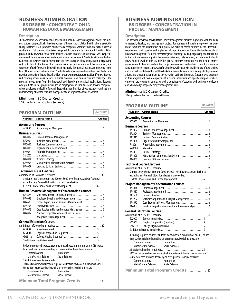#### **BUSINESS ADMINISTRATION BS DEGREE - CONCENTRATION IN HUMAN RESOURCE MANAGEMENT**

#### **Description**

The Bachelor of Science with a concentration in Human Resource Management allows the business student to specialize in the development of human capital. With the thin labor market, the ability to attract, retain, promote, and develop a competent workforce is crucial to the success of any business. This concentration takes the generic bachelor's in business administration (BSBA) program and allows students a more defined selection of courses in business as well as specific coursework in human resources and organizational development. Students will learn the fundamentals of business management from the core strategies of planning, leading, organizing and controlling to the basics of accounting with the income statement, balance sheet, and statement of cash flows. Students will be able to apply this general business competency to the field of human resource development. Students will engage in a wide variety of case studies and practical simulations that will teach skills of group dynamics, forecasting, identifying variations, and creating action plans to solve business dilemmas and human resource challenges. The program moves away from the theoretical and directly into practical applications. Students who graduate in this program will secure employment in industries and specific companies where employers are looking for candidates with a combination of business savvy and a strong understanding of human resource management and organizational development.

#### **Minimums:** 180 Quarter Credits

16 Quarters to complete (48 mo.)

|                           | <b>PROGRAM OUTLINE</b>                                                               | <b>BSBAHRM</b> |
|---------------------------|--------------------------------------------------------------------------------------|----------------|
| <b>Number</b>             | <b>Course Name</b>                                                                   | <b>Credits</b> |
| <b>Accounting Courses</b> |                                                                                      |                |
| AC2000                    |                                                                                      |                |
| <b>Business Courses</b>   |                                                                                      |                |
| BA2002                    |                                                                                      |                |
| BA2004                    |                                                                                      |                |
| BA2015                    |                                                                                      |                |
| <b>BA2006</b>             |                                                                                      |                |
| FI4006                    |                                                                                      |                |
| SM2003                    |                                                                                      |                |
| BA4001                    |                                                                                      |                |
| BA4008                    |                                                                                      |                |
| BA4007                    |                                                                                      |                |
|                           | <b>Technical Course Electives</b>                                                    |                |
|                           |                                                                                      |                |
|                           | Students may choose from the 2000 or 3000 level Business and/or Technical            |                |
|                           | excluding any General Education classes as an elective.                              |                |
|                           |                                                                                      |                |
|                           | <b>Human Resource Management Concentration Courses</b>                               |                |
| BA3876                    | Data Management in Human Resources 6                                                 |                |
| BA4055                    | Employee Benefits and Compensation  6                                                |                |
| BA4603                    | Leadership in Human Resource Management  6                                           |                |
| <b>BA4206</b>             |                                                                                      |                |
| BA4072                    | Case Studies in Human Resource Management 6                                          |                |
| BA4082                    | <b>Practical Project Management and Business</b>                                     |                |
|                           |                                                                                      |                |
|                           | <b>General Education Courses</b>                                                     |                |
|                           |                                                                                      |                |
| G(2002)                   |                                                                                      |                |
| GC2004                    | English Composition (required) 5                                                     |                |
| GM2112                    |                                                                                      |                |
|                           |                                                                                      |                |
|                           | Including required courses, students must choose a minimum of one (1) course         |                |
|                           | from each discipline depending on prerequisites. Discipline areas are:               |                |
|                           | Communications<br><b>Humanities</b>                                                  |                |
|                           | <b>Social Sciences</b><br>Math/Natural Science                                       |                |
|                           |                                                                                      |                |
|                           | 3000 and above level courses are required. Students must choose a minimum of one (1) |                |
|                           | course from each discipline depending on prerequisites. Discipline areas are:        |                |
|                           | <b>Humanities</b><br>Communications                                                  |                |
|                           | Math/Natural Science<br><b>Social Sciences</b>                                       |                |
|                           | Minimum Total Program Credits 180                                                    |                |

# **BUSINESS ADMINISTRATION BS DEGREE - CONCENTRATION IN PROJECT MANAGEMENT**

#### **Description**

The Bachelor of Science specialization Project Management provides a graduate with the skills to research, develop, and management projects for business. A bachelor's in project management combines the quantitative and qualitative skills to assess business needs, determine requirements and organize and implement change. Students will learn the fundamentals of business management from the core strategies of planning, leading, organizing and controlling to the basics of accounting with the income statement, balance sheet, and statement of cash flows. Students will be able to apply this general business competency to the field of project management by learning and eliciting project requirements and utilizing current programs to carry out projects- scrum, agile, waterfall. Students will engage in a wide variety of case studies and practical simulations that will teach skills of group dynamics, forecasting, identifying variations, and creating action plans to solve aviation business dilemmas. Students who graduate in this program will secure employment in various industries and specific companies where employers are looking for candidates with a combination of students with business knowledge and a knowledge of specific project management skills.

**Minimums:** 180 Quarter Credits 16 Quarters to complete (48 mo.)

### **PROGRAM OUTLINE**

| <b>Number</b>           | <b>Course Name</b><br><b>Credits</b>                                                 |
|-------------------------|--------------------------------------------------------------------------------------|
| Accounting Courses      |                                                                                      |
| AC2000                  |                                                                                      |
| <b>Business Courses</b> |                                                                                      |
| BA2002                  |                                                                                      |
| BA2004                  |                                                                                      |
| BA2015                  |                                                                                      |
| BA2006                  |                                                                                      |
| FI4006                  |                                                                                      |
| SM2003                  |                                                                                      |
| BA4001                  |                                                                                      |
| BA4008                  |                                                                                      |
| BA4007                  |                                                                                      |
|                         | Technical Course Electives                                                           |
|                         |                                                                                      |
|                         | Students may choose from the 2000 or 3000 level Business and/or Technical            |
|                         | excluding any General Education classes as an elective.                              |
|                         |                                                                                      |
|                         | <b>Project Management Concentration Courses</b>                                      |
| BA3878                  |                                                                                      |
| BA4057                  |                                                                                      |
| BA2600                  |                                                                                      |
| BA4202                  | Software Applications in Project Management  6                                       |
| BA4072                  |                                                                                      |
| BA4082                  | Practical Project Management and Business Analysis 6                                 |
|                         | <b>General Education Courses</b>                                                     |
|                         |                                                                                      |
| GC2002                  |                                                                                      |
| GC2004                  | English Composition (required) 5                                                     |
| GM2112                  |                                                                                      |
|                         |                                                                                      |
|                         | Including required courses, students must choose a minimum of one (1) course         |
|                         | from each discipline depending on prerequisites. Discipline areas are:               |
|                         | <b>Communications</b><br><b>Humanities</b>                                           |
|                         | <b>Social Sciences</b><br>Math/Natural Science                                       |
|                         |                                                                                      |
|                         | 3000 and above level courses are required. Students must choose a minimum of one (1) |
|                         | course from each discipline depending on prerequisites. Discipline areas are:        |
|                         | Communications<br><b>Humanities</b>                                                  |
|                         | Math/Natural Science<br><b>Social Sciences</b>                                       |
|                         | Minimum Total Program Credits 180                                                    |
|                         |                                                                                      |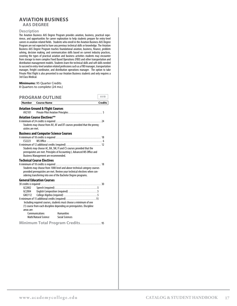#### <span id="page-18-0"></span>**AVIATION BUSINESS AAS DEGREE**

#### **Description**

The Aviation Business AAS Degree Program provides aviation, business, practical experience, and opportunities for career exploration to help students prepare for entry-level careers in aviation related fields. Students who enroll in the Aviation Business AAS Degree Program are not expected to have any previous technical skills or knowledge. The Aviation Business AAS Degree Program teaches foundational aviation, business, finance, problem solving, decision making, and communication skills based on current industry practices, covering the types of practical aviation and business activities students may encounter from storage to more complex Fixed Based Operations (FBO) and other transportation and distribution management models. Students learn the technical skills and soft skills needed to succeed in entry-level aviation related professions such as a FBO manager, transportation manager, freight coordinator, and distribution operations manager. The option to take Private Pilot Flight is also presented to our Aviation Business students and only requires a 3rd Class Medical.

#### **Minimums:** 95 Quarter Credits

8 Quarters to complete (24 mo.)

| <b>PROGRAM OUTLINE</b>                                                                                                                                                                                                                                                                                   |                                                                                                                                                                                                                                                                                    | AVB            |
|----------------------------------------------------------------------------------------------------------------------------------------------------------------------------------------------------------------------------------------------------------------------------------------------------------|------------------------------------------------------------------------------------------------------------------------------------------------------------------------------------------------------------------------------------------------------------------------------------|----------------|
| <b>Number</b> Course Name                                                                                                                                                                                                                                                                                |                                                                                                                                                                                                                                                                                    | <b>Credits</b> |
| <b>Aviation Ground &amp; Flight Courses</b><br>AV <sub>2101</sub>                                                                                                                                                                                                                                        |                                                                                                                                                                                                                                                                                    |                |
| <b>Aviation Course Electives**</b><br>Students may choose from AV, AF and DT courses provided that the prereq-<br>uisites are met.                                                                                                                                                                       |                                                                                                                                                                                                                                                                                    |                |
| <b>Business and Computer Science Courses</b><br>(52223)<br>A minimum of 12 additional credits (required)  12<br>Students may choose AC, BA, SM, FI and CS courses provided that the<br>prerequisites are met. Principles of Accounting I, Advanced MS Office and<br>Business Management are recommended. |                                                                                                                                                                                                                                                                                    |                |
| <b>Technical Course Electives</b><br>Students may choose from 1000 level and above technical category courses<br>provided prerequisites are met. Review your technical electives when con-<br>sidering transferring into one of the Bachelor Degree programs.                                            |                                                                                                                                                                                                                                                                                    |                |
| <b>General Education Courses</b><br>G(2002)<br>GC2004<br>GM2112<br>areas are:<br>Communications<br>Math/Natural Science                                                                                                                                                                                  | English Composition (required) 5<br>A minimum of 15 additional credits (required) 15<br>Including required courses, students must choose a minimum of one<br>(1) course from each discipline depending on prerequisites. Discipline<br><b>Humanities</b><br><b>Social Sciences</b> |                |

**Minimum Total Program Credits** . . . . . . . . . . . . . . . . . . 95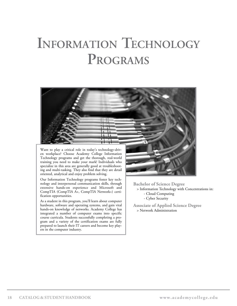# <span id="page-19-0"></span>**Information Technology Programs**

![](_page_19_Picture_1.jpeg)

en workplace? Choose Academy College Information Technology programs and get the thorough, real-world training you need to make your mark! Individuals who specialize in this area are generally good at troubleshooting and multi-tasking. They also find that they are detail oriented, analytical and enjoy problem solving.

Our Information Technology programs foster key technology and interpersonal communication skills, through extensive hands-on experience and Microsoft and CompTIA (CompTIA A+, CompTIA Network+) certification opportunities.

As a student in this program, you'll learn about computer hardware, software and operating systems, and gain vital hands-on knowledge of networks. Academy College has integrated a number of computer exams into specific course curricula. Students successfully completing a program and a variety of the certification exams are fully prepared to launch their IT careers and become key players in the computer industry.

**Bachelor of Science Degree** > Information Technology with Concentrations in: - Cloud Computing - Cyber Security

**Associate of Applied Science Degree** > Network Administration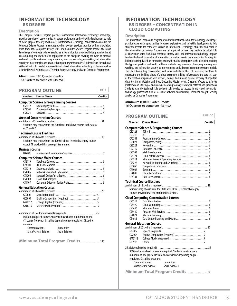#### **INFORMATION TECHNOLOGY BS DEGREE**

#### **Description**

The Computer Science Program provides foundational information technology knowledge, practical experience, opportunities for career exploration, and soft-skills development to help students prepare for entry-level careers in Information Technology. Students who enroll in the Computer Science Program are not expected to have any previous technical skills or knowledge, aside from basic computer literacy skills. The Computer Science Program teaches the broad knowledge of computer science serving as a foundation for on-going lifelong learning based on computing and mathematics appropriate to the discipline covering the types of practical real-world problems students may encounter, from programming, networking, and information security to more complex and advanced computing systems models. Students learn the technical skills and soft skills needed to succeed in entry-level Information technology professions such as a Junior Network Administrator, Technical Analyst, Security Analyst or Computer Programmer.

#### **Minimums:** 180 Quarter Credits

16 Quarters to complete (48 mo.)

# **PROGRAM OUTLINE**

|                   |  | Number Course Name | <b>Credits</b> |
|-------------------|--|--------------------|----------------|
|                   |  |                    |                |
| 'RUGRAM UU I LINE |  |                    | -----          |

#### **Computer Science & Programming Courses**

| CS2112  |  |
|---------|--|
| CP2301  |  |
| (53221) |  |

#### **Areas of Concentration Courses**

A minimum of 51 credits is required . . . . . . . . . . . . . . . . . . . . . . . . . . . . . . . . . . . . . . . 51 Students may choose from the 2000 level and above courses in the areas of CS and CP.

#### **Technical Course Electives**

| Students may choose from the 1000 or above technical category courses |  |
|-----------------------------------------------------------------------|--|
| except DT provided that prerequisites are met.                        |  |
|                                                                       |  |

#### **Business Course**

| BA4008 |  |  |
|--------|--|--|
|--------|--|--|

#### **Computer Science Major Courses**

| (52119)                                                                                                         |                                                  |  |
|-----------------------------------------------------------------------------------------------------------------|--------------------------------------------------|--|
| CP4101                                                                                                          |                                                  |  |
| CS4010                                                                                                          |                                                  |  |
| CS4005                                                                                                          |                                                  |  |
| CS4006                                                                                                          |                                                  |  |
| CS4009                                                                                                          |                                                  |  |
| CS4107                                                                                                          |                                                  |  |
|                                                                                                                 | General Education Courses                        |  |
|                                                                                                                 |                                                  |  |
| G(2002)                                                                                                         |                                                  |  |
| GC <sub>2004</sub>                                                                                              | English Composition (required) 5                 |  |
| GM <sub>2112</sub>                                                                                              |                                                  |  |
| GM3016                                                                                                          |                                                  |  |
| the contract of the contract of the contract of the contract of the contract of the contract of the contract of | A minimum of 25 additional credits (required) 25 |  |

Including required courses, students must choose a minimum of one (1) course from each discipline depending on prerequisites. Discipline areas are: Communications Humanities

Math/Natural Science Social Sciences

**Minimum Total Program Credits** . . . . . . . . . . . . . . . . . 180

### **INFORMATION TECHNOLOGY BS DEGREE - CONCENTRATION IN CLOUD COMPUTING**

#### **Description**

The Information Technology Program provides foundational computer technology knowledge, practical experience, opportunities for career exploration, and soft-skills development to help students prepare for entry-level careers in Information Technology. Students who enroll in the Information technology Program are not expected to have any previous technical skills or knowledge, aside from basic computer literacy skills. The Information technology Program teaches the broad knowledge of information technology serving as a foundation for on-going lifelong learning based on computing and mathematics appropriate to the discipline covering the types of practical real-world problems students may encounter, from programming, networking, and information security to more complex and advanced computing systems models. The Cloud Computing concentration will focus students on the skills necessary for them to understand the building blocks of a cloud ecosphere. Adding infrastructure and services, such as the creation of apps and web services, storage, back up and disaster recovery of important data. Hosting of Websites and Blogs, Streaming Media servers. Creating Software as a Service Platforms and utilizing AI and Machine Learning to analyze data for patterns and predictions. Students learn the technical skills and soft skills needed to succeed in entry-level Information technology professions such as a Junior Network Administrator, Technical Analyst, Security Analyst or Computer Programmer.

#### **Minimums:** 180 Quarter Credits

16 Quarters to complete (48 mo.)

### **PROGRAM OUTLINE**

#### **Computer Science & Programming Courses**

|         | " pater strence & Frogramming courses" |
|---------|----------------------------------------|
| (52125  |                                        |
| (53216  |                                        |
| CP2301  |                                        |
| CS3023  |                                        |
| (53221  |                                        |
| (52119) |                                        |
| CS3105  |                                        |
| (53121  |                                        |
| (53214  |                                        |
| (53222) |                                        |
| CP3050  |                                        |
| CP3007  |                                        |
| CS4009  |                                        |
| CP4101  |                                        |
|         |                                        |

**Number Course Name Credits**

#### **Technical Course Electives**

A minimum of 18 credits is required . . . . . . . . . . . . . . . . . . . . . . . . . . . . . . . . . . . . . . . 18 Students may choose from the 3000 level CP or CS technical category courses provided that the prerequisites are met.

#### **Cloud Computing Concentration Courses**

| CS3315        |  |
|---------------|--|
| CS3420        |  |
| <b>CS3430</b> |  |
| (53440)       |  |
| CS4021        |  |
| CS4035        |  |

#### **General Education Courses**

| GC2002 |                                                                                                                                       |                   |                                  |  |
|--------|---------------------------------------------------------------------------------------------------------------------------------------|-------------------|----------------------------------|--|
| GC2004 |                                                                                                                                       |                   | English Composition (required) 5 |  |
| GM2112 |                                                                                                                                       |                   |                                  |  |
| GH2001 |                                                                                                                                       |                   |                                  |  |
|        | 3000 and above level courses are required. Students must choose a<br>minimum of one (1) course from each discipline depending on pre- |                   |                                  |  |
|        | requisites. Discipline areas are:                                                                                                     |                   |                                  |  |
|        | Communications                                                                                                                        | <b>Humanities</b> |                                  |  |
|        | Math/Natural Science Social Sciences                                                                                                  |                   |                                  |  |
|        |                                                                                                                                       |                   |                                  |  |

**Minimum Total Program Credits** . . . . . . . . . . . . . . . . . 180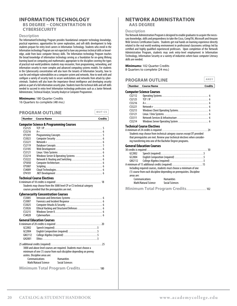#### **INFORMATION TECHNOLOGY BS DEGREE – CONCENTRATION IN CYBERSECURITY**

#### **Description**

The InformationtTechnology Program provides foundational computer technology knowledge, practical experience, opportunities for career exploration, and soft-skills development to help students prepare for entry-level careers in Information Technology. Students who enroll in the Information technology Program are not expected to have any previous technical skills or knowledge, aside from basic computer literacy skills. The Information technology Program teaches the broad knowledge of information technology serving as a foundation for on-going lifelong learning based on computing and mathematics appropriate to the discipline covering the types of practical real-world problems students may encounter, from programming, networking, and information security to more complex and advanced computing systems models. For students in the Cybersecurity concentration will also learn the tenants of Information Security, how to scan for and mitigate vulnerabilities on a computer system and networks. How to work with and configure a variety of security tools to secure workstations and networks from attack by cybercriminals. Students will also learn the importance threat intelligence and developing security policies as part of a full information security plan. Students learn the technical skills and soft skills needed to succeed in entry-level Information technology professions such as a Junior Network Administrator, Technical Analyst, Security Analyst or Computer Programmer.

#### **Minimums:** 180 Quarter Credits

16 Quarters to complete (48 mo.)

### **PROGRAM OUTLINE**

**Number Course Name Credits**

#### **Computer Science & Programming Courses**

| (52125 |  |
|--------|--|
| (53216 |  |
| CP2301 |  |
| CS3023 |  |
| CS3221 |  |
| (52119 |  |
| CS3105 |  |
| (53121 |  |
| (53214 |  |
| (53222 |  |
| CP3050 |  |
| CP3007 |  |
| CS4009 |  |
| CP4101 |  |
|        |  |

#### **Technical Course Electives**

| Students may choose from the 3000 level CP or CS technical category |  |
|---------------------------------------------------------------------|--|
| courses provided that the prerequisites are met.                    |  |

#### **Cybersecurity Concentration Courses**

| CS3005 | Intrusion and Detections Systems  6                                 |
|--------|---------------------------------------------------------------------|
| CS3007 |                                                                     |
| CS3025 |                                                                     |
| CS3026 | Ethical Hacking and Structured Defenses  6                          |
| CS3215 |                                                                     |
| CS4028 |                                                                     |
|        | <b>General Education Courses</b>                                    |
|        |                                                                     |
| GC2002 |                                                                     |
| GC2004 | English Composition (required) 5                                    |
| GM2112 |                                                                     |
| GH2001 |                                                                     |
|        |                                                                     |
|        | 3000 and above level courses are required. Students must choose a   |
|        | minimum of one (1) course from each discipline depending on prereg- |
|        | uisites. Discipline areas are:                                      |
|        | <b>Humanities</b><br>Communications                                 |
|        | Math/Natural Science<br><b>Social Sciences</b>                      |
|        | Minimum Total Program Credits 180                                   |

#### **NETWORK ADMINISTRATION AAS DEGREE**

#### **Description**

The Network Administration Program is designed to enable graduates to acquire the necessary knowledge, skills and preparedness to take the Cisco, CompTIA, Microsoft and Amazon Web Services Certification Exams. Students get real hands on learning experience directly related to the real world working environment in professional classrooms settings led by certified and highly qualified experienced professors. Upon completion of the Network Administration Program, students may seek entry-level employment in Information Technology, Information Security or a variety of industries where basic computer Literacy skills are needed.

#### **Minimums:** 102 Quarter Credits

8 Quarters to complete (24 mo.)

| Number Course Name             | Credits |
|--------------------------------|---------|
| ANSY<br><b>PROGRAM OUTLINE</b> |         |

#### **Computer Science Courses**

| CS2112    |                          |
|-----------|--------------------------|
| (52125    |                          |
| CS3216    |                          |
| (53221)   |                          |
| (53213)   |                          |
| $C$ 53121 |                          |
| CS3311    |                          |
| CS3214    |                          |
|           | chnical Course Flectives |

#### **Technical Course Electives**

| Students may choose from technical category courses except DT provided     |  |
|----------------------------------------------------------------------------|--|
| that prerequisites are met. Review your technical electives when consider- |  |
| ing transferring into one of the Bachelor Degree programs.                 |  |
|                                                                            |  |

#### **General Education Courses**

| G(2002)            |                      |                                                                        |  |
|--------------------|----------------------|------------------------------------------------------------------------|--|
| GC2004             |                      | English Composition (required) 5                                       |  |
| GM <sub>2112</sub> |                      |                                                                        |  |
|                    |                      | A minimum of 15 additional credits (required) 15                       |  |
|                    |                      | Including required courses, students must choose a minimum of one      |  |
|                    |                      | (1) course from each discipline depending on prerequisites. Discipline |  |
| areas are:         |                      |                                                                        |  |
|                    | Communications       | <b>Humanities</b>                                                      |  |
|                    | Math/Natural Science | Social Sciences                                                        |  |
|                    |                      |                                                                        |  |

**Minimum Total Program Credits** . . . . . . . . . . . . . . . . . 102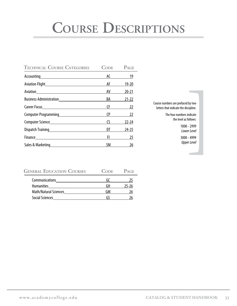# <span id="page-22-0"></span>**Course Descriptions**

| <b>TECHNICAL COURSE CATEGORIES</b> | <b>CODE</b>                                                                                                                                                                                                                    | PAGE       |
|------------------------------------|--------------------------------------------------------------------------------------------------------------------------------------------------------------------------------------------------------------------------------|------------|
|                                    |                                                                                                                                                                                                                                | AC 19      |
|                                    | AF                                                                                                                                                                                                                             | $19 - 20$  |
| Aviation <b>Aviation</b>           | AV                                                                                                                                                                                                                             | $20 - 21$  |
|                                    | <b>BA</b>                                                                                                                                                                                                                      | $21 - 22$  |
|                                    |                                                                                                                                                                                                                                | $CF \t 22$ |
|                                    |                                                                                                                                                                                                                                | $CP$ 22    |
|                                    | $\mathsf{CS}$                                                                                                                                                                                                                  | $22 - 24$  |
|                                    |                                                                                                                                                                                                                                | $24 - 25$  |
|                                    | Florence and the second series of the series of the series of the series of the series of the series of the series of the series of the series of the series of the series of the series of the series of the series of the se | 25         |
|                                    |                                                                                                                                                                                                                                | SM 26      |

Course numbers are prefaced by two letters that indicate the discipline. by two<br>cipline.<br>ndicate<br>"ollows:<br>- 2999<br>- 4999<br>- r Level<br>"r Level"

The four numbers indicate the level as follows:

> 1000 - 2999 *Lower Level*

> 3000 - 4999 *Upper Level*

| <b>GENERAL EDUCATION COURSES</b> | <b>CODE</b> | $P_{\text{AGE}}$ |
|----------------------------------|-------------|------------------|
| Communications                   | (-1         |                  |
| <b>Humanities</b>                | (1H         | 25-26            |
| <b>Math/Natural Sciences</b>     | GМ          |                  |
| <b>Social Sciences</b>           |             |                  |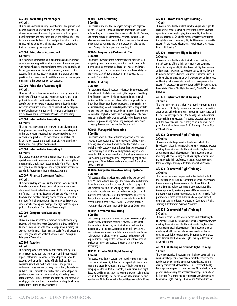#### <span id="page-23-0"></span>**AC2000 Accounting for Managers 6 Credits**

This course embodies training in applications and principles of general accounting practice and how that applies to the role of a manager in any business. Topics covered will be operational strategies and how those impact the balance sheet and income statements. Transactions and postings of accounting entries will be compiled and analyzed to create statements that can be used by management.

#### **AC2001 Principles of Accounting I 6 Credits**

This course embodies training in applications and principles of general accounting practice and procedures. It provides exposure to many business topics including accounting journals and ledgers, preparation of financial statements, internal control systems, forms of business organization, and typical business practices. The course is taught as if the student has had no prior training in either accounting or bookkeeping.

#### **AC2002 Principles of Accounting II 6 Credits**

This course focus is the development of accounting information for the use of business owners, lenders, managers, and other parties interested in the financial affairs of a business. The specific course objective is to provide a strong foundation for advanced accounting studies. The course will include preparation of employment forms, payroll accounting, and computer assisted accounting. Prerequisite: Principles of Accounting I

#### **AC2003 Intermediate Accounting I 6 Credits**

This course is an essential core course of financial accounting. It emphasizes the accounting procedures for financial reporting within the broader conceptual framework underlying accepted accounting practices. The course focuses on analysis of balance sheet accounts and application of accounting theory. Prerequisite: Principles of Accounting II

#### **AC2004 Intermediate Accounting II 6 Credits**

This course focuses on owner's equity, income statements, and special problems in income determination. Accounting theory is continually emphasized, based on rule of the FASB and various governmental and professional organization accounting standards. Prerequisite: Intermediate Accounting I

#### **AC2007 Financial Statement Analysis 6 Credits**

This course is designed to assist the student in evaluation of financial statements. The students will develop an understanding of the critical ratios necessary to dissect and analyze the financial statement. Students will use the Web to obtain financial statements of publicly traded companies and obtain the ratios for high performers in the industry to discover the differences between poor, average, and high performing competitors. Prerequisite: Principles of Accounting II

#### **AC2008 Computerized Accounting 6 Credits**

This course introduces software commonly used for accounting. Students will learn how to use Quickbooks and Excel in different business environments with hands-on experience initiating transactions, record financial data, maintain books for a full accounting cycle, and generate and analyze financial reports. Prerequisite: Principles of Accounting I

#### **AC2105 Taxation 6 Credits**

This course provides the fundamentals of taxation by introducing students to both the compliance and the conceptual aspects of taxation. Individual taxation topics will provide students with an understanding of individual taxation, tax accounting methods, exclusions, business and personal deductions, gross income, property transactions, depreciation, and depletion. Corporate and partnership taxation topics will provide students with an understanding of specially taxed corporations, securities, pension and profit-sharing plans, partnerships, estates and trusts, corporations, and capital changes. Prerequisite: Principles of Accounting II

#### **AC3001 Cost Accounting 6 Credits**

This course introduces the underlying concepts and objectives for the cost system. Cost accumulation procedures such as job order costing and process costing are covered in depth. Planning and control procedures for factory overhead, materials, and labor are also examined in detail. The course concludes with an introduction to planning and control procedures of sales and costs. Prerequisite: Principles of Accounting II

#### **AC3004 Corporate & Partnership Tax 6 Credits**

This course covers advanced business taxation topics related to specially taxed corporations, securities, pension and profit-sharing plans, partnerships, decedents, estates and trusts, corporations, and capital changes. It also includes capital gains and losses, tax-deferred transactions, inventories, and tax research. Prerequisite: Taxation

### **AC4002 Auditing**

#### **6 Credits**

This course introduces the student to basic auditing concepts and their relation to the field of accounting, the purposes of auditing, the differences between the functions of public and internal auditors, and the professional ethics and legal responsibilities of the auditor. Throughout this course, students are trained in professional auditing procedures and report writing as they apply to various reporting requirements. Although many of the procedures are equally as applicable to internal auditing practices, the major emphasis is placed on the external audit function. Students learn many of the procedures by completing a comprehensive audit case study. Prerequisite: Intermediate Accounting II

#### **AC4003 Managerial Accounting 6 Credits**

This course offers the student further expansion of the topics covered in Cost Accounting. The primary focus of this course is the analysis of various cost problems and the analytical tools available to the cost accountant. It examines complex areas of cost accounting such as flexible budgets and analysis of variances. In addition, other analytical tools such as break-even and cost-volume-profit analysis, linear programming, capital budgeting, and differential cost analysis are covered. Prerequisite: Cost Accounting

#### **AC4004 Comprehensive Accounting Capstone 6 Credits**

This course, divided into four parts designed to coincide with the CPA exam sections, is designed to draw on the skills learned throughout the accounting program, including tax preparation and business law. Students will apply these skills to realistic accounting situations on four comprehensive projects, creating materials that can be presented to prospective employers to demonstrate a student's abilities as a competent accountant. Prerequisites: 30 credits of AC, BA *or* FI 5000 level category courses needed *and* permission of the Education Department

#### **AC4005 Advanced Accounting 6 Credits**

This course gives students a broad exposure to accounting for a wide variety of business entities. It covers accounting for the formation, dissolution, and liquidation of partnerships, governmental accounting, accounting for stock investments and business operations, consolidation statements, and financial statement analysis. Problems covered in this course will require students to apply the theory and principles of accounting learned in previous courses. Prerequisite: Intermediate Accounting II

#### **AF2102 Private Pilot Flight Training 1 1 Credit**

This course provides the student with hands-on training in the safe conduct of basic flight. Instruction in pre-flight inspection, engine and ground operations, and use of flight controls and trim prepares the student for takeoffs, climbs, turns, slow flight, descents, and landings. Basic radio communication skills are also acquired. Additionally, this course prepares the student for his/ her first solo flight. Prerequisite: Second Class Medical Certificate

#### **AF2103 Private Pilot Flight Training 2 1 Credit**

This course provides the student with training in solo flight. It also provides hands-on training/instruction in more advanced operations such as: night flying, instrument flight, and cross country operations. Solo flight experience is increased further through local and cross-country flights. This course prepares the student for the private pilot practical test. Prerequisite: Private Pilot Flight Training 1

#### **AF2120 Instrument Flight Training 1 2 Credits**

This course provides the student with hands-on training in the safe conduct of basic flight by reference to instruments. Instruction in airplane flight altitude control, flight maneuvers, and situational awareness by reference to instruments lays the foundation for more advanced instrument flight maneuvers. In addition, electronic navigation skills are expanded and improved and holding patterns are introduced. This course prepares the student for progression into more advanced IFR flight operations. Prerequisite: Private Pilot Flight Training 2, Private Pilot Aviation Principles

#### **AF2121 Instrument Flight Training 2 2 Credits**

This course provides the student with hands-on training in the safe conduct of flight by reference to instruments. Instruction areas consist of holding patterns, instrument approaches, and IFR cross-country operations. Additionally, ATC radio communication skills are increased. This course prepares the student with the necessary skills to act safely as an instrument rated pilot. Prerequisite: Instrument Flight Training 1, Private Pilot Aviation Principles

#### **AF2122 Commercial Flight Training 1 2 Credits**

This course starts the process for the student to build the knowledge, skill, and aeronautical experience necessary towards meeting the requirements for the addition of a Single-Engine airplane commercial pilot certificate. This is accomplished by reviewing VFR cross-country operations, night operations, and increasing solo flight proficiency in these areas. Prerequisite: Instrument Flight Training 2, Instrument Aviation Principles

#### **AF2123 Commercial Flight Training 2 2 Credits**

This course continues the process for the student to build the knowledge, skill, and aeronautical experience necessary towards meeting the requirements for the addition of a Single-Engine airplane commercial pilot certificate. This is accomplished by reviewing basic VFR maneuvers and introducing commercial maneuvers and increasing solo flight proficiency in these areas. Additionally, complex aircraft operations are introduced. Prerequisite: Commercial Flight Training 1, Instrument Aviation Principles

#### **AF2124 Commercial Flight Training 3 3 Credits**

This course completes the process for the student building the knowledge, skill, and aeronautical experience necessary towards meeting the requirements for the addition of a Single-Engine airplane commercial pilot certificate. This is accomplished by mastering all VFR commercial maneuvers and complex aircraft operations, and also increasing solo flight proficiency in these areas. Prerequisite: Commercial Flight Training 2, Instrument Aviation Principles

#### **AF3203 Multi-Engine Ground/Flight Training 1 Credit**

This course provides the student with the knowledge, skill, and aeronautical experience necessary to meet the requirements for the addition of a multi-engine airplane class rating to an existing commercial pilot certificate. This is accomplished by learning multi-engine aircraft maneuvers, flight principles, emergencies, and obtaining the necessary knowledge, instructional background for a multi-engine commercial pilot. Prerequisite: Commercial Flight Training 3, Commerical Aviation Principles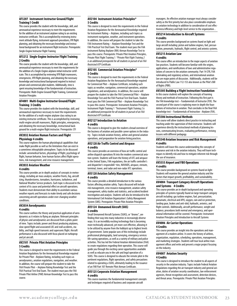#### <span id="page-24-0"></span>**AF3207 Instrument Instructor Ground/Flight Training1 Credit**

This course provides the student with the knowledge, skill, and aeronautical experience necessary to meet the requirements for the addition of an instrument airplane rating to an existing instructor certificate. This is accomplished by reviewing instrument attitude flying, instrument approach procedures, IFR flight planning, and obtaining the necessary knowledge and instructional background for an instrument flight instructor. Prerequisite: Single-Engine Instructor Flight Training

#### **AF3212 Single-Engine Instructor Flight Training 2 Credits**

This course provides the student with the knowledge, skill, and aeronautical experience necessary to meet the requirements for the addition of a Single-Engine airplane initial instructor certificate. This is accomplished by reviewing VFR flight maneuvers, emergencies, VFR flight planning, and obtaining the necessary knowledge and instructional background required to instruct private and commercial pilot students. Additionally, time is spent ensuring knowledge of the fundamentals of instruction. Prerequisite: Multi-Engine Ground/Flight Training, Commercial Aviation Principles

#### **AF4001 Multi-Engine Instructor Ground/Flight Training 3 Credits**

This course provides the student with the knowledge, skill, and aeronautical experience necessary to meet the requirements for the addition of a multi-engine airplane class rating to an existing instructor certificate. This is accomplished by reviewing multi-engine aircraft maneuvers, flight principles, emergencies, and obtaining the necessary knowledge, instructional background for a multi-engine flight instructor. Prerequisite: CFI

#### **AV2032 Aviation Human Factors and Flight Physiology 4 credits**

This course explores the human physiological capabilities that make flight possible as well as the limitations that can exist in a sometimes inhospitable atmosphere. Topics to be discussed include: aeromedical factors, physiology of flight, psychology of flight, human behavior, how human factors affect flight operations, risk management, and crew resource management.

#### **AV2033 Aviation Weather 4 credits**

This course provides an in-depth analysis of concepts in meteorology, including air mass analysis, weather fronts, fog, aircraft icing, thunderstorms, tornadoes, hurricanes, turbulence, and National Weather Service products. Each topic is discussed in the context of its cause and potential effect on aircraft operations. Students must demonstrate their ability to assimilate various weather reports and forecasts to make timely and safe decisions concerning aircraft operations under ever-changing weather conditions.

#### **AV2034 Aerodynamics 4 credits**

This course outlines the theory and practical application of aerodynamics as it relates to flying an airplane. Relevant principles of physics and aerodynamics are discussed from a pilots point of view. Topics include; power and thrust producing airplanes, slow speed flight and associated LOC and stall accidents, stability, and high speed transonic and supersonic flight. Aircraft performance is also discussed with focus placed on turboprop and jet aircraft.

#### **AV2101 Private Pilot Aviation Principles 5 Credits**

This course is designed to meet the requirements in the Federal Aviation Regulations for the Aeronautical Knowledge required for Private Pilot - Airplane Rating, including such topics as aerodynamics, aviation regulations, navigation, and weather. In addition, the course will prepare the student to take the FAA Private Pilot – Airplane Rating Knowledge Test and the FAA Practical Test Oral Exam. The student must pass the FAA Private Pilot Airline (PAR) Airman Knowledge Test to pass this course.

#### **AV2104 Instrument Aviation Principles\* 5 Credits**

This course is designed to meet the requirements in the Federal Aviation Regulations for the Aeronautical Knowledge required for Instrument Rating – Airplane, including such topics as instrument navigation, weather, and instrument operations. In addition, the course will prepare the student to take the FAA Instrument Rating – Airplane Knowledge Test and the FAA Practical Test Oral Exam. The student must pass the FAA Instrument Rating Airplane (IRA) Airman Knowledge Test to pass this course. Prerequisite: Private Pilot Aviation Principles, Private Pilot Flight Training 1 *\*Private Pilot Flight Training 2 is an additional prerequisite for all students in pursuit of an FAA Restricted ATP Certificate.*

#### **AV2105 Commercial Aviation Principles\* 5 Credits**

This course is designed to meet the requirements in the Federal Aviation Regulations for the Aeronautical Knowledge required for Commercial Pilot – Airplane Certificate, including such topics as weather, navigation, commercial operations, aviation regulations, and aerodynamics. In addition, the course will prepare the student to take the FAA Commercial Pilot – Airplane Knowledge Test and the FAA Practical Test Oral Exam. Student must pass the FAA Commercial Pilot – Airplane Knowledge Test to pass this course. Prerequisite: Instrument Aviation Principles, Instrument Flight Training 1 *\*Instrument Flight Training 2 is an additional prerequisite for all students in pursuit of an FAA Restricted ATP Certificate.*

#### **AV2127 Introduction to Aviation 4 credits**

This course is designed to give the student a broad overview of the business of aviation and possible career options in the industry. Topics include aviation history, airline and general aviation operations, and preparation for aviation hiring practices.

#### **AV2128 Air Traffic Control and Airspace 4 credits**

This course provides an overview of how air traffic control and airline dispatch operations fit into the modern commercial aviation system. Students will learn the history of ATC and airspace in the United States, FAA regulations, the air traffic controller's and dispatcher's responsibili¬ties, NAVAIDS, airspace, enroute, terminal, tower, and radar and non-radar ATC operations.

#### **AV3120 Aviation Safety Management 4 credits**

This course provides a detailed introduction to the various factors affecting aviation safety. Topics discussed will include risk management, crew resource management, aviation safety management, safety studies and statistics, and accident/incident investigation and analysis. Students will also be introduced to the International Civil Aviation Organization's Safety Management System (SMS). Prerequisite: Private Pilot Aviation Principles

#### **AV3124 Unmanned Aircraft (UAS) 4 credits**

Small Unmanned Aircraft Systems (SUAS), or "drones", are finding their way into many industries in increasingly diverse ways. It is an incredibly exciting technology that is becoming more technically advanced, yet more cost effective, allowing it to be utilized by anyone from the hobbyist up to highest levels of government. Some popular uses of this technology include professional photography, land surveying, emergency services life-saving operations, as well as a variety of military and police activities. This has led the Federal Aviation Administration (FAA) to create regulations regarding their operation. This course will guide you through the exciting career opportunities available as well as educate you in the safe and legal operation of a SUAS. This course is designed to educate the remote pilot in the pertinent regulations, flight operations, and safety precautions related to operating a SUAS, ultimately leading to the issuance of an FAR Part 107 Remote Pilot Airman Certificate.

#### **AV3125 Corporate Aviation Management 4 credits**

This course examines the fundamental management concepts and techniques required of business and corporate aircraft

managers. An effective aviation manager must always consider safety as the first priority but also place considerable emphasis on aviation technology in addition to consideration of cost effectiveness/efficiency and high-level service to the organization..

#### **AV3214 Introduction to Aircraft Systems 4 credits**

This course provides background on systems found on light and large aircraft including: piston and turbine engines, fuel, pressurization, pneumatic, hydraulic, flight control, and avionics systems.

#### **AV3215 Aviation Law 4 credits**

This course offers an introduction to the major aspects of aviation law practices. Students will become familiar with the origins, applications, and ramifications of laws and administrative regulations of concern to the aviation community. Part 14 CFR, FAA rulemaking and regulatory actions, and international aviation law are major points of discussion. Additionally, students will be introduced to Public Law 112-153 also known as the Pilot's Bill of Rights (PBR)

#### **AV3305 Building a Flight Instruction Foundation**

In this course students will explore the concepts of learning theory and methods of instruction. Following this first part is the FAA knowledge test – Fundamentals of Instructor (FOI). The second part of the course is exploring more in-depth the foundations of instruction in aviation. That concludes in the final FAA knowledge test – Fundamentals of Instruction - Airplane (FIA).

#### **AV3306 Instructional Methods**

This course will allow students direct practice in instructing and teaching under the supervision of their instructor. Students will experience directly the instructional methods of planning lessons, communicating lessons, evaluating performance, revising lessons with different pedagogy.

#### **AV3340 Aviation Insurance and Risk Management 4 credits**

Students will leave this course understanding the concepts of insurance and risk in the aviation industry. They will learn techniques to identify risk and how to mitigate inherent risk through the use of insurance.

#### **AV3555 Airport and FBO Operations 4 credits**

This course provides background on systems found on light Students will examine the general aviation industry and the factors that impact growth, profitability, and sustainability.

#### **AV4004 Transport Category Aircraft Operations and Systems 4 Credits**

This course provides an in-depth background and operating principles of systems typically found on large transport category aircraft including: gas turbine engines, fuel, pressurization, pneumatic, electrical and APU, oxygen, rain and ice protection, landing gear, brakes and anti-skid, hydraulic, avionics, and flight controls. Additionally, aircraft performance, weight and balance, procedures both normal and emergency, and operational information will be covered. Prerequisite: Instrument Aviation Principles and Introduction to Aircraft Systems

#### **AV4006 Air Carrier Operations 4 Credits**

This course provides an insight into the operations and management of a modern airline. It covers the history of airlines, organization, regulation, scheduling, operations, management, and marketing strategies. Students will tour local airline management offices and write and present a major project focusing on the industry.

#### **AV4007 Aviation Security 4 Credits**

This course is designed to introduce the student to all aspects of security in the aviation industry. Topics include Federal Aviation Regulations regarding the air transport industry and general aviation, duties of aviation security coordinators, law enforcement agencies, threat recognition and assessment, detection devices, and threat areas. Prerequisite: Private Pilot Aviation Principles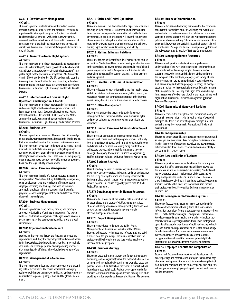#### <span id="page-25-0"></span>**AV4011 Crew Resource Management 4 Credits**

This course provides students with an introduction to crew resource management operations and procedures as would be experienced in a transport category, multi-pilot crew aircraft. Fundamentals of, operations with, pitfalls, crew dynamics, crew rest, and human factors are all discussed in the context of operations with pilots, flight attendants, ground service, and dispatchers. Prerequisite: Commercial Rating and Introduction to Aircraft Systems

#### **AV4012 Aircraft Electronic Flight Systems 4 Credits**

This course provides an in-depth background and operating principles of Electronic Flight Systems typically found on both small GA and large transport category aircraft including: Aircraft integrated flight control and instrument systems, FMS, Autopilots, Garmin G1000, and Bombardier CRJ EFIS and controls. Learning is accomplished through either lecture, discussion, or hands-on training utilizing computer-based interactive training software. Prerequisites: Instrument Flight Training 2 and Intro to Aircraft Systems

#### **AV4013 International and Oceanic Flight Operations and Navigation 4 Credits**

This course provides an in-depth background of international and oceanic flight operations and navigation. Students will learn about International Operational Requirements, RVSM, International ADS-B, Oceanic RNP, ETOPS, eAPIS, and MNPS among other topics concerning international operations. Prerequisite: Instrument Flight Training 2 and Aviation Weather

#### **BA2001 Business Law 6 Credits**

This course provides an overview of business law. A knowledge of business law is indispensible for addressing the legal questions that arise periodically during the course of business operations. This course does not try to train students to be attorneys; instead, it introduces students to various aspects of legal topics and terminology and gives them a better understanding of when an attorney's services should be used. These topics include property, e-commerce, contracts, agency, negotiable instruments, corporations, and the legal liability of accountants.

#### **BA2002 Human Resource Management 6 Credits**

This course explores the role of a human resource manager in an organization. Students will study Total Quality Management, equal employment laws and legislation, affirmative action, employee recruiting and training, employee performance appraisals, employee rights and compensation & benefits programs, as well as employee motivation and effective communication in the workplace.

#### **BA2004 Business Management 6 Credits**

This course produces a clear, concise, current, and thorough approach to basic skills of business management. The course addresses traditional management challenges as well as contemporary issues related to people, quality, ethics, and the global environment.

# **BA2006 Organization Development I**

**6 Credits**

Students in this course will study the functions of groups and organizations, and study the psychological foundations of behavior in the workplace. Student will analyze and examine multiple case studies on creating a positive and empowering workplace that maximizes the efficient and profitable development of the organization.

#### **BA2010 Management of e-Commerce 6 Credits**

This course provides a clear and concise approach to the expanding field of e-commerce. The course addresses the emerging technological changes taking place in this area and contemporary issues related to people, quality, ethics, and the global environment.

#### **BA2012 Office and Clerical Operations 6 Credits**

This course acquaints the student with the paper flow of business, focusing on the needs for records retention, and stressing the importance of management of information within the business environment. In addition, this course will cover the importance of communication to help the student become a better office manager by showing how to change perspective and behavior, leading to job satisfaction and increasing productivity.

#### **BA2013 Staffing & Human Relations 6 Credits**

This course focuses on the staffing side of management-employee relations. Students will learn how to develop an effective team in the workplace and how to achieve a successful person/job and person/organization match. Components of this class include external influences, staffing support systems, staffing, activities, and management.

#### **BA2015 Essentials of Business Communication 6 Credits**

This course focuses on basic writing skills and then applies these skills to a variety of business forms (memos, letters, reports, and resources). Modern day communication topics on the Internet, e-mail usage, diversity, and business ethics will also be covered.

#### **BA2016 Office Management 6 Credits**

This course is designed to teach students the functions of management, help them identify their own leadership styles, and provide solutions to common problems that arise in the workplace.

#### **BA2114 Human Resources Administration Project 6 Credits**

This course is an application of information students have acquired in all course work in this program. Students will study how an organization interacts with its environment, technology, and climate in the business community today. Student teams will research, write, and present information on a selected or assigned company.Prerequisite: Business Management *or* Staffing & Human Relations *or* Human Resources Management

#### **BA2600 Business Analysis**

#### **6 Credits**

This introductory course in business analysis allows students the opportunity to explore projects in business and plan and organize the project by creating the scope and eliciting requirements. Business analysts work in tandem with management to explore process creation. This course is typically paired with BA 3878 Project Management I.

#### **BA3876 Data Management in Human Resources 6 Credits**

This course has a focus on all the possible data metrics that can be accumulated in the course of HR Management practices. Students will study various data management systems and look at ways to analyze and interpret data points to make effective management decisions.

#### **BA3878 Project Management I 6 Credits**

This course introduces students to the field of Project Management and the resources available at the PMI site. Students will research techniques and software used and build a project from the ground up. Professional speakers from the profession will be brought into the class to give a real-world interface to the degree path.

#### **BA4001 Business Strategy 6 Credits**

This course presents business strategy and functions (marketing, accounting, and management) within the context of a business as an integrated, interrelated whole, using real examples, cases, and personal profiles. It illustrates how the various business functions interrelate to accomplish goals. Projects create opportunities for students to learn critical thinking and decision-making skills while providing practical experience. Prerequisite: Business Management

#### **BA4002 Business Communication 6 Credits**

This course focuses on developing written and verbal communications for the workplace. Students will study real-world cases and evaluate corporate communication policies and procedures. Working in teams, students will plan and write communications policies for a business setting. Collaborative work groups, critical thinking skills, written and verbal skills, and job search skills will be emphasized. Prerequisite: Business Management *or* Office and Clerical Operations *or* Essentials of Business Communication

#### **BA4003 Managing Human Resources 6 Credits**

This course will provide students with a comprehensive understanding of the ways that organizations and their human resource departments manage people. The course enables students to view the issues and challenges of this field from the viewpoint of the employee, employer, and society. Human Resource managers are no longer limited to service functions such as recruiting and selecting employees. Today, HR managers assume an active role in strategic planning and decision making at their organizations. Meeting challenges head-on and using human resources effectively are critical to the success of any work organization. Prerequisite: Business Management *or* Human Resource Management

#### **BA4004 Economics of Money and Banking 6 Credits**

This course conveys the principles of the economics of money and banking in a conversational style through a series of extended examples. The focus is on presenting basic concepts in-depth and using a step-by-step analysis. Prerequisite: Principles of Accounting I

#### **BA4005 Entrepreneurship**

This course centers around basic concepts of entrepreneurship and self-analysis and awareness. Basic concepts of business are analyzed in the process of creation of new ideas and new processes. Entrepreneurship drives market creation and economic vitality of any community, state, or nation.

#### **BA4007 Law and Ethics of Business 6 Credits**

This course provides a concise explanation of the statutory and case laws that affect business. Students will learn how to use the law as a source for business decision-making. Students will review excerpted cases in the language of the court and will study managerial case studies on business ethics. These cases show the relevance of ethics as it applies to business by requiring students to make value trade-offs that will confront them in their professional lives. Prerequisite: Business Management *or* Business Law

#### **BA4008 Management Information Systems 6 Credits**

This course focuses on management issues surrounding information and telecommunications systems. This course views information technology from the perspective of managers—from the CEO to the first line manager—and presents fundamental knowledge essential to managing information technology successfully within a larger organization. It considers strategic and operational issues, the significance of rapidly advancing technology, and human and organizational issues related to technology introduction and use. The course also addresses management systems and models of successful behavior that capitalize on opportunities and avoid the numerous potential pitfalls. Prerequisite: Business Management *or* Operating Systems

#### **BA4055 Employee Benefits and Compensation 6 Credits**

Students will focus on the construction and development of a benefit package and compensation strategies that enhance organizational development. Students will focus on viewing the topic from both the employee and the employer perspective. Students will analyze various employee packages in the real world to gain needed perspective.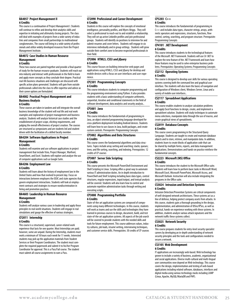#### **BA4057 Project Management II 6 Credits**

This course is a continuation of Project Management I. Students will continue to refine and develop their analytics skills and expertise in initiating and ultimately closing projects. The class will deal with examples of projects from a wide variety of industries and companies from small partnerships to multinational conglomerates. The course will bring in a wide variety of professionals and utilize widely developed resources from the Project Management Institute

#### **BA4072 Case Studies in Human Resource Management 6 Credits**

These two courses are paired together and provide a final quarter of study for the human resource graduate. Students will reach out into industry and interact with professionals in the field to learn and apply more concepts as they conclude their degree. Practical real-life business situations and challenges are discussed with specific action plans generated. Students will gain from outside professionals called into the class to offer expertise and advice as their career options are formulated.

#### **BA4082 Practical Project Management and Business Analysis**

#### **6 Credits**

These courses are taken in tandem and will integrate the overall business knowledge of the student will real life and real work examples and exploration of project management and business analysis. Students will analyze historical case studies and the establishment of project scope, eliciting requirements, and judging the overall effectiveness of project creation. The courses are structured as symposiums and are students led and student driven with the facilitation of a skilled faculty member.

#### **BA4204 Software Applications in Project Management**

#### **6 Credits**

Students will examine and use software applications in project management that include Visio, Project Manager, Warfront, SmartSheet, and Excel. Students will explore and analyze the use of computer applications such as Google Suite.

#### **BA4206 Employment Law**

#### **6 Credits**

Students will learn about the history of employment law in the United States and how that evolved to present day. Focus on interactions between employers the EEOC and state agencies that govern employment interactions. Students will look at employment contracts and strategies to ensure nondiscrimination in hiring and promotion practices.

#### **BA4603 Leadership in Human Resource Management 6 Credits**

Students will analyze various cases in leadership and apply those principles to real world situations. Students will engage in real simulations and gauge the effective of various strategies.

#### **CF2011 Internship 6 Credits**

This course is a structured, supervised, career-related work experience that lasts for one quarter. Most Internships are paid; however, some are unpaid. During the Internship, students must work a minimum of 18 hours each week for 11 weeks. Interested students may pick up the application materials from Student Services or their Program Coordinators. The student must complete the required paperwork and submit it to his/her Program Coordinator for approval. This is a Pass/Fail course. The student must submit all course assignments to earn a Pass.-

#### **CF2090 Professional and Career Development 6 Credits**

Students in this course will explore the concepts of emotional intelligence, personality profiles, and Myers-Briggs. They will select a professional to reach-out to and establish a relationship. They will set up active LinkedIn profiles and join professional groups. Students will identify six positions to interview for and submit resumes and cover letters. Students will engage in six interviews individually and in group settings. Students will grow outside their comfort zone to become respected professionals in their field.-

#### **CP2006 HTML5, CSS3 and jQuery 6 Credits**

This course focuses on building interactive web pages and applications using HTML5, CSS3 and jQuery for desktop and mobile devices with a focus on user interfaces and user experience

#### **CP2301 Programming Concepts 6 Credits**

This course introduces students to computer programming and the programming environment using Python. It also provides students with a basic understanding of computer arithmetic, sequential, iterative and conditional statements in the field of software development, data analytics and security analysis..

#### **CP3001 Java 6 Credits**

This course introduces the fundamentals of programming in Java, an object oriented programming language developed for cross-platform deployment including Android devices. Students will learn how to use classes in Java, build packages, and create custom controls.Prerequisite: Programming Concepts

#### **CP3002 Algorithms and Data Structures 6 Credits**

This course covers the fundamental algorithms and data structures. Topics include array sorting and searching; stacks; queues; trees; and file sorting, searching, and indexing. Prerequisites: 12 credits of CP courses

#### **CP3007 Server Side Scripting 6 Credits**

This course presents the Microsoft PowerShell Environment and Shell Scripting in Linux. Scriping offers a great way to automate various IT administration duties. An in depth introduction to PowerShell and Shell Scripting including basic data types, control structures, regular expressions, input/output, and textual analysis will be covered. Students will also learn how to control and automate repetitive administration tasks through writing and executing scripts.

#### **CP3008 Programming Portfolio 6 Credits**

State-of-the-art application systems are composed of components using many different technologies. In this course, students will work as teams and use the skills and technologies they have learned in previous courses to design, document, build, and test state-of-the-art application systems. All aspects of the job search will be covered to provide students with the needed skills and tools for future employment. This course addresses values, industry cultures, job leads, résumé writing, interviewing techniques, and customer service skills. Prerequisites: 30 credits of CP courses

#### **CP3203 C++ 6 Credits**

This course introduces the fundamentals of programming in C++ and includes data types, character strings, arrays, arithmetic operators and expressions, structures, functions, flow control, sorting, searching, and program structure. Prerequisite: Programming Concepts

# **CP4101 .NET Development**

#### **6 Credits**

This course introduces students to the technological features of the Microsoft .NET Framework. Students will use C# .NET to explore the new feature of the .NET Framework and learn how those features may be used to solve enterprise business problems. Prerequisites: Operating Systems; Programming Concepts

# **CS2112 Operating Systems**

**6 Credits**

This course is designed to develop user skills for various operating systems covering both the command line and graphical user interface. The students will also learn the basics of navigation and configuration of Windows client, Windows Server, Linux and a variety of mobile user interfaces..

#### **CS2117 Spreadsheet Applications 6 Credits**

This course enables students to analyze calculation problems and apply Excel functions to design, create, and implement a spreadsheet solution. Students will study techniques to automate menu selections, manipulate data through the use of macros, and create graphical views of spreadsheets.

## **CS2019 Database Concepts**

#### **6 Credits**

This course covers programming in the Structured Query Language. Students are taught to create and maintain database objects and to store, retrieve, and manipulate data. In addition, students learn to create blocks of application code that can be shared by multiple forms, reports, and data management applications. Demonstrations and hands-on practice reinforce the fundamental concepts.

#### **CS2223 Microsoft (MS) Office 6 Credits**

This course introduces the student to the Microsoft Office suite. Students will learn how to perform basic tasks in Microsoft Word, Microsoft Excel, Microsoft PowerPoint, Microsoft Access, and Microsoft Outlook. Instruction will also include integrating the programs in the Office suite.

#### **CS3024 Intrusion and Detection Systems 6 Credits**

Intrusion Detection/Prevention Systems are critical components of well-designed network architectures. These systems act as a line of defense, helping protect company assets from attacks. In this course, students gain a thorough grounding in the design, implementation, and administration of IDSes/IPSes, as well as practical, hands-on experience working with these systems. In addition, students analyze various attack signatures and the network traffic these systems collect.

#### **CS3025 Network Security**

#### **6 Credits**

This course prepares students for entry-level security specialist careers by developing an in-depth understanding of network security principles and the tools and configurations needed to secure a network.

#### **CS3105 Web Development 6 Credits**

#### IT applications are increasingly web-based. Web technology has grown to include a variety of business, academic, organizational and social applications. Diverse multi-cultural and multi-lingual user communities now depend on Web technology. This course covers the design, implementation and testing of web-based applications including related software, databases, interfaces and digital media using various technology stacks including LAMP (Linux, Apache, MySQL/MariaDB and PHP).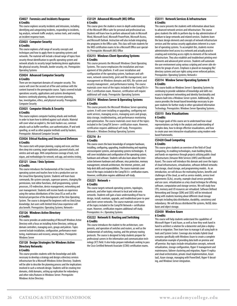#### <span id="page-27-0"></span>**CS4027 Forensics and Incidents Response 6 Credits**

This course explores security incidents and intrusions, including identifying and categorizing incidents, responding to incidents, log analysis, network traffic analysis, various tools, and creating an incident response team.

#### **CS3023 Computer Security**

#### **6 Credits**

This course explores a full range of security concepts and techniques and how to apply them to operating systems and networks. The material will include a broad range of topics from security threat identification to specific operating system and network attacks to security target hardening device applications like physical security, firewalls, border security, etc. Prerequisite: Operating Systems

#### **CS3024 Advanced Computer Security 6 Credits**

There are ten important domains of computer security. This course will cover the second set of five and continue with the content learned in the prerequisite course. Topics covered include operations security, applications and systems development, business continuity planning, disaster recovery planning, law, investigation, ethics, and physical security. Prerequisite: Computer Security

#### **CS3025 Computer Attacks & Security 6 Credits**

This course explores computer hacking attacks and methods in order to learn how to defend against such attacks. Material will cover what an exploit is, the tools hackers use, common attacks such as buffer overflow, user authentication, IP and web spoofing, as well as other popular methods used by hackers. Prerequisite: Advanced Computer Security

#### **CS3026 Ethical Hacking and Structured Defenses 6 Credits**

This course starts with proper planning, scoping and recon, and then dives deep into scanning, target exploitation, password attacks, and wireless and web apps. With comprehensive coverage of tools, techniques, and methodologies for network, web app, and wireless testing.

#### **CS3121 Linux / Unix Systems 6 Credits**

This course introduces the fundamentals of the Linux/Unix operating system and teaches how to be a productive user on the Linux/Unix Operating System. Students will learn basic commands, file system concepts, superuser powers, changing file permissions, text editor functions, shell programming, system processes, I/O redirection, device management, networking and user management. Students will receive hands-on experience using the various distributions of the Linux OS as well as the historical perspective of the development of the Unix Operating System. The course is designed for beginners with no Unix/Linux knowledge, but users with limited Unix/Linux experience will also benefit. Prerequisites: Operating Systems; Network+

#### **CS3126 Windows Active Directory 6 Credits**

This course provides an understanding of Microsoft Windows Active Directory with a focus on installing Active Directory, setting up domain controllers, managing users, groups and policies. Topics covered include installation, configuration, performance monitoring, maintenance and recovery, among others. Prerequisite: Windows Server

#### **CS3128 Design Strategies for Windows Active Directory Networks 6 Credits**

This course provides students with the knowledge and skills necessary to develop a strategy and design a directory services infrastructure for a Microsoft Windows Active Directory. Students will be able to describe the planning process and the implications involved in such a network design. Students will be creating tree domains, child domains, setting up replication for redundancy and other roles/features in Windows Server. Prerequisite: Windows Active Directory

#### **CS3129 Advanced Microsoft (MS) Office 6 Credits**

This course gives the student a more in-depth understanding of the Microsoft Office suite for personal and professional use. Students will learn how to perform advanced tasks in Microsoft Word, Microsoft Excel, Microsoft PowerPoint, Microsoft Access, and Microsoft Outlook. Instruction will also include integrating the programs in the Office suite. This class will train students for the MOS certification exams to be a Microsoft Office user specialist. Prerequisite: Microsoft (MS) Office

#### **CS3213 Windows Client Operating Systems 6 Credits**

This course presents the Microsoft Windows Client Operating Systems. The course emphasizes the installation and management of this platform. It will cover installation and configuration of the operating system, hardware and software, network connectivity, print and file management, user management on Windows domains and ADS, file system and security management , and performance tuning. The course materials cover most of the topics included in the CompTIA A+ Part 2 certification exam. However, certification will require additional self-study. Prerequisite: Operating Systems

#### **CS3214 Windows Server & Operating Systems 6 Credits**

This course presents the Microsoft Windows Server operating system. It will cover installing or upgrading, configuring network services, managing access, managing users and groups, data storage, troubleshooting, and performance monitoring and optimization. The course materials cover most of the topics included in the CompTIA Server+ certification exam. However, certification requires additional self study. Prerequisites: Network+; Windows Desktop Operating Systems

#### **CS3216 A+ 6 Credits**

This course covers the basic knowledge of computer hardware, installing, configuring, upgrading, troubleshooting and repairing microcomputer systems, and operating systems technologies. It will cover installation and configuration of the operating system, hardware and software. Students will also learn about the interaction between hardware and software, virus protection, memory management, network architecture, the Internet, printers, and help desk skills and responsibilities. The course materials cover most of the topics included in the CompTIA A+ certification exams. However, certification requires additional self-study.

#### **CS3221 Network + 6 Credits**

This course targets network operating systems, topologies, protocols, and other topics relevant to local and wide area networks. Students will gain a basic understanding of how to design, install, maintain, upgrade, and troubleshoot peer-to-peer and client-server networks. The course materials cover most of the topics included in the CompTIA Network+ certification exam. However, certification requires additional self study. Prerequisites: A+; Operating Systems

#### **CS3222 Network II: Routing and Switching 6 Credits**

This course introduces the student to the architecture, components, and operation of switches and routers, as well as the fundamentals of switching, routing, and the primary routing protocols. The course is designed to help students prepare for professional careers in the information and communication technology (ICT) field. It also helps prepare individuals seeking to pass the Cisco Certified Network Associate (CCNA) certification exams.

#### **CS3311 Network Services & Infrastructure 6 Credits**

This course presents the students with information about basic to advanced network services and infrastructure. The course gives students the skills to perform day-to-day administration of medium to large networks and related services. Students learn the basic design elements and concepts of network infrastructure services and the various security applications inherent in a number of operating systems. To accomplish this, students receive administrative level access to a network and actually practice creating and restricting access rights to elements of the network infrastructure. They also establish and troubleshoot printing environments and advanced print services. Students will automate the user environment using various scripting and server side elements for groups of users. Emphasis is placed on managing file/ directory systems and user rights using server enforced policies. Prerequisites: Operating Systems; Network+

#### **CS3314 Window Server Operating Systems II 6 Credits**

This course builds on Windows Server I: Operating Systems by continuing to provide validation of knowledge and skills necessary to implement networking and identity functionality and features built into a Windows Server system. Additionally, the course provides the broad-based knowledge necessary to prepare students for further study in other specialized Information Technology. Prerequisites: Windows Server Operating Systems .

#### **CS3315 Data Visualizations 6 Credits**

The major goals of this course are to understand how visual representations can help in the analysis and understanding of complex data, how to design effective visualizations, and how to create your own interactive visualizations using modern webbased frameworks.

#### **CS3420 Cloud Computing 6 Credits**

This course gives students an overview of the field of Cloud Computing, its enabling technologies, main building blocks, and hands-on experience through projects utilizing public cloud infrastructures (Amazon Web Services (AWS) and Microsoft Azure). The course will introduce this domain and cover the topics of cloud infrastructures, virtualization, software defined networks and storage, cloud storage, and programming models. As an introduction, we will discuss the motivating factors, benefits and challenges of the cloud, as well as service models, service level agreements (SLAs), security, example cloud service providers and use cases. virtualization as a key cloud technique for offering software, computation and storage services. We will study how CPU, memory and I/O resources are virtualized. Software Defined Networking and Storage (SDN) and (SDS) will be introduced along with students learning about different cloud storage concepts including data distribution, durability, consistency and redundancy. We will discuss distributed file systems, NoSQL databases and object storage.

#### **CS3430 Window Azure 6 Credits**

This course will help students understand the capabilities of Microsoft Hyper-V and Azure, as well as how they work hand in hand to architect a solution for a datacenter and plan a deployment or migration. Then learn how to manage it all using built-in tools and System Center. Coverage also includes hybrid cloud scenarios specifically with Windows Azure to create a complete virtualization example of providing data both on premise and off premise. Key topics include virtualization concepts, network virtualization, storage configuration, Hyper-V management and maintenance, failover clustering and migration, Hyper-V replica and cloud orchestration, private cloud implementation, Azure IaaS, Azure storage, managing with PowerShell, Hyper-V decoding, and Windows Server integration.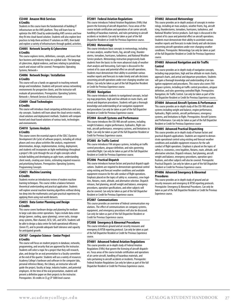#### **CS3440 Amazon Web Services 6 Credits**

Students in this course learn the fundamentals of building IT infrastructure on the AWS platform. They will learn how to optimize the AWS Cloud by understanding AWS services and how they fit into cloud-based solution. Students will also explore best practices to help them architect IT solutions on AWS, then build and explore a variety of infrastructures through guided, activities.

#### **CS4005 Network Security & Cybercrime 6 Credits**

This course explores terms, definitions, concepts, and issues that face business and industry today on a global scale. The language of cybercrime, digital evidence, and laws relating to jurisdiction, search and seizure will be covered. Prerequisites: Operating Systems; Network+

### **CS4006 Network Design / Installation**

**6 Credits**

This course will use a hands-on approach to teaching network design and installation. Students will present various networking environments for prospective clients, and the instructor will evaluate all presentations. Prerequisites: Operating Systems; Network+; Network Services & Infrastructure

#### **CS4009 Cloud Technologies 6 Credits**

This course will introduce cloud computing architecture and security concepts. Students will learn about the cloud service models, cloud solutions and deployment methods. Students will compare hosted and cloud-based solutions of various tools, technologies and environments.

#### **CS4010 Systems Analysis 6 Credits**

This course covers the essential aspects of the SDLC (Systems Development Life Cycle) of software projects, including all critical phases and cross-phase activities like analysis, requirement determination, design, implementation, testing, deployment, and students will incorporate an Agile methodology throughout a project's life cycle through the use of agile concepts which include building and developing an agile team, understanding client needs, creating user stories, estimating required resources and prioritizing features. Prerequisites: Operating Systems; Programming Concepts

#### **CS4021 Machine Learning 6 Credits**

Students receive an introductory review of modern machine learning techniques. This course strikes a balance between theoretical understanding and practical application. Students will explore several machine learning algorithms without diving too deep into the mathematics and gain practical experience by applying them using real world datasets.

#### **CS4035 Data Center Planning and Design 6 Credits**

This course covers hardware design and planning for medium to large scale data center operations. Topics include data center design (power, cooling, space planning), server racks, storage array systems, fiber channel, iSCSI, SAS, and SATA. Students will be able to design a data center for both operational efficiency (Green IT), and to provide adequate fault tolerance and capacity for anticipated growth.

#### **CS4107 Computer Science - Senior Project 6 Credits**

This course will focus on student projects in database, networks, programming, and security that are approved by the instructor. Students will select a topic for a project that they will research, plan, and design for an oral presentation to a faculty committee at the end of the quarter. Students will use a variety of resources: Academy College's hardware and software in the computer labs, personal reference library, the Library, an instructor who will guide the project, faculty at large, industry leaders, and potential employers. At the time of the oral presentation, students will present a definitive paper on their projects to the instructor. Prerequisites: 30 credits in CS *or* CP 5000 level courses

#### **DT2001 Federal Aviation Regulations**

This course introduces Federal Aviation Regulations (FARs) that govern the licensing of aircraft dispatchers. Focus areas of the course include certification and operations of air carrier aircraft, handling of hazardous materials, and rules pertaining to aircraft accidents or incidents Can only be taken as part of the full Dispatcher Resident or Credit for Previous Experience course.

#### **DT2002 Meteorology**

This course introduces basic concepts in meteorology, including air mass analysis, weather fronts, fog, aircraft icing, thunderstorms, tornadoes, hurricanes, turbulence, and National Weather Service products. Meteorology instruction progressively leads students from the basics to the more advanced study of weather chart analysis and forecasting. Each topic is discussed in the context of its cause and potential effect on aircraft operations. Students must demonstrate their ability to assimilate various weather reports and forecasts to make timely and safe decisions concerning aircraft operations under ever-changing weather conditions. Can only be taken as part of the full Dispatcher Resident or Credit for Previous Experience course.

#### **DT2003 Navigation**

This course introduces students to navigational concepts, including map projections, high and low altitude en route charts, and arrival and departure procedures. Students will gain a thorough knowledge and understanding of air navigation equipment and procedures Can only be taken as part of the full Dispatcher Resident or Credit for Previous Experience course.

#### **DT2004 Aircraft Systems and Performance**

This course introduces the CRJ-900 aircraft systems, including weight & balance, engine performance, hydraulics, flight controls, aircraft performance, emergency systems, and limitations to flight. Can only be taken as part of the full Dispatcher Resident or Credit for Previous Experience course.

#### **DT2005 Air Traffic Control**

This course introduces FAA airspace systems, including air traffic control procedures, airspace definition, and rules governing controlled flight. Can only be taken as part of the full Dispatcher Resident or Credit for Previous Experience course.

#### **DT2006 Practical Dispatch**

This course introduces human factors and practical dispatch applications. Students are required to demonstrate operational control using existing and forecast weather conditions and available equipment resources for the safe conduct of flight operations. Emphasis placed on the topics of safety vs. economics, crew legalities, Notams, route, altitude, and alternative selection. Dispatch releases, fuel planning, aircraft weight and balance, emergency procedures, operation specifications, and other subjects will also be covered. Can only be taken as part of the full Dispatcher Resident or Credit for Previous Experience course.

#### **DT2007 Communications**

This course provides an overview of federal communication regulations. The effect of communications on company systems, equipment, and emergency procedures will also be discussed. Can only be taken as part of the full Dispatcher Resident or Credit for Previous Experience course.

#### **DT2008 Emergency & Abnormal Procedures**

This course introduces ground and air security measures and emergency & NTSB reporting protocol. Can only be taken as part of the full Dispatcher Resident or Credit for Previous Experience course.

**DT4001 Advanced Federal Aviation Regulations**  This course provides an in-depth study of Federal Aviation Regulations (FARs) that govern the licensing of aircraft dispatchers. Focus areas of the course include certification and operations of air carrier aircraft, handling of hazardous materials, and rules pertaining to aircraft accidents or incidents. Prerequisite: Federal Aviation Regulations Can only be taken as part of the full Dispatcher Resident or Credit for Previous Experience course.

#### **DT4002 Advanced Meteorology**

This course provides an in-depth analysis of concepts in meteorology, including air mass analysis, weather fronts, fog, aircraft icing, thunderstorms, tornadoes, hurricanes, turbulence, and National Weather Service products. Each topic is discussed in the context of its cause and potential effect on aircraft operations. Students must demonstrate their ability to assimilate various weather reports and forecasts to make timely and safe decisions concerning aircraft operations under ever-changing weather conditions. Prerequisite: Meteorology Can only be taken as part of the full Dispatcher Resident or Credit for Previous Experience course.

#### **DT4003 Advanced Navigation and Air Traffic Control**

This course provides an in-depth study of navigation concepts, including map projections, high and low altitude en route charts, approach charts, and arrival and departure procedures. Students will gain a thorough knowledge and understanding of air navigation equipment and procedures. This course also covers FAA airspace systems, including air traffic control procedures, airspace definition, and rules governing controlled flight. Prerequisites: Navigation; Air Traffic Control. Can only be taken as part of the full Dispatcher Resident or Credit for Previous Experience course.

#### **DT4004 Advanced Aircraft Systems & Performance**

This course provides an in-depth study of the CRJ-900 aircraft systems including weight and balance, engine performance, hydraulics, flight controls, aircraft performance, emergency systems, and limitations to flight. Prerequisites: Aircraft Systems and Performance. Can only be taken as part of the full Dispatcher Resident or Credit for Previous Experience course

#### **DT4005 Advanced Practical Dispatching**

This course provides an in-depth study of human factors and practical dispatch applications. Students are required to demonstrate operational control using existing and forecast weather conditions and available equipment resources for the safe conduct of flight operations. Emphasis is placed on the topics of safety vs. economics, crew legalities, Notams, route, altitude, and alternative selection. Dispatch releases, fuel planning, aircraft weight and balance, emergency procedures, operation specifications, and other subjects will also be covered. Prerequisite: Practical Dispatch. Can only be taken as part of the full Dispatcher Resident or Credit for Previous Experience course.

#### **DT4006 Advanced Emergency & Abnormal Procedures**

This course provides an in-depth study of ground and air security measures and emergency & NTSB reporting protocols. Prerequisite: Emergency & Abnormal Procedures. Can only be taken as part of the full Dispatcher Resident or Credit for Previous Experience course.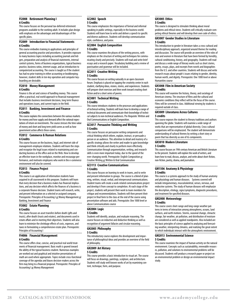#### <span id="page-29-0"></span>**FI2008 Retirement Planning I 6 Credits**

This course focuses on the personal tax-deferred retirement programs available to the working adult. It includes plan design with emphasis on the advantages and disadvantages of the specific plans.

#### **FI2009 Introduction to Financial Statements 6 Credits**

This course embodies training in applications and principles of general accounting practice and procedures. It provides exposure to many business topics including accounting journals and ledgers, preparation and analysis of financial statements, internal control systems, forms of business organizations, typical business practice, business ratios, internet usage, and an introduction to computerized accounting. The course is taught as if the student has had no prior training in either accounting or bookkeeping; however, student skills in ten-key operation and computer keyboarding are desirable.

#### **FI2010 Money Management 6 Credits**

Finance is the art and science of handling money. This course offers a practical, real world approach to financial management that includes business investment decisions, long term finance and operations issues, and current topics in the field.

#### **FI2011 Banking, Investment and Finance 6 Credits**

This course explains the connections between the various markets for money and how supply and demand affect the rational expectations of return on investments. The course stresses the time value of money and short and long term yield curves as well as how government action affects these curves.

#### **FI2012 Commerce & Human Relations 6 Credits**

This course focuses on the business, legal, and internet side of management-employee relations. Students will learn the steps and recognize the legal issues related to maintaining and conducting business at the office and on the Web. How to develop an effective team in the workplace, monitor and encourage performance, and motivate employees who work in the e-commerce environment will also be covered.

#### **FI2013 Finance Project 6 Credits**

This course is an application of information students have acquired in all coursework in this program. Students will learn that every decision that a business makes has financial implications, and any decision which affects the finances of a business is a corporate finance decision. Student teams will research, write, and present information on a selected or assigned company. Prerequisite: Principles of Accounting I *or* Money Management *or* Banking, Investment and Finance

#### **FI3002 Estate Planning 6 Credits**

This course focuses on asset transfers before death (gifts and trusts), after death (trusts and estates), and documents used in estate affairs and in meeting their objectives. Students will also learn to minimize the shrinkage effects of costs, expenses, and taxes in formulating a comprehensive estate plan. Prerequisite: Principles of Accounting I

#### **FI4006 Financial Management 6 Credits**

This course offers clear, concise, and practical real world treatments of financial management. Basic math is geared toward the ability of the typical business student. Numerous examples are worked out and graphical and intuitive presentations of math are used where appropriate. Topics include cross-functional coverage of the agendas and biases decision-makers across the firm may bring to a financial proposal. Prerequisite: Principles of Accounting I *or* Money Management

#### **GC2002 Speech 5 Credits**

This course emphasizes the importance of formal and informal speaking in public settings, especially in the business world. Students will learn how to write and deliver a speech to specific and diverse audiences. Students will develop communication style, confidence, and poise.

#### **GC2004 English Composition 5 Credits**

This course examines the phases of the writing process, with emphasis on the structure of writing and techniques for communicating clearly and precisely. Students will read and write brief essays and a research paper. Vocabulary building and a review of punctuation and grammar will be included.

#### **GC2011 Creative Writing 5 Credits**

This course focuses on writing naturally in an open classroom forum. Emphasis is placed on tapping the creativity center in each student, clarifying ideas, visions, stories, and experiences. Students will prepare short exercises and then work toward creating short fiction and/or a short series of poems.

#### **GC3001 Technical Writing 5 Credits**

This course introduces students to the processes and applications of technical writing. Students will learn how to develop a range of technical documents and communicate their knowledge of technical subjects to non-technical audiences. Pre-Requisite: Written and Oral Communications or English Composition.

#### **GC3017 Persuasive Thinking and Writing 5 Credits**

This course focuses on persuasive writing components and critical thinking which inform, explain, instruct, or persuade a person or an audience. This attention to detail and mastery of a specific strategy allows the writer and reader to gain knowledge and think critically and clearly to perform more effectively. Communication through argumentation, writing, and research skills is even more important today, due to the speed of the ever-changing world.Prerequisite: English Composition *or* Creative Writing *or* Written & Oral Communication

#### **GC3113 Creative Communications 5 Credits**

This course focuses on learning to work in teams, and to write and present information to groups. The course is a blend of planning, written, visual, verbal, and interpersonal communications. Student teams will create a work-related communications project and develop it from concept to completion. At each stage of the project, students will present their work to team members for critique and recommendations. Students will then present their project in final form to the class at the end of the course using presentation software and aids.Prerequisite: One 1000 level or above Communications course

#### **GH2004 Logic**

#### **5 Credits**

Students will identify, analyze, and evaluate reasoning. The course focuses on inductive and deductive thinking as well as recognition of argument fallacies and circular reasoning.

#### **GH2005 Philosophy**

**5 Credits**

This introductory course explores the development and importance of philosophical ideas and provides an overview of the field of philosophy.

# **GH2009 Art History**

#### **5 Credits**

This course provides a basic introduction to visual art. The course will focus on drawings, paintings, sculpture, and architecture. Students will study well known works of art by examining content, technique, form, and purpose.

#### **GH3005 Ethics 5 Credits**

This course is designed to stimulate thinking about moral problems and ethical views. Students will critically evaluate competing ethical theories and will develop their own code of ethics.

#### **GH3007 Gender Studies in Literature 5 Credits**

This introduction to gender in literature takes a cross-cultural and interdisciplinary approach, organized around themes for reading and discussion. The course will provide an overview of the roles of men and women in literature that have been formed by heredity, cultural conditioning, history, and geography. Students will read and discuss a wide range of literary works such as short stories, poetry, essays, plays, and excerpts from novels and biographies from the U.S. and other countries. Students will discuss and write research essays about people's issues relating to gender, identity, human worth, and dignity. Prerequisite: One 1000 level or above Humanities course

#### **GH3008 Film in American Society 5 Credits**

This course will examine the history, theory, and sociology of American cinema. The structure of films and the cultural and economic conditions they reflect will be the focus of the course. Films will be screened in class. Additional viewing by students is required outside of class.

#### **GH3009 Literatures Across Cultures 5 credits**

This course exposes the student to literary traditions and authors spanning the globe. Students will examine a wide range of works that are representative of global diversity. Cross-cultural comparisons will be emphasized. The student will demonstrate understanding of cultural themes by writing a short story or poem that has diversity as one of its components.

#### **GH3010 Modern Literature**

**5 Credits** This course focuses on 19th century American and British Literature

to the present. Students will explore the work of writers, and learn how to read, discuss, analyze, and write about short-fiction, non-fiction, poetry, drama, and journalism.

#### **GM1506 Anatomy & Physiology 5 Credits**

This course is a systems approach to the study of human anatomy and physiology and human diseases. Systems covered will include integumentary, musculoskeletal, senses, nervous, and endocrine systems. The study of human diseases will emphasize the description, etiology, signs/symptoms, diagnostic procedures, and treatment for specified diseases.

#### **GM2008 Meteorology 5 Credits**

This course covers short-range and long-range weather patterns in terms of interaction among atmospheres, oceans, land surfaces, and earth motions. Storms, seasonal change, climactic change, fair weather, air pollution, and distribution of moisture are considered as well as applied standpoints. Also included are the basic principles of science applied to analyzing and forecasting weather, interpreting climates, and realizing the great extent to which individuals interact with the atmospheric environment.

#### **GM2013 Environmental Science 5 Credits**

This course examines the impact of human activity on the natural environment. Concepts such as sustainability, renewable resources, pollution, and solutions to environmental problems will be discussed. Students will produce a research paper or project on an environmental problem or design an environmental impact study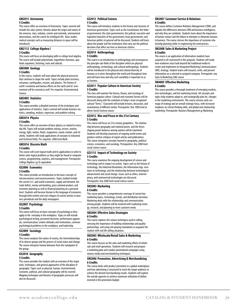#### **GM2015 Astronomy 5 Credits**

This course offers an overview of Astronomy. Topics covered will include the solar system, theories about the origin and nature of the universe, stars, nebulae, comets and asteroids, astronomical observations, and the search for intelligent life. Basic mathematical concepts such as measuring distances in space will be introduced.

#### **GM2112 College Algebra I**

#### **5 Credits**

This course will focus on developing skills in college level algebra. The course will include polynomials, logarithmic functions, quadratic equations, factoring, roots and radicals.

#### **GM3000 Geology**

#### **5 Credits**

In this course, students will learn about the physical processes that continue to shape the earth. Topics include plate tectonics, volcanoes, earthquakes, erosion, and glaciers. The history of earth's evolution and human effects on the earth and its' environment will be covered as well. Pre-requisite: Environmental Science

#### **GM3005 Statistics**

#### **5 Credits**

This course provides a detailed overview of the techniques and applications of statistics. Topics covered will include business statistics, sampling, analysis, regression, and problem solving.

#### **GM3014 Physics**

#### **5 Credits**

This course offers an overview of basic physics as related to everyday life. Topics will include problem solving, vectors, motion, energy, light, matter, fluids, magnetism, sound, motion, and relativity. Students will study applications of concepts to industrial and technical fields. Pre-requisite: 2000 level Math

#### **GM3016 Discrete Math**

#### **5 Credits**

This course will cover logical math and its applications in order to better solve logical problems as they might be found in computer science, programming, statistics, and management. Prerequisite: College Algebra I *or* its equivalent

#### **GS2006 Economics 5 Credits**

This course provides an introduction to the basic concepts of microeconomics and macroeconomics. Topics studied include the current U.S. and world economies, supply and demand, the trade deficit, money and banking, gross national product, and economic planning as well as financial planning on a personal level. Students will become literate in the language of economics through both written and oral critiques of current articles in business periodicals and the daily newspapers.

#### **GS2007 Psychology**

#### **5 Credits**

This course will focus on basic concepts of psychology as they apply in the everyday in the workplace. Topics to will include psychological testing, personnel decisions, performance appraisals, communication, worker attitudes and motivations, common psychological problems in the workplace, and leadership.

#### **GS2009 Sociology 5 Credits**

This course analyzes the nature of society, the interrelationships of its diverse groups and the process of social status and change. The course interprets human behavior from the standpoint of the group.

### **GS2010 Geography**

#### **5 Credits**

This course provides the student with an overview of the major tools, techniques, and general approaches of the discipline of geography. Topics such as physical, human, environmental, economic, political, and cultural geography will be covered. Mapping techniques and theories of geographic processes will also be discussed.

#### **GS2013 Political Science 5 Credits**

This course will introduce students to the history and structure of American government. Topics such as the Constitution; the federal government; the state governments; the judicial, executive and legislative branches of the government; local governments; and American politics in general will be discussed. Students will learn about the people and the institutions that carry out the political decisions that affect our lives as American citizens.

#### **GS2014 Anthropology 5 Credits**

This course is an introduction to anthropology and encompasses the principle sub-fields of the discipline which are physical anthropology, archaeology, and cultural anthropology. Students will be introduced to the physical and cultural diversity of humans as it exists throughout the world and throughout time and will learn how and why such variability is important to us as humans.

#### **GS3011 Popular Culture in American Society 5 Credits**

This class will examine the history, theory, and sociology of American popular culture. Cultural and economic factors will be discussed along with the evolution of today's more recognized cultural "forms." Classwork will include lectures, discussion, and examination of different media. Prerequisite: One 1000 level or above Social Sciences course

#### **GS3012 War and Peace in the 21st Century 5 Credits**

This course will focus on 21st century geopolitics. The relationship between geography and national power, and the forces shaping power balances among nations will be examined. Students will develop awareness of ongoing world events and produce written critiques of expert articles and publications. This course integrates concepts learned in geography, political science, economics, and sociology. Prerequisites: Any 2000 level social science course

#### **GS3115 Impact of Technology on Society 5 Credits**

This course examines the ongoing development of science and technology and its impact on society. Topics such as the history of technology, the Industrial Revolution, the Information Age, resistance to technology, and the relationship between technological advancement and social change. Issues such as ethics, internet piracy, and controversial technologies are discussed. Prerequisite: Any 2000 level social science course

#### **SM2003 Marketing 6 Credits**

This course provides a comprehensive coverage of current key marketing topics, technology, trends, and distribution decisions. Marketing deals with the relationships and communication among people. Students will be involved with marketing strategy, research, and planning to meet customer needs.

#### **SM2004 Effective Sales Strategies 6 Credits**

This course explores the various techniques used in selling, stressing the importance of building relationships and quality partnerships, and using role playing simulations to acquaint the student with real life selling situations.

#### **SM2005 Wholesale/Retail Sales & Marketing 6 Credits**

This course focuses on the sales and marketing efforts of wholesale and retail operations. Students will research and prepare a marketing plan and conduct promotional campaigns using various media and merchandising techniques.

#### **SM2006 Promotion, Advertising & Merchandising 6 Credits**

This course deals with product promotion in a global marketplace and how advertising is structured to reach the target audience to achieve the desired merchandising results. Students will explore the outside agencies to achieve maximum utilization of dollars invested in the promotion budget.

#### **SM2007 Customer Service & Relations 6 Credits**

This course defines Customer Relations Management (CRM), and explains the differences between CRM and business intelligence, and why they are symbiotic. Students learn about the importance of human contact and the failure in attempts to eliminate humans in business. The course stresses the importance of customer relationship planning while re-engineering the work process.

#### **SM2008 Sales & Marketing Project 6 Credits**

This course is an application of information students have acquired in all coursework in this program. Students will study how marketers must look beyond the traditional media to create and implement an Integrated Marketing Communications (IMC) strategy. Student teams will research, write, and present information on a selected or assigned company. Prerequisite: any Sales & Marketing (SM) course

#### **SM4005 Effective Marketing 6 Credits**

This course provides a thorough treatment of emerging markets, new technologies, and hot marketing trends. All concepts and topics help students adapt to, and strategically plan for, changes in the marketing environment. This course stresses early coverage of strategy and an overall strategic focus, with increased emphasis on critical thinking skills, and global and relationship marketing. Prerequisite: Business Management *or* Marketing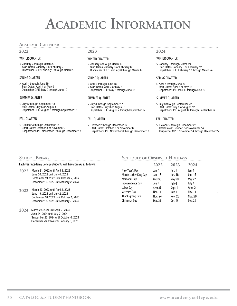# <span id="page-31-0"></span>**ACADEMIC INFORMATION**<br>ACADEMIC CALENDAR

**2022**

> January 3 through March 20 Start Dates: January 3 or February 7 Dispatcher CPE: February 7 through March 20

#### SPRING QUARTER

> April 4 through June 19 Start Dates: April 4 or May 9 Dispatcher CPE: May 9 through June 19

#### SUMMER QUARTER

> July 5 through September 18 Start Dates: July 5 or August 8 Dispatcher CPE: August 8 through September 18

#### FALL QUARTER

> October 3 through December 18 Start Dates: October 3 or November 7 Dispatcher CPE: November 7 through December 18

#### WINTER QUARTER WINTER QUARTER WINTER QUARTER

> January 3 through March 19 Start Dates: January 3 or February 6 Dispatcher CPE: February 6 through March 19

#### SPRING QUARTER

- > April 3 through June 18
- > Start Dates: April 3 or May 8 Dispatcher CPE: May 8 through June 18

#### SUMMER QUARTER

> July 3 through September 17 Start Dates: July 3 or August 7 Dispatcher CPE: August 7 through September 17

#### FALL QUARTER

October 2 through December 17 Start Dates: October 2 or November 6 Dispatcher CPE: November 6 through December 17

### **2023 2024**

> January 8 through March 24 Start Dates: January 8 or February 12 Dispatcher CPE: February 12 through March 24

#### SPRING QUARTER

> April 8 through June 23 Start Dates: April 8 or May 13 Dispatcher CPE: May 13 through June 23

#### SUMMER QUARTER

> July 8 through September 22 Start Dates: July 8 or August 12 Dispatcher CPE: August 12 through September 22

#### FALL QUARTER

> October 7 through December 22 Start Dates: October 7 or November 14 Dispatcher CPE: November 14 through December 22

#### Each year Academy College students will have breaks as follows:

- **2022** March 21, 2022 until April 3, 2022 June 20, 2022 until July 4, 2022 September 19, 2022 until October 2, 2022 December 19, 2022 until January 2, 2023
- **2023** March 20, 2023 until April 2, 2023 June 19, 2023 until July 2, 2023 September 18, 2023 until October 1, 2023 December 18, 2023 until January 7, 2024
- **2024** March 25, 2024 until April 7, 2024 June 24, 2024 until July 7, 2024 September 23, 2024 until October 6, 2024 December 23, 2024 until January 5, 2025

# **SCHOOL BREAKS SCHEDULE** OF **OBSERVED HOLIDAYS**

|                         | 2022           | 2023           | 2024           |
|-------------------------|----------------|----------------|----------------|
| New Year's Day          | Jan. 1         | Jan. 1         | Jan. 1         |
| Martin Luther King Day  | Jan. 17        | Jan. 16        | Jan. 15        |
| Memorial Day            | <b>May 30</b>  | <b>May 29</b>  | May 27         |
| <b>Independence Day</b> | July 4         | July 4         | July 4         |
| Labor Day               | Sept. 5        | Sept. 4        | Sept. 2        |
| Veterans Day            | <b>Nov. 11</b> | <b>Nov. 11</b> | <b>Nov. 11</b> |
| Thanksgiving Day        | Nov. 24        | Nov. 23        | <b>Nov. 28</b> |
| Christmas Day           | Dec. 25        | Dec. 25        | Dec. 25        |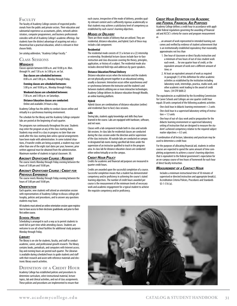### <span id="page-32-0"></span>**Faculty**

The faculty of Academy College consists of respected professionals from the public and private sectors. Their education and substantial experience as accountants, pilots, network administrators, computer programmers, and business professionals coincides with all of Academy College's academic offerings. Our students have the distinct advantage of acquiring not only a theoretical but a practical education, which is relevant in their chosen fields.

*See catalog addendum, "Academy College Faculty."*

### **Class Sessions**

#### *Weekdays*

Classes operate between 8:00 a.m. and 10:00 p.m. Mon. through Fri. and 7:30 a.m. to 3:00 p.m. on Sat.

**Day classes are scheduled between:** 8:00 a.m. and 5:00 p.m., Monday through Friday.

#### **Evening classes are scheduled between:**

5:00 p.m. and 10:00 p.m., Monday through Friday.

**Weekend classes are scheduled between:** 7:30 a.m. and 3:00 p.m. on Saturdays.

**Distance Education classes are conducted:** Online and available 24 hours a day.

Academy College has the ability to conduct classes online and virtually in a synchronous learning environment.

The schedule for the library and the Academy College computer labs are posted at the beginning of each quarter.

The programs run continuously throughout the year. Students may enter the program at any of the class starting dates. Students may enroll in a class in progress no later than one week after the class starting date unless special arrangements have been made with administration. In some isolated situations, if transfer credits are being accepted, a student may start other than one of the eight start dates per year; however, prior written approval must be obtained from the administration. Maximum number of students in typical classroom: 30.

#### *Aircraft Dispatcher Course : Resident*

The course meets Monday through Friday evening between the hours of 5:00 pm and 10:00 pm.

### *Aircraft Dispatcher Course : Credit for*

*Previous Experience*

The course meets Monday through Friday evening between the hours of 5:00 pm and 10:00 pm.

#### *Orientation*

Each quarter, new students will attend an orientation session with representatives of Academy College to discuss college philosophy, policies and procedures, and to answer any questions students may have.

All students must attend an online orientation session upon registration to have access to their electronic gradebooks and prior to their first online course.

#### *School Hours*

Scheduling is arranged in such a way as to permit students to work full or part-time while attending classes. Students are welcome to use all school facilities for additional study purposes Monday through Friday.

#### *Library*

The library is on-site for students, faculty, and staff to conduct academic, career, and professional growth research. The library contains books, periodicals, and computers with Internet access. Day and evening hours are posted each quarter. The Librarian is available during scheduled hours to guide students and staff with their research and assist with reference materials and electronic library search activities.

#### **Definition of <sup>a</sup> Credit Hour**

Academy College has established policies and procedures to determine curriculum, select instructional material, lecture topics, lab and clinical activities, and out of class assignments. These policies and procedures are implemented to ensure that each course, irrespective of the mode of delivery, provides quality relevant content and is sufficiently rigorous academically so that students may achieve a satisfactory level of competency as established by each course's learning objectives.

#### *Modes of Delivery*

There are three modes of delivery that are utilized. They are residential, distance education, and hybrid. Each of these may include a lab component.

#### **Residential**

The residential mode consists of (1) a lecture or a (2) internship or externship. Residential lecture classes include face-to-face instruction and class discussion covering the theory, principles, application, or history of a subject. The residential mode also includes directed field trips and addresses by guest speakers.

#### **Distance Education/Virtual Delivery**

Distance education occurs when the instructor and the students are not physically present together in an educational setting, usually a classroom. Interaction occurs either asynchronous and/ or synchronous between the instructor and the student/s and between students utilizing one or more interactive technologies. Academy College delivers its distance education through Moodle, an online learning platform.

#### **Hybrid**

Hybrid classes are combinations of distance education (online) and residential (face to face) class sessions.

#### **Labs**

During labs, students apply knowledge and skills they have learned in the course. Labs are equipped with hardware, software, and net ware.

Classes with a lab component include both in-class and outside lab sessions. In-class labs for residential classes are conducted during the class session under the direction and/or supervision of the class instructor. All outside labs are conducted on campus in designated lab rooms during specified lab times under the supervision of an instructor qualified to teach in the program area. In-class lab for distance education classes are conducted either online/virtually or on the campus.

#### *Credit Hour Policy*

Credits for academic and financial aid purposes are measured in quarter credit hours.

Credits are awarded upon the successful completion of a course. Successful completion means that a student has demonstrated competency and/or proficiency in achieving the course's stated learning objectives. The number of credit hours awarded per course is the measurement of the minimum levels of necessary work and academic engagement for a typical student to achieve the requisite competency and/or proficiency.

#### *Credit Hour Definition for Academic and Federal Financial Aid Purposes*

Academy College defines a credit hour in accordance with applicable federal regulations governing the awarding of financial aid and ACCSC's criteria for course and program measurement as

- …an amount of work represented in intended learning outcomes and verified by evidence of student achievement that is an institutionally established equivalency that reasonably approximates not less than
	- 1. One hour of classroom or direct faculty instruction and a minimum of two hours of out of class student work each week… for one quarter hour of credit, or the equivalent amount of work over a different amount of time; or
	- 2. At least an equivalent amount of work as required in paragraph (1) of this definition for other academic activities as established by the institution including laboratory work, internships, practica, studio work, and other academic work leading to the award of credit hours. (34 CFR §600.2)

The equivalencies as esablished by the Accrediting Commission for Career Schools and Colleges are one quarter credit hour equals 30 units comprised of the following academic activities

- $-$  One clock hour in didactic learning environment  $= 2$  units
- One clock hour in a supervised laboratory setting of instruc $tion = 1.5$  units
- One hour of out-of-class work and/or preparation for the didactic learning environment or supervised laboratory setting of instruction that are designed to measure the student's achieved competency relative to the required subject matter objectives  $= 0.5$  unit.

A combination of all lecture, laboratory and practicum may be used to determine a credit hour.

For the purposes of allocating financial aid, students in online courses are expected to spend the same amount of time completing assignments to achieve a course's learning objectives that is equivalent to the federal government's expectation for an on-campus course of two hours of homework for each hour of direct faculty instruction.

#### *Measurement of <sup>a</sup> Contact Hour*

Includes a minimum instructional time of 50 minutes of supervised or directed instruction and appropriate break(s). Accreditation Criteria Policies, Procedures and Standards §3-1-516 (a).

![](_page_32_Picture_56.jpeg)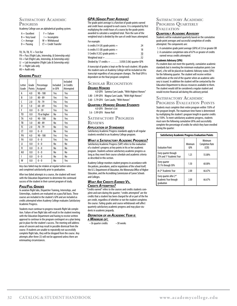#### <span id="page-33-0"></span>**SATISFACTORY ACADEMIC Progress**

Academy College uses an alphabetical grading system.

| $A =$ Excellent  | $F =$ Failure           |
|------------------|-------------------------|
| $B = V$ ery Good | $I = Incomplete$        |
| $C = Average$    | $W = With drawal$       |
| $D =$ Passing    | $CT = C$ redit Transfer |

TO, TA, TB, TC  $=$  Test Out

PA = Pass (Flight Labs, Internship, & Externship only)

FA = Fail (Flight Labs, Internship, & Externship only)  $LI = Lab$  Incomplete (Flight Labs & Externship only)

 $FI = Flight$  Labs only

 $AU =$  Audit only

#### *Grading Policy*

| Letter<br>Grade | Grade<br>Points | Percentage<br>Assigned | Included<br>in GPA | Included<br>in Credits<br>Attempted |
|-----------------|-----------------|------------------------|--------------------|-------------------------------------|
| А               | 4.0             | $90 - 100$             | Yes                | Yes                                 |
| B               | 3.0             | $80 - 89$              | Yes                | Yes                                 |
| C               | 2.0             | 70 - 79                | Yes                | Yes                                 |
| D               | 1.0             | $60 - 69$              | Yes                | Yes                                 |
| F               | 0.0             | $0 - 59$               | Yes                | Yes                                 |
| T <sub>0</sub>  | 0.0             | 70 or higher           | No                 | Yes                                 |
| TA              | 4.0             | $90 - 100$             | No                 | Yes                                 |
| TB              | 3.0             | $80 - 89$              | No                 | Yes                                 |
| TC              | 2.0             | 70 - 79                | No                 | Yes                                 |
| CT              | 0.0             | $0 - 0$                | No                 | Yes                                 |
| PA              | 4.0             | $90 - 100$             | Yes                | Yes                                 |
| FA              | 0.0             | $0 - 0$                | Yes                | Yes                                 |
| П               | 0.0             | $0 - 0$                | No                 | No                                  |
| FI              | 0.0             | $0 - 0$                | No                 | No                                  |
| AU              | 0.0             | $0 - 0$                | No                 | No                                  |
| I               | 0.0             | $0 - 0$                | No                 | No                                  |
| W               | 0.0             | 0 - 0                  | No                 | Yes                                 |

Any class failed may be retaken at regular tuition rates and completed satisfactorily prior to graduation.

After two failed attempts in a course, the student will meet with the Education Department to determine the continued success of the student in their current program of study.

#### *Pass/Fail Grades*

In aviation flight labs, Dispatcher Training, Internships, and Externships, students are evaluated on a pass/fail basis. These courses are included in the student's GPA and are included as credits attempted when Academy College evaluates Satisfactory Academic Progress.

Students must continue to progress towards flight lab completion. Failure of two flight labs will result in the student meeting with the Education Department and having to receive written approval to continue in the program contingent on a plan being put in place for the student's success. The meeting will address areas of concern and may result in possible dismissal from the course. If students are unable to repeatedly not successfully complete flight labs, they will be dropped from the course. Any attempts after three (3) will not be approved unless there are extenuating circumstances.

#### *GPA (Grade Point Average)*

The grade point average is a function of grade points earned and credit hours assigned to each course. It is computed by first multiplying the credit hours of a course by the grade points awarded to calculate a weighted total. Then the sum of the weighted total is divided by the sum of credit hours attempted.

#### For example:

| 6 credits $X$ 4 (A) grade points $=$               | 24 |
|----------------------------------------------------|----|
| 6 credits $X$ 3 (B) grade points $=$               | 18 |
| 5 Credits $X$ 2(C) grade points $=$                | 10 |
|                                                    |    |
| Divided by 17 credits $=$ 3.058 (3.06) quarter GPA |    |

A transcript of grades is kept on file for each student. All grades the student earns at Academy College will be included on the transcript regardless of any program changes. The final GPA is dependent on the final program completed.

#### **Scholar Recognition**

#### *Degree Honors*

4.0 GPA Summa Cum Laude, "With Highest Honors" 3.80 - 3.99 GPA Magna Cum Laude, "With High Honors"

3.60 - 3.79 GPA Cum Laude, "With Honors"

#### *Quarterly Honors: Degree Students*

4.0 GPA Director's List

3.6 - 3.99 GPA Honor Roll

#### **SATISFACTORY PROGRESS Reviews**

#### *Application of Standards*

Satisfactory Academic Progress standards apply to all regular students enrolled in an Academy College program.

#### *What is Satisfactory Academic Progress?*

Satisfactory Academic Progress (SAP) refers to the evaluation of a student's progress at key points in his or her academic program. Students achieve satisfactory academic progress as long as they meet their course schedule and academic criteria as described in this section.

Academy College monitors student progress in accordance with the policies, procedures, and/or regulations of the school itself, the U.S. Department of Education, the Minnesota Office of Higher Education, and the Accrediting Commission of Career Schools and Colleges.

#### *What Are Credits Earned Vs. Credits Attempted?*

"Credits earned" refers to the courses and credits students complete and earn during the quarter; "credits attempted" are the credits that a student has been charged for all or part of the fee per credit, regardless of whether or not the student completes the course. Failing grades and course withdrawals will affect quarterly satisfactory academic progress and may place students in academic jeopardy.

#### *Definition of an Academic Year is*

#### *<sup>a</sup> Minimum of:*

•36 quarter credits •30 weeks

#### **SATISFACTORY ACADEMIC Progress Quarterly Evaluation**

#### *Quarterly Academic Advisory*

Students will be evaluated quarterly based on the cumulative grade point averages and successful completion of credits attempted. The components are:

- 1. A cumulative grade point average (GPA) of 2.0 or greater OR 2. A cumulative completion ratio of 67% or greater of credits
- earned versus credits attempted.

#### **Academic Advisory (SPA)**

If a student does not meet the quarterly, cumulative academic standards but is meeting the minimum evaluation points (see chart), s/he will be placed on Academic Advisory status (SPA) for the following quarter. The student will receive written notification at the end of the quarter when an academic advisory is issued. In addition the student will be contacted by the Education Department to discuss resources available to them. The student would still be considered a regular student and would receive financial aid during this advisory period.

# **Satisfactory Academic**

**Progress Evaluation Points** Students must complete their entire program within 150% of the program length. The maximum time frame is determined by multiplying the student's program length in quarter credits by 150%. To meet satisfactory academic progress, students must earn the following cumulative GPAs and successfully complete the percentage of credits for which they have enrolled during the quarter:

| <b>Satisfactory Academic Progress Evaluation Points</b>                    |                       |                                            |
|----------------------------------------------------------------------------|-----------------------|--------------------------------------------|
| <b>Fvaluation Point</b>                                                    | Minimum<br><b>GPA</b> | Minimum<br><b>Completion Rate</b><br>(CCR) |
| Every quarter through<br>25% and 1 <sup>st</sup> Academic Year             | 1.25                  | 55.00%                                     |
| Every quarter<br>25.1% through 50%                                         | 1.50                  | 60.00%                                     |
| At 2 <sup>nd</sup> Academic Year                                           | 2.00                  | 66.67%                                     |
| Every quarter after 2 <sup>nd</sup><br>Academic Year through<br>graduation | 2.00                  | 66.67%                                     |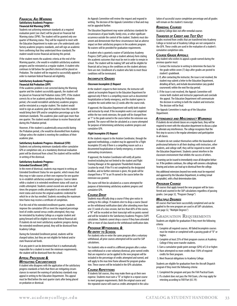#### <span id="page-34-0"></span>*Financial Aid Warning* **Satisfactory Academic Progress– Financial Aid Warning (SPW)**

Students not achieving minimum standards at a required evaluation point (see chart) will be placed on Financial Aid Warning status (SPW). The student will be granted only one quarter of Warning status. They will be required to meet with the Education Department to make sure s/he understands satisfactory academic progress standards, and will sign an academic form confirming that they understand these standards.The student would receive financial aid during this period.

If the student meets the academic criteria at the end of the Warning quarter, s/he would re-establish satisfactory academic progress and be reinstated as a regular student. A student who continues to fall below the specified criteria will be placed on Probation. The student will be required to successfully appeal in order to maintain federal financial aid eligibility.

#### **Satisfactory Academic Progress– Financial Aid Probation (SPP)**

If the academic problem is not corrected during the Warning quarter and the student successfully appeals, the student will be placed on Financial Aid Probation status (SPP). If the student corrects his or her academic problem during the Probation period, s/he would reestablish satisfactory academic progress and be reinstated as a regular student. The student would need to sign an academic plan that outlines how this student would bring their GPA and/or completion percentage up to the minimum standards. This academic plan could span more than one quarter. The student would continue to receive financial aid during this Probation period.

However, if the student is academically unsuccessful during the Probation period, s/he would be disenrolled from Academy College unless the student is meeting the conditions of their academic plan.

#### **Satisfactory Academic Progress–Dismissal (STD)**

Students not achieving minimum standards either cumulative GPA or completion rate, at a mandatory dismissal evaluation point will be dismissed from school.The student will be notified in writing of the dismissal.

#### **Satisfactory Academic Progress– Extended Enrollment (SPE)**

In the event of dismissal, students may request in writing an Extended Enrollment Status for one quarter, which means that they may re-take courses at their own expense for one quarter to re-establish satisfactory academic progress. Courses taken while a student is in extended enrollment status will count as credits attempted. Students cannot exceed one and one-half times the program credits attempted in an extended enrollment status and receive the original academic credential for which he or she has enrolled. Students exceeding the maximum time frame may receive a certificate of completion.

If at the end of the extended enrollment quarter, students improve the cumulative GPA or meet the required percentage level of credits earned versus credits attempted, they may be reinstated by Academy College as a regular student and going forward will be eligible to receive federal financial aid. If students do not meet satisfactory academic progress during the extended enrollment period, they will be dismissed from Academy College.

During the Extended Enrollment period, students will be charged tuition, but they are not eligible for federal and/or state financial aid funds.

If at any point it can be determined that it is mathematically impossible for a student to meet the minimum requirements, the student will be dismissed from the school.

#### *Appeal Procedure & Mitigating Circumstances*

A student who disagrees with the application of the satisfactory progress standards or feels that there are mitigating circumstances to warrant the waiving of satisfactory standards may appeal in writing to the Education Department. This appeal must be filed before the next quarter starts after being placed on probation or dismissal.

An Appeals Committee will review the request and respond in writing. The decision of the Appeals Committee is final and may not be appealed further.

The Education Department may waive satisfactory standards for circumstances of poor health, family crisis, or other significant occurrence outside the control of the student. Students must document and demonstrate that these circumstances had an adverse impact on their satisfactory progress in the academic program. No waivers will be provided for graduation requirements.

A student who is granted a waiver of Satisfactory Academy Progress (SAP) policy will sign a student advisory form stating the academic outcomes that must be met in order to remain in school. The student will be making SAP and will be eligible for financial aid as long as the conditions on the student advisory form are met. Enrollment of a student who fails to meet those conditions will be terminated.

#### *Incomplete Grades*

#### *Classroom Incomplete (I) Request*

At the student's request to their instructor, the instructor will submit an Incomplete Request to the Education Department for approval only if there is a compelling reason such as documented hospitalization or family emergency, and the student agrees to complete the work within two (2) weeks after the course ends.

If approved, the Education Department will notify both student and instructor by email. If the incomplete work is not completed within the two-week extension, the grade will be changed from an "I" to the grade earned in the course before the extension was granted. The course will then be calculated as a course attempted for purposes of determining satisfactory academic progress and cumulative GPA.

#### *Flight Incomplete (FI) Request*

At the students request to the Aviation Coordinator, through the approved methodology, a student may be approved for a Flight Incomplete (FI) only if there is a compelling reason such as a documented hospitalization or family emergency, or extreme extenuating circumstances.

If approved, the Aviation Coordinator will notify all parties involved including but not limited to the student and Flight Training Manager at the appropriate Thunderbird Aviation Location by email. If the FI is not completed by the designated deadline, and no further extension is given, the grade will be changed from a "FI" to an FA earned in the course before the extension was granted.

The course will then be calculated as a course attempted for purposes of determining satisfactory academic progress and cumulative GPA.

#### *Course Drop*

Students may officially drop a course if they give notice in writing to the college. If students elect to drop a course (based on the withdrawal notification date) after attending more than one (1) week of a class session, but less than 60% of the course, a "W" will be recorded on their transcript with no points earned and will be included in the Satisfactory Academic Progress (SAP) calculation. Students cannot drop a course if they have attended 60% or more of class based on the withdrawal notification date.

#### *Program Withdrawal & Re-entry to School*

For students who re-enter the same program after a voluntary withdrawal, all prior courses attempted will be used for SAP calculations.

For students who re-enroll in a different program after a voluntary withdrawal or a non-voluntary dismissal, prior earned credits that are required or can be applied to the new program will be included in the percentage of credits attempted and earned, and will apply to the max time frame allowed for program graduation. These courses will be included in the GPA calculation.

#### *Course Repetitions*

If students fail courses, they may make them up at their own expense. Students must earn a "D" or higher in a repeat course to meet program requirements. Both the original course and the repeated course will count as credits attempted in the calculation of successful course completion percentage and all grades will remain on the student's transcript.

#### *Remedial Courses*

Academy College does not offer remedial courses

#### *Transfer of Credit and Test Out*

Grades received from credits that are transferred into Academy College or tested out of Academy College are not computed in the GPA. These credits are used in the evaluation of a student's cumulative completion ratio.

#### *Course Grade Appeals*

Any student who wishes to appeal a grade earned during the previous quarter must:

- 1. Contact the instructor in writing to determine the basis for the grade within seven (7) days after grades are posted to student's gradebook.
- 2. If, after contacting the instructor, the issue is not resolved, the student may submit a letter to the Education Department, detailing all facts, and include documentation (any graded coursework) within the next five day period.
- 3. If the issue is not resolved, the Appeals Committee will review both student and instructor paperwork and conclude the appeal. The Education Department will communicate the decision in writing to both the student and instructor. The decision will be final.

The Appeals Committee is made up of the Education Department.

#### *Attendance and Misconduct Warnings*

If students do not attend classes on a regular basis, they will be required to meet with the education department to discuss a plan to alleviate any interferences. The college recognizes that the first step to success is the regular attendance and participation in all classes.

If student do not conduct themselves within the boundaries of professional behavior in all their dealings with instructors, other students, and college staff, they will be required to meet with the Education Department. Students cannot interfere in the classroom environment that inhibits the success of others.

A warning can be issued to immediately cease all disruptive behavior. If the problem continues, the college will convene a disciplinary hearing and actions can lead up to dismissal from the college.

Any additional extensions beyond two weeks must be requested and approved by the Education Department, in writing (email acceptable), with a final determination date.

#### *Program Change*

All courses that apply toward the new program will be transferred and counted in the SAP calculations regardless of passing grades. (see page 32, "Program Change")

#### *Multiple Degrees*

All courses that have been successfully completed and can be applied to the new program are used in all SAP calculations. (see page 32, "Multiple Degrees")

#### **Graduation Requirements**

Students are eligible for graduation if they meet the following criteria:

- 1. Complete all required courses. All failed/incomplete courses must be retaken or completed with a passing grade of "D" or higher.
- 2. Complete at least 25% of their program courses at Academy College if they were transfer students.
- 3. Earn a cumulative grade point average (GPA) of 2.0 or higher.
- 4. Have attempted no more credits than 150% of required credits for their program.
- 5. Meet financial obligations to Academy College.

Students are eligible for graduation from the Aircraft Dispatch program if they meet the following criteria:

- 1. Completed the program and pass the FAA Practical Exam.
- 2. If a student does not pass the FAA Exam, s/he may apply for retesting according to FAR Part (65.19):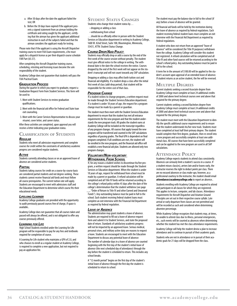- <span id="page-35-0"></span>a. After 30 days after the date the applicant failed the test; OR
- b. Before the 30 days have expired if the applicant presents a signed statement from an airman holding the certificate and rating sought by the applicant, certifying that the airman has given the applicant additional instruction in each of the subjects failed and that the airman considers the applicant ready for testing.

Please note that if the applicant is using the Aircraft Dispatcher training course to meet FAA Exam requirements, s/he must apply for a dispatch license as per their dispatch course schedule FAR Part (65.57).

After completing the Aircraft Dispatcher training course, scheduling, retesting and licensing issues become the sole responsibility of the student.

Academy College does not guarantee that students will pass the FAA Practical Exam.

#### *Graduation Process*

During the quarter in which you expect to graduate, request a Graduation Request Form from Student Services. This form will be used to:

- 1. Meet with Student Services to review graduation qualifications.
- 2. Meet with the financial aid office for Federal and State loan exit counseling.
- 3. Meet with the Career Services Representative to discuss your résumé, cover letter, and career status.

After these activities are completed, upon approval you will receive a letter indicating your graduation status.

# **Classification of Students**

#### *Regular*

Students who meet all admission requirements and complete courses for credit within the constraints of satisfactory academic progress are considered regular students.

#### *Active*

Students currently attending classes or on an approved leave of absence are considered active students.

#### *Partial*

Students taking courses for credit on a course-by-course basis are considered partial students and not degree-seeking. These students cannot receive financial aid funds and must follow all course prerequisites. The current tuition rate will apply. Students are encouraged to meet with admissions staff and the Education Department to determine which course fits their educational needs.

#### *Lifelong Learner*

Academy College graduates are provided with the opportunity to audit previously passed courses free of charge, if space is available..

Academy College does not guarantee that all courses taken and passed will always be offered, and is not obligated to offer any courses previously offered.

#### *Learning for Life*

High School Students enrolled under the Learning for Life program will be responsible to pay for any fees and textbooks required for completion of course.

A Learning for Life student who maintains a GPA of 2.0, and who chooses to enroll as a regular student at Academy College, is required to complete a new application, but not required to pay an application fee.

### **Student Status Changes**

- Students who change their student status by…
- •dropping or adding a class
- withdrawing from school

…should do so officially either in person with the Student Services or Education department in writing to Academy College, 1600 W. 82nd Street, Suite 100, Bloomington, Minnesota, 55431, ATTN: Student Status Change.

#### *Course Drop/Add Policy*

Students may officially drop or add a course by the end of the first week of the course session without penalty. The student must give official notice to the college in writing. The withdrawal date is the date the school receives the notice. Courses dropped by the end of the first week will not appear on the student's transcript and will not count towards any SAP calculation.

Dropping or adding a class may affect both tuition cost and financial aid eligibility. If a student drops a class after the initial first week of class (add-drop period), that student will be responsible for the entire cost of that class.

#### *Program Change*

If a student wishes to change programs, a written request must be made through the Student Services/Education department. If a student is under 18 years of age, the request for a program change must be made by a parent or guardian.

The student must then meet with the Student Services/Education department to ensure that the student has met all entrance requirements for the new program and that the student understands the new program track. All grades the student earns at Academy College will be included on the transcript regardless of any program changes. All courses that apply toward the new program will be transferred and counted in the SAP calculations regardless of passing grades. The final GPA is dependent on final program completed. If all conditions are met, the student will be enrolled in the new program, and the financial aid office will establish a new financial aid plan. Students are allowed only two program changes.

#### *Voluntary/Non-voluntary Withdrawal From School*

If, for any reason a student wishes to discontinue his/her program, a written request should be made through the Student Services or Education department. When the student is under 18 years of age, request for withdrawal from school must be made by a parent or guardian. A refund calculation will be completed and all Title IV funds will be returned according to the college's refund policy within 45 days after the date of the college's determination that the student withdrew (see page

"Order of Return to Title IV and other Earned and Unearned Funds"). Any outstanding balance must be paid in full to the school. Each student receiving federal student loans must complete an exit interview with the Financial Aid Department as required by federal regulation.

#### *Leave of Absence*

The administration may grant students a leave of absence. Students are required to fill out a leave of absence request form and submit it to Student Services, and state the proposed date of return. Standards of satisfactory academic progress will not be impacted by an approved leave. Serious medical, personal crises, and military active duty are reasons to request a leave. Students are encouraged to meet with the Education Department to discuss any potential leave of absence: The number of calendar days in a leave of absence are counted

beginning with the first day of the student's initial leave of absence (the next scheduled day of attendance) through the day before the student is scheduled to return. This includes any school breaks.

A "12 month period" begins on the first day of the student's initial leave of absence through the first day the student is scheduled to return to school.

The student must pay the balance due in full to the school (if any) before a leave of absence will be granted.

All financial aid funds will be held by the institution during the leave of absence as required by federal regulations. Each student receiving federal student loans must complete an exit interview with the Financial Aid Department as required by federal regulations.

A student who does not return from an approved "leave of absence" will be considered (for Title IV purposes) withdrawn from the college. Academy College will consider this student not registered. A refund calculation will be completed and all Title IV and other fund sources will be returned according to the school's refund policy. Any outstanding balance must be paid in full to the school.

A term fee in the amount of \$100.00 will be applied to the student's account upon approval of an extended leave of absence. If student returns as an active student, the fee will be reversed.

#### **Multiple Degrees**

Current students seeking a second Associate degree from Academy College must complete at least 24 additional credits of 2000 and above level technical courses over and above that required for the primary degree.

Current students seeking a second Bachelors degree from Academy College must complete at least 24 additional credits of 2000 and above level technical courses over and above that required for the primary degree.

The student must meet with the Education Department to identify the specific additional course requirements and to ensure that the student understands his/her new track. Students must have completed at least half their primary degree. The student would complete their first degree, graduate, then re-enroll into a new program and successfully complete at least one additional class. All courses that have been successfully completed and can be applied to the new program are used in all SAP calculations.

#### **Attendance Policy**

Academy College expects students to attend class consistently. Absences can seriously limit a student's success in a course. If a student misses class(es), arrives late and/or leaves early, the instructor reserves the right to deduct points per class. There are no excused absences or class make-ups; however, as a professional courtesy to the instructor, the student should email **attendance@academycollege.edu** to report an absence..

Students enrolling with Academy College are required to attend and participate in all classes for which they are registered. This applies to lecture, computer, and lab classes. Attendance requirements for Aircraft Dispatcher and Aviation Ground Principles are set out in their respective course syllabi. Late arrival or early departure from classes are not permitted and will be recorded as such and considered when determining absentee percentage.

While Academy College recognizes that students may, at times, be unable to attend class due to illness, personal emergencies, etc., such events will be counted as absences when determining whether the student has met the class attendance requirements.

Academy College will help the student devise a plan to increase attendance and to continue in pursuit of their academic goals.

Students who are not in attendance or in pursuit of their academic goals for 21 days will be dropped from the class.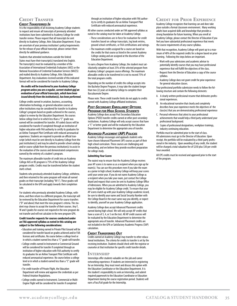### <span id="page-36-0"></span>**Credit Transfer**

#### *Credit Transferred In*

It is the responsibility of all incoming Academy College students to request and ensure all transcripts of previously attended institutions have been submitted to Academy College for credit transfer review. Please request that all transcripts be sent directly to Academy College, Attn: Education Department. If you are uncertain of your previous institution's policy/requirements for the release of your official transcript, please contact them directly for additional guidance.

Students that attended institutions outside the United States must have their transcript(s) translated into English. The transcript(s) must be evaluated by a member of the Association of International Credentials Evaluators (AICE) or the National Association of Credential Evaluation Services (NACES) and mailed directly to Academy College, Attn: Education Department. Any evaluations received outside of this indicated format will not be considered for transfer to Academy College.

#### *No credits will be transferred to your Academy College program unless you are a regular, current student and an evaluation of your official transcripts, which have been issued directly from the institution(s), has been performed.*

College credits earned in aviation, business, accounting, information technology, or general education courses at other institutions may be considered for transfer to Academy College's program based on grades achieved in the courses, subject to review by the Education Department. No courses below college level or in which less than a "C" grade was earned will be considered for transfer. AV coded classes will be considered for transfer if completed through an institution of higher education with FAA authority to certify its graduates for an Airline Transport Pilot Certificate with reduced aeronautical experience. Students are required to provide an official transcript (which must be sent directly to Academy College from the past institution(s)) and may be asked to provide school catalogs and/or course syllabi from the previous institution(s) to assist in the evaluation of the courses and demonstrated competencies earned by the entirety of a student's program.

The maximum allowable transfer of credit into an Academy College AAS or BS program is 75% of the Academy College program credits. Credits must be transferred before the student starts school.

Students who previously attended Academy College, withdrew, and then returned to the same program will retain all earned grades on their transcript (including "W's"). These grades will be calculated in the GPA and apply towards their completion rate.

For students who previously attended Academy College, withdrew, and then return to a different program, the transcript will be reviewed by the Education Department for course transfers ("D" and above) that meet the new program's criteria. The student may choose to accept the transfer of their courses. Any F, W and I grades for courses not required in the new program do not transfer and will not calculate in the new program GPA.

#### **Credit transfer requests for courses conducted under an FAA approved syllabus as noted in this catalog are subject to the following considerations:**

- Education and training earned in Private Pilot Ground will be considered for transfer based on grades achieved and/or FAA licenses and certificates. No course below a college level or in which a student earned less than a "C" grade will transfer.
- •College credits earned in Instrument or Commercial Ground will be considered for transfer if completed through an institution of higher education with FAA authority to certify its graduates for an Airline Transport Pilot Certificate with reduced aeronautical experience. No course below a college level or in which a student earned less than a "C" grade will transfer.
- For credit transfer of Private Flight, the Education Department will review and approve the credentials as per Federal Aviation Regulations.
- •College credits earned in Instrument, Commercial or Multi-Engine Flight will be considered for transfer if completed

through an institution of higher education with FAA authority to certify its graduates for an Airline Transport Pilot Certificate with reduced aeronautical experience.

All other courses conducted under an FAA approved syllabus as noted in the catalog must be taken at Academy College.

- These considerations are in force for evaluation for credit transfers based on college transcripts, log book entries, ground school certificates, or FAA certifications and ratings.
- The maximum credits assigned for a course are based on the credits for that course as listed in the current Academy College catalog and are assigned at the discretion of the Education Department.

To earn a Degree from Academy College, the student must satisfactorily complete at least 25% of the selected program from Academy College's program course offerings. The maximum allowable credits to be transferred in is not to exceed 75% of the total program credits.

Depending on the number of credits the college accepts into the Bachelor Degree Program, it may take the student longer than two (2) years at Academy College to complete their Baccalaureate Degree.

Please note: These credit transfer limits do not apply to credits earned with Academy College affiliated institutions.

#### *Post-Secondary Enrollment Options*

*Program for High School Students* Academy College does accept Post Secondary Education Options (PSEO) transfer credits earned at other post-secondary institutions. Academy College will only accept courses that have a "C" or better grade and will be evaluated by the Education Department to determine the appropriate area of transfer.

#### *Advanced Placement (AP) Policies*

Academy College encourages and applauds students who have chosen Advanced Placement (AP) courses as part of their high school curriculum. These courses are challenging and demanding, and we believe they provide excellent preparation for college study.

#### *Submitting Your Scores*

The easiest way to ensure that the Academy College receives your AP scores is to name us as a recipient when you sign up for exam(s). You can use this procedure even if you take the exam as a junior in high school; Academy College will keep your scores until your senior year. If you do not name Academy College as a recipient when you take your exam, just contact the College Board and request that scores be sent to Academy College Office of Admissions. When you are admitted to Academy College, you may be eligible for Academy College credit. To ensure that your AP scores match up with your Academy College academic record, be sure to identify your name and Social Security Number with the College Board in the exact same way you identify, or expect to identify, yourself on your Academy College application.

Academy College does accept Advanced Placement credits earned during high school. We will only accept AP credits that have a score of 3, 4, or 5 on the test. All AP credit courses will be evaluated by the Education Department to determine the appropriate area of transfer. Advanced Placement credits are not included in the GPA or Satisfactory Academic Progress (SAP) calculation.

#### *Credit Transferred Out*

Credits earned at Academy College may transfer to other educational institutions. The criteria for credits to transfer is set by the receiving institution. Students should check with the registrar or counselor at that institution for specific credit transfer details.

#### **Internship**

Internships offer students valuable on-the-job and career networking experience. If students are interested in registering for an Internship, they must meet and discuss this option with the Education Coordinator or the Education Department. It is the student's responsibility to seek an Internship, and submit required paperwork to the Education Coordinator or Education Department during the course registration period. Students will earn a Pass/Fail grade for the Internship.

# **Credit for Prior Experience**

Academy College recognizes that learning can and does take place outside a formal classroom environment. Many working adults have acquired skills and knowledge that provides a strong foundation for future learning. When you enroll at Academy College, please contact the Director of Education if you feel you have substantial professional experience that meets the course requirements of any course syllabus.

With that recognition, Academy College will grant up to a maximum of 40% of the required credits for a degree based on prior learning. Following the steps below are important.

- Work with your admissions and academic advisor to potentially identify courses that you may have professional experience that will fulfill the objectives of the class.
- Request from the Director of Education a copy of the course syllabus.
- Academy College does not grant credit for prior experience for general education classes.

Your professional portfolio submission needs to follow the following structure and contain the following elements:

- A. A clearly written professional resume that delineates professional experiences.
- B. An educational narrative that clearly and completely describes how your experience meets the objectives of the class(es) that you are demonstrating professional experience
- C. Personal references that attest to your professional achievements that would help a third party understand your professional background.
- D. Copies of professional designations, workplace trainings, industry continuing education.

Portfolio must be submitted prior to the start of class. All submissions must go to the Director of Education. Upon receipt, the portfolio will be evaluated by a third-party professional in the industry. Upon awarding of any credit, the student will be charged a total valuation fee of \$250 plus \$30 per credit hour awarded.

All CPE credits must be received and approved prior to the start of the program.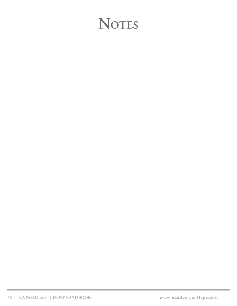# **NOTES**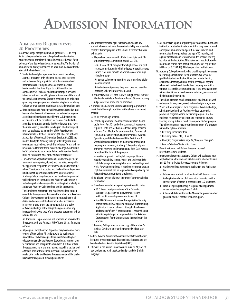# **Admission Information**

### <span id="page-38-0"></span>**Admissions Requirements & Procedures**

Academy College accepts high school graduates, G.E.D. recipients, college graduates, and college level transfer students. Students should complete the enrollment procedures as far in advance of the desired starting date as possible. Verification of immunization history is required no later than 45 days after the start of the first day of class.

- 1. Students should plan a personal interview at the school, a virtual interview, or by phone to discuss their interests and to become fully acquainted with the courses offered. Information concerning financial assistance may also be obtained at this time. If you do not live within the Minneapolis/St. Paul area and cannot arrange a personal interview without hardship, please write or e-mail the school for special arrangements. Students enrolling in an online program may arrange a personal interview via phone. Academy College's e-mail address is: admissions@academycollege.edu.
- 2. Upon admission to Academy College, credits earned at a college or school accredited by one of the national or regional accreditation boards recognized by the U.S. Department of Education will be considered for transfer. Students that attended institutions outside the United States must have their transcript(s) translated into English. The transcript(s) must be evaluated by a member of the Association of International Credentials Evaluators (AICE) or the National Association of Credential Evaluation Services (NACES) and mailed directly to Academy College, Attn: Registrar. Any evaluations received outside of this indicated format will not be considered for transfer to Academy College. Grades must be "C" or higher to be acceptable for credit transfer. Credits must be transferred prior to the student's start date.
- 3. The Admission Application form and Enrollment Agreement form must be completed, signed, and submitted along with the application fee prior to acceptance and enrollment in the school. The student is accepted and the Enrollment Agreement binding when signed by an authorized representative of Academy College. Any changes in the Enrollment Agreement will be binding on the student and Academy College only if such changes have been agreed to in writing (not orally) by an authorized Academy College official and by the student. The Enrollment Agreement and Academy College catalog constitute the agreement between the student and Academy College. Every assignee of the agreement is subject to all claims and defenses of the buyer of his/her successors in interest arising under the agreement. It is the policy of Academy College not to assign the agreement or any interest therein. One copy of the executed agreement will be returned to you.

 An Admissions Representative will schedule an interview for the student with the Financial Aid Office to discuss financing options.

4. All programs except Aircraft Dispatcher may have one or more courses offered online. All students who do not have an Associates or Bachelors degree for an institution of higher education must take the Distance Education Assessment prior to enrollment and pass prior to attendance. If a student fails the assessment, he or she must attend a coaching session with a Moodle Administrator. Upon successful completion of the session, the student will retake the assessment until he or she has successfully passed, allowing enrollment.

- 5. The school reserves the right to refuse admission to any student who does not have the academic ability to successfully complete his/her program at the school. Assessment criteria will include:
	- a. High school graduate with official transcripts, or G.E.D. official transcript, a minimum overall 2.0 GPA GPA: A score of 2.0 or higher from high school or a post secondary institution in which a degree or certificate was earned. You must provide an official copy of your high school transcript

An earned college degree suffices the high school diploma requirement.

If student cannot provide, they must take and pass the Academy College Entrance Exam., and

- b. Students with a less than 2.0 GPA in high school can take the Academy College Admissions Exam. Students scoring 60 percentile or above can be admitted.
- 6. A student in an aviation Commercial Pilot program must meet the following in addition to the above assessment criteria:
	- a. Be 17 years of age or older.
- b. Pass the appropriate FAA medical examination if applicable. Note: Part 121 and other commercial operations require a First Class Medical. Academy College requires a Second Class Medical for admissions into Commercial Pilot, Commercial Aviation, Flight Operations, Aviation Operations, and the Professional Pilot Certificate. A Second Class Medical must be maintained throughout the program. However, Academy College strongly recommends receiving and maintaining a First Class Medical throughout the term of the program..
- c. Instruction is given in the English language. Students must have an ability to read, write, and understand the English language at an acceptable level to do college level work. For aviation students, it may be determined that an English assessment will be required and completed by the Aviation Department prior to enrollment.
- d. Be a least 18 years of age at the time of commercial pilot certification.
- e. Provide documentation depending on citizenship status
- US Citizens must present one of the following: a current US passport or a government issued birth certificate and government issued ID.
- Non-US Citizens must receive Transportation Security Administration (TSA) approval to receive flight training. Application is made online at https://flightschoolcandidates.gov/afsp2/. A processing fee is required along with fingerprinting at an approved site. The Aviation Coordinator or flight facility can aid the student in this process.
- f. Academy College must receive a copy of the student's Medical Certificate prior to the intended College start date.
- 7. Federal Aviation Administration requirements for certification, licensing, or registration are described in each course and are based on Federal Aviation Regulations (FARs).
- 8. Students in the Aircraft Dispatch course must be 21 years of age or older and read, speak, and understand the English language.
- 9. All students in a public or private post-secondary educational institution must submit a statement that they have received appropriate immunization against measles, rubella, and mumps after having attained the age of 12 months, and against diphtheria and tetanus within ten years of first registration at the institution. This statement must indicate the month and year of each immunization given as required by MN Law (M.S. 135A.14). This law pertains to all students.
- 10. Academy College is committed to providing equitable access to learning opportunities for all students. We welcome qualified students with disabilities (e.g. mental health, attentional, learning, chronic health, sensory, or physical) who meet the technical standards of the program, with or without reasonable accommodations. If you are an applicant with a disability who needs accommodations, please contact the Education Department.
- 11. The school provides equal opportunities to all students without regard to race, color, creed, national origin, age, or sex.
- 12. When a student registers for a program at Academy College, s/he is provided with an Academy College catalog that provides a program outline for his/her program. It is the student's responsibility to select and register for courses, keeping prerequisites in mind, to complete his/her program. The following events may preclude completion of a program within the optimal schedule.
	- a. Receiving Credit Transfers
	- b. Receiving Grades of F, FA, or W
	- c. Changing Programs (see page 32, "Program Changes")
	- d. Course Selection/Registration Errors
- 13. Re-entry students will follow the same process/ procedures as new students.
- 14. International Students: Academy College will evaluated each application for admission and will determine whether to issue an I-20 form only after have receiving the following:
	- a. Academy College Admissions Application and Application Fee.
	- b. International Student Enrollment and I-20 Request Form
	- c. An English translation of all education transcripts with an interpretation of grades in comparison to U.S. standards.
	- d. Proof of English proficiency is required of all applicants whose native language is not English.
	- e. A financial statement from the Minnesota sponsor or other guardian or other proof of financial support.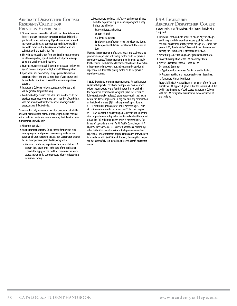#### <span id="page-39-0"></span>**Aircraft Dispatcher Course: Resident/Credit for Previous Experience**

- 1. Students are encouraged to talk with one of our Admissions Representatives to discuss your career goals and skills that you have to offer the industry. If you have a strong interest in aviation, and possess communication skills, you will be invited to complete the Admission Application form and submit it with the application fee.
- 2. The Admission Application form and Enrollment Agreement must be completed, signed, and submitted prior to acceptance and enrollment in the school.
- 3. Students must present valid, government-issued ID showing age 21 or older and proof of high school/GED completion.
- 4. Upon admission to Academy College you will receive an acceptance letter and the starting date of your course, and be enrolled as a resident or credit for previous experience student.
- 5. In Academy College's resident course, no advanced credit will be granted for prior training.
- 6. Academy College restricts the admission into the credit for previous experience program to select number of candidates who can provide certifiable evidence of a background in accordance with FAA criteria.

To ensure that only experienced aviation personnel or individuals with demonstrated aeronautical background are enrolled in the credit for previous experience course, the following minimum restrictions will apply:

- 1. Minimum age of 21
- 2. An applicant for Academy College credit for previous experience program must present documentary evidence from paragraph b., satisfactory to the Aviation Coordinator, that (s) he has the experience prescribed in paragraph a:
- a. Minimum satisfactory experience for a total of at least 2 years in the 3 years prior to the date of the application is needed to apply for the credit for previous experience course and/or hold a current private pilot certificate with instrument rating.
- b. Documentary evidence satisfactory to show compliance with the experience requirements in paragraph a. may include the following:
	- FAA certificates and ratings
	- Current résumé
	- Academic transcripts
	- Employment verification letter to include job duties and employment dates associated with those duties (or)

Meeting the requirements of paragraphs a. and b. above is no guarantee an applicant will qualify for the credit for previous experience course. The requirements are minimums to apply for the course. The Education Department will make final determination regarding acceptance and ensuring the applicant's experience is sufficient to qualify for the credit for previous experience course.

§ 65.57 Experience or training requirements. An applicant for an aircraft dispatcher certificate must present documentary evidence satisfactory to the Administrator that he or she has the experience prescribed in paragraph (b) of this section as follows: (a) A total of at least 2 years experience in the 3 years before the date of application, in any one or in any combination of the following areas: (1) In military aircraft operations as a – (i) Pilot; (ii) Flight navigator; or (iii) Meteorologist. (2) In aircraft operations conducted under part 121 of this chapter as – (i) An assistant in dispatching air carrier aircraft, under the direct supervision of a dispatcher certificated under this subpart; (ii) A pilot; (iii) A flight engineer, or (iv) A meteorologist. (3) In aircraft operations as – (i) An Air Traffic Controller; or (ii) A Flight Service Specialist. (4) In aircraft operations, performing other duties that the Administrator finds provide equivalent experience. (b) A statement of graduation issued or revalidated in accordance with § 65.70(b) of this part, showing that the person has successfully completed an approved aircraft dispatcher course.

### **FAA Licensure:**

**Aircraft Dispatcher Course** In order to obtain an Aircraft Dispatcher license, the following is required:

- 1. Individuals that graduate between 21 and 23 years of age, and have passed the examination, are qualified to be an assistant dispatcher until they reach the age of 23. Once that person is 23, the dispatcher's license is issued if evidence of passing the examination is presented to the FAA.
- 2. Aircraft Dispatcher Training Course graduation certificate.
- 3. Successful completion of the FAA Knowledge Exam.
- 4. Aircraft Dispatcher Practical Exam by FAA Designated Examiner.

a. Application for an Airman Certificate and/or Rating.

b. Program tracking and reporting subsystem data sheet. c. Temporary Airman Certificate.

 Practical: The FAA Practical Exam is not a part of the Aircraft Dispatcher FAA approved syllabus, but the exam is scheduled within the time frame of each course by Academy College with the FAA designated examiner for the convenience of the students.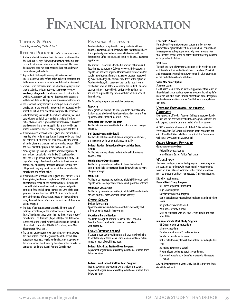# **Financial Information**

# <span id="page-40-0"></span>**TUITION & FEES**

*See catalog addendum, "Tuition & Fees."*

#### **Refund Policy** *Buyer's Right to Cancel*

- 1. Students who fail to return books in a new condition within five (5) business days following withdrawal of their current class will not receive refunds on books returned. Electronic books whose code has been redeemed are not, under any circumstances, refundable.
- 2. Any student, discharged for cause, will be terminated in accordance with the refund policy as herein contained and in the same manner as a voluntary withdrawal or dismissal.
- 3. Students who withdraw from the school during any session should submit a written notice to **studentservices@ academycollege.edu**. For students who do not officially withdraw, Academy College will determine the student's withdrawal date for 14 days of contiguous non-attendance.
- 4. The school will notify students in writing of their acceptance or rejection. In the event that a student is not accepted by the school, all tuition, fees, and other charges will be refunded.
- 5. Notwithstanding anything to the contrary, all tuition, fees, and other charges paid shall be refunded to students if written notice of cancellation is given within five (5) business days after the day on which the student application is accepted by the school, regardless of whether or not the program has started.
- 6. If written notice of cancellation is given after the fifth business day after student's application is accepted by the school, but before the first lesson has been serviced by the school, all tuition, fees and charges shall be refunded except 15% of the total cost of the program not to exceed \$50.00.
- 7. Academy College shall give written acknowledgement of any notice of cancellation within five (5) business days after the receipt of such notice, and shall within thirty (30) days after receipt of such notice, refund to the student any amount due and arrange for termination of the student's obligation to pay any sum in excess of that due under the cancellation and refund policy.
- 8. If written notice of cancellation is given after the first lesson is completed, but before completion of 60% of the period of instruction, based on the withdrawal date, the amount charged for tuition and fees shall be the prorated portion of tuition, fees, and all other charges plus 25% of the total program cost not to exceed \$100.00. After completion of 60% of the period of instruction, based on the withdrawal date, there will be no refund and the total cost of the course will be charged.
- 9. The date of application acceptance shall be the date of notice of acceptance, or the postmark date if mailed by letter. The date of cancellation shall be the date the letter of cancellation is postmarked (if applicable) or the date notice is received at the school. Notice shall be given to the school office which is located at 1600 W. 82nd Street, Suite 100, Bloomington MN, 55431.
- 10. The current catalog constitutes the entire agreement between the student (their parent or guardian) and the school. This agreement becomes a legally binding instrument upon written acceptance of the student by the school unless canceled as per item #7 under the Buyer's Right to Cancel Policy.

#### **Financial Assistance**

Academy College recognizes that many students will need financial assistance. All students who plan to attend will have the opportunity to schedule a personal interview with the Financial Aid Office to discuss and complete financial assistance applications.

The student is responsible for the full amount of tuition and fees charged by Academy College. However, if the student is eligible and has been approved for financial assistance and/or scholarship through a financial assistance program approved by Academy College, the student may defer, at the option of Academy College, that portion of their tuition equal to the certified aid amount. If for some reason the student's financial assistance is not received by its anticipated due date, he/ she will be required to pay the amount due on their account immediately.

The following programs are available to students:

#### *Grants*

These grants are available to undergraduate students on the basis of established need. Application is made using the Free Application for Federal Student Aid (FAFSA).

#### **Minnesota State Grant Program**

Available to Minnesota residents; the dollar amount changes annually.

#### **Pell Grant Program (Federal)**

Available to half-time and full-time undergraduate students; the maximum dollar amount changes annually.

#### **Federal Student Educational Opportunities Grant (FSEOG)**

Available to undergraduate students who exhibit extreme financial need.

#### **MN Child Care Grant Program**

Available, by separate application, to those students with documented child care costs for dependents who are 12 years of age or younger.

#### **MN GI Bill**

Available, by separate application, to eligible MN Veterans and eligible Minnesota dependant children and spouses of veterans.

#### **MN Indian Scholarship**

Available, by separate application, to eligible MN residents who are one-fourth or more American Indian ancestry.

#### *Other Grants*

**Indian Scholarship** Application is made and dollar amount determined by each tribe that participates in the program.

#### **Vocational Rehabilitation**

Available through Minnesota Department of Economic Security. Grants provided to cover costs associated with disability.

#### *Loans (must be repaid)*

If students need additional financial aid, they may be eligible to apply for any of these loans. Some loan amounts are determined on basis of established need.

#### **Federal Subsidized Stafford Loan Program:**

Repayment begins six months after graduation or student drops below half-time.

#### **Federal Unsubsidized Stafford Loan Program:**

Interest payments are optional while student is in school. Repayment begins six months after graduation or student drops below half-time.

#### **Federal PLUS Loan:**

Parent Loan Program (dependent students only). Interest payments are optional while student is in school. Principal and interest payments begin approximately seven months after student starts school or can be deferred until student graduates or drops below half-time

#### **SELF Loan:**

Through the state of Minnesota, requires credit worthy co-signer. Interest must be paid while student is in school. Principal and interest repayment begins twelve months after graduation or the student drops below half-time.

#### **Sallie Mae Smart Option**

#### **Student Loan:**

Credit based loan. It may be used to supplement other forms of financial assistance. Various repayment options including deferment are available while enrolled at least half-time. Repayment begins six months after a student's withdrawal or drop below half-time.

#### *Veterans Educational Assistance Programs*

Every program offered at Academy College is approved for the GI Bill® and the Veterans Rehabilitation Program. Veterans benefits depend upon the time and period of military service.

GI Bill® is a registered trademark of the U.S. Department of Veterans Affairs (VA). More information about education benefits offered by VA is available at the official U.S. Government website at www.benefits.va.gov/gibill

#### *Other Military Programs*

Go to: www.goarmyed.com Federal Tuition Assistance Army National Guard, Tuition Assistance

#### *Work Study*

There are two types of work study programs. These programs are available to students who meet eligibility requirements based on financial need, which his or her cost of attendance must be greater than his or her expected family contribution.

#### Eligibility requirements:

**Federal Work Study Program** US Citizen or permanent resident High school diploma Satisfactory academic progress Not in default on any federal student loans including Perkins loans No grant overpayments owed Valid social security number Must be registered with selective service if male and born after 1960 **Minnesota State Work Study Program**

US Citizen or permanent resident Minnesota resident Enrolled a minimum of 6 credits per term Satisfactory Academic Progress Not in default on any federal student loans including Perkins

loan

#### Attending a Minnesota school

Program leads to degree, certificate or diploma

 Not receiving reciprocity benefits to attend a Minnesota school

Any student interested in Work Study should contact the financial aid department.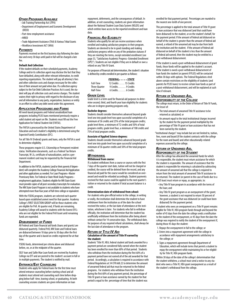#### *Other Programs Available*

• Job Training Partnership Act (JTPA)

- Department of Employment and Economic Development (DEED)
- •Part-time employment assistance
- HIRED
- Trade Adjustment Assistance (TAA) & Various Tribal Grants • Workforce Investment ACT (WIA)

#### *Payments*

Payments received on the first business day following the date due and every 30 days until paid in full will be charged a late fee.

#### **Default And Collection**

If the student defaults on their scheduled payments, Academy College and/or its collection agent may disclose the fact that they have defaulted, along with other relevant information, to credit reporting organizations. The student will pay all attorney's fees and other collection costs and charges necessary for the collection of their amount not paid when due. If a collection agency subject to the Fair Debt Collection Practices Act is used, the student will pay all collection costs and service charges. The student waives their right to privacy with regard to the disclosure of any and all information to any party, organization, business or entity in an effort to collect any debt owed under this agreement.

#### *Application Procedures and Forms*

All need-based programs and Federal unsubsidized loan programs including PLUS loans mentioned previously require a valid student aid report on file. Students must fill out the Free Application for Federal Student Aid (FAFSA).

The FAFSA is processed by the United States Department of Education and each student's eligibility is determined using the Expected Family Contribution (EFC).

For all Title IV (Federal) grants and loans, only the FAFSA is used to determine eligibility.

These programs require U.S. Citizenship or Permanent resident status. Verification documents, such as a Federal Tax Return Transcript, W-2s, certificate of naturalization, and/or a permanent resident card may be requested by the Financial Aid Department.

In addition to the FAFSA, students (and/or their parents if dependent) will complete the Academy College Financial Aid Application and other applications as needed. For Loan Programs–Master Promissory Note. For Federal or State Work Study Programs– employment application. Students eligible for MN State Grant must provide copies of all post-secondary transcripts for evaluation. The MN State Grant Program is not available to students who have attempted more than four years of full-time college or equivalent.

With the FSEOG program, students are selected each quarter based upon established unmet need for that quarter. Academy College's FIRST SELECTION GROUP will be those students who are eligible for Pell. At quarter end, if funds are remaining, Academy College will award to students with the lowest EFCs who are not eligible for the Federal Pell Grant until remaining funds are expended.

#### *Disbursement of Funds*

All Federal and State financial aid funds (loans and grants) are disbursed quarterly. Federal Pell, MN State and Federal loans are disbursed between 10 days prior to 30 days after the first day of the quarter and is based on credits registered for at that time.

FSEOG funds, determined per criteria above and disbursed before, on, or at the midpoint of the quarter.

SELF loan and Sallie Mae Loan funds are received by Academy College via EFT and are posted to the student's account in full or in multiple payments. The student is notified by mail.

#### *Entrance/Exit Counseling*

Students who apply for Federal loans for the first time must attend entrance counseling before starting school and all students must attend exit counseling each time before dropping below half- time, leaving school, or graduating. At both counseling sessions students are given information on loan

repayment, deferments, and the consequences of default. In addition, at exit counseling, students are given information about the National Student Loan Data System (NSLDS) and which entities have access to the reported enrollment and loan data.

#### *Financial Aid Eligibility*

Students who qualify for aid can receive assistance when enrolled and making satisfactory progress in their program. Students are deemed to be in good standing and making satisfactory progress while on any of the probation statuses if they are meeting the terms, except extended enrollment (see page 33, "Satisfactory Academic Progress–Extended Enrollment (SPE)"). Students are not eligible if they are in default or owe a refund on any Title IV Grant.

For purposes of financial aid determination, the student's situation is defined by credits enrolled in per quarter as follows:

|                  | <b>FEDERALSTATE</b>                 |  |
|------------------|-------------------------------------|--|
| <b>Full-Time</b> | 12 Credits  15 Credits              |  |
| Three-Ouarter    | 9 Credits 9 Credits                 |  |
| Half-Time        | $6$ Credits $\dots \dots 6$ Credits |  |

#### *Grade Level*

Grade level is a term used for financial aid purposes to determine second, third, and fourth year loan eligibility for students who are in degree granting programs only.

#### **Bachelor degrees:**

Students should consider themselves advanced beyond grade level one into grade level two upon successful completion of a minimum of 36 credits and 25% of the total program credits; grade level three, a minimum of 72 credits and 50% of total program credits; grade level four, a minimum of 108 credits and 75% of total program credits.

#### **Associate of Applied Science degrees:**

Students should consider themselves advanced beyond grade level one into grade level two upon successful completion of a minimum of 36 quarter credits and 50% of the total program credits.

#### *Withdrawal* **Withdrawal from course:**

If a student withdraws from a course or courses with the first 7 days of the quarter start date, tuition will not be charged or credited, the course will be deleted from the record, and any financial aid paid for the course would be considered an overaward and would be refunded accordingly. Student payments received for that course could be applied to the next quarter's tuition or returned to the student if total account balance is a credit.

#### **Determination date of withdrawal from school:**

For students who give official notice to the college, in writing or orally, the institution shall determine the student to have withdrawn from the institution as of the date the school received the notice, or the last date of attendance at the institution, whichever is later. For students who fail to withdraw officially, the institution will determine that the student has unofficially withdrawn from the institution after being absent without contact for 14 consecutive days. The withdrawal date, for purposes of any required refund calculations, shall always be the last date of attendance in the program.

#### *Return of Title IV Aid* **Calculation of the amount of Title IV earned by the student:**

Students' Title IV, HEA, federal student aid funds awarded for a payment period are considered fully earned when the student has been enrolled for more than 60% of that period. Students who withdraw from the institution during the first 60% of a payment period have not earned all of the aid awarded for that period. Accordingly, a calculation is required in accordance with Federal Regulations at 34 CFR 668.22 to determine the amount of unearned federal aid that must be returned to the federal programs. For students who withdraw from the institution during the first 60% of any payment period, the percentage of Title IV grant or loan assistance earned by the student for that period is equal to the percentage of time that the student was

enrolled for that payment period. Percentages are rounded to the nearest one-tenth of one percent.

This percentage is applied to the total amount of Title IV grant or loan assistance that was disbursed (and that could have been disbursed) to the student, or on the student's behalf, for the payment period. If the amount of federal aid disbursed on behalf of the student is greater than the amount of federal aid earned, a refund of the unearned aid may be due from both the institution and the student. If the amount of federal aid disbursed on behalf of the student is less than the amount of federal aid earned, then the student may be entitled to a post-withdrawal disbursement.

If the student is owed a post-withdrawal disbursement of grant funds, those funds will be applied to the student's account. If the student is owed a post-withdrawal disbursement of loan funds the student (or parent if PLUS) will be contacted within 30 days with options. The Federal Regulations cited above contain restrictions on the eligibility of students (and parents for PLUS loans) to receive certain loan funds as part of a post-withdrawal disbursement, and will be explained at such time if relevant.

# *Return of Unearned Aid,*

*Responsibility of the College* The college must return, in the Order of Return of Title IV Funds, the lesser of:

- The total amount of unearned Title IV assistance to be returned as calculated; or
- An amount equal to the total institutional charges incurred by the student for the payment period multiplied by the percentage of Title IV grant or loan assistance that has not been earned by the student.

"Institutional charges" may include but are not limited to, tuition, fees, room and board (if the student contracts with the college for the room and board) and other educationally-related expenses assessed by the college.

#### *Return of Unearned Aid,*

*Responsibility of the Student*

After the college has allocated the unearned funds for which it is responsible, the student must return assistance for which the student is responsible. The amount of assistance that the student is responsible for returning is calculated by subtracting the amount of unearned aid that the college is required to return from the total amount of unearned Title IV assistance to be returned. The student (or parent in the case of funds due to a PLUS loan) must return or repay, as appropriate, to:

- Any Title IV loan program in accordance with the terms of the loan; and
- Any Title IV grant program as an overpayment of the grant; however, a student is not required to return 50 percent of the grant assistance that was disbursed (or could have been disbursed) for the payment period.

A student who owes an overpayment on a Title IV grant remains eligible for Title IV, HEA program funds through and beyond the earlier of 45 days from the date the college sends a notification to the student of the overpayment, or 45 days from the date the college was required to notify the student of the overpayment if, during those 45 days the student:

- 1. Repays the overpayment in full to the college; or
- 2. Enters into a repayment agreement with the college in accordance with repayment arrangements satisfactory to the college; or
- 3. Signs a repayment agreement through Department of Education, which will include terms that permit a student to repay the overpayment while maintaining his or her eligibility for Title IV, HEA program funds.

Within 30 days of the date of the college's determination that the student withdrew, a school must send a notice to any student who owes a Title IV, HEA grant overpayment as a result of the student's withdrawal from the college.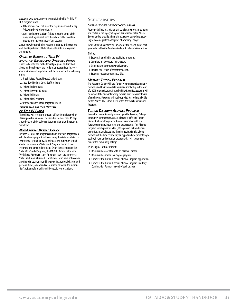<span id="page-42-0"></span>A student who owes an overpayment is ineligible for Title IV, HEA program funds:

- If the student does not meet the requirements on the day following the 45-day period; or
- As of the date the student fails to meet the terms of the repayment agreement with the school or the Secretary entered into in accordance of this section.

A student who is ineligible regains eligibility if the student and the Department of Education enter into a repayment agreement.

# *Order of Return to Title IV*

*and other Earned and Unearned Funds* Funds to be returned to the federal programs as described above by the college or the student, as appropriate, in accordance with federal regulations will be returned in the following order:

- 1. Unsubsidized Federal Direct Stafford loans
- 2. Subsidized Federal Direct Stafford loans
- 3. Federal Perkins loans
- 4. Federal Direct PLUS loans
- 5. Federal Pell Grant
- 6. Federal SEOG Program

7. Other assistance under programs Title IV

# *Timeframe for the Return*

# *of Title IV Funds*

The college will return the amount of Title IV funds for which it is responsible as soon as possible but no later than 45 days after the date of the college's determination that the student withdrew.

#### *Non-Federal Refund Policy*

Refunds for state aid programs and non-state aid programs are calculated on a proportional basis using the state mandated or institutional refund policy. To calculate the minimum refund due to the Minnesota State Grant Program, the SELF Loan Program, and other Aid Programs (with the exception of the State Work Study Program), the MN OHE Refund Calculation Worksheet, Appendix 13a or Appendix 13c of the Minnesota State Grant manual is used. For students who have not received any financial assistance and have paid institutional charges with personal funds, any refunds determined based on the institution's tuition refund policy will be repaid to the student.

#### **SCHOLARSHIPS**

#### *Sherm Booen Legacy Scholarship*

Academy College established this scholarship program to honor and continue the legacy of a great Minnesota aviator, Sherm Booen; and to provide a financial assistance to students studying to become professional pilots at Academy College.

Two \$5,000 scholarships will be awarded to two students each year, selected by the Academy College Scholarship Committee.

Eligility:

- 1. Student is enrolled in the qualifying programs.
- 2. Complete a 1,000 word (min.) essay.
- 3. Demonstrate community involvement.
- 4. Provide two letters of recommendation.
- 5. Students must maintain a 3.0 GPA.

#### *Military Tuition Program*

The Academy College Military Tuition Program provides military members and their immediate families a scholarship in the form of a 10% tuition discount. Once eligibility is verified, students will be awarded the discount moving forward from the current term of enrollment. Discounts will not be applied for students eligible for the Post-911 GI Bill® at 100% or the Veterans Rehabilitation Program.

#### *Tuition Discount Alliance Program*

In an effort to continuously expand upon the Academy College community commitment, we are pleased to offer the Tuition Discount Alliance Program to students associated with our Partner community businesses and organizations. This Alliance Program, which provides a ten (10%) percent tuition discount to participant employees and their immediate family, allows members of the local community an opportunity to promote high quality, in-demand education programs that will continue to benefit the community at large.

To be eligible, a student must:

- 1. Be currently associated with an Alliance Partner
- 2. Be currently enrolled in a degree program
- 3. Complete the Tuition Discount Alliance Program Application
- 4. Complete the Tuition Discount Alliance Program Quarterly Confirmation Form at the end of each quarter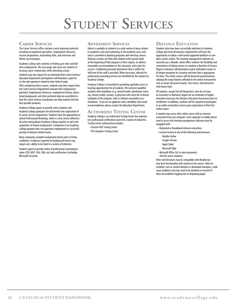# **Student Services**

# <span id="page-43-0"></span>**Career Services**

The Career Services office contains career planning materials including occupational specialties, employment forecasts, résumé preparation, networking skills, and interview and follow-un techniques

Academy College aids students in finding part-time and fulltime employment. We encourage and assist our students in locating career-related jobs while attending school. Students may also request for an internship from Career Services/

Education Department and together will formulate a plan for on-the-job experience related to their field of study. After completing these courses, students may then request that

the Career Services Department evaluate their employment potential. Employment references, employment history, educational background, and other pertinent data are assembled so that the Career Services Coordinator can help students find the best possible positions.

Academy College agrees to provide active students and Academy College graduates the full benefit and cooperation of its career services department. Students have the opportunity to attend Professional Workshop, which is a free service offered to all active and graduate Academy College students to aid in the acquisition of related employment. Completion of an Academy College program does not guarantee employment or successful passing of industry related exams.

Many companies complete background checks prior to hiring candidates. Incidences reported on background checks may impair one's ability to be hired in a variety of industries.

Students agree to provide notice of professional examinations taken (CPA, MCP, FAA, CMA, etc) and certifications (including Microsoft) received.

### **Advisement Services**

Advice is available to students in a wide variety of areas related to academics and career planning. In the academic area, assistance is provided in planning programs and selecting courses. Advisory sessions are held with students with special needs at the beginning of their program at their request, to address reasonable accommodations in the classroom, and a plan for success. Confidential personal advisement that is within the skill level of the staff is provided. When necessary, referrals for professional counseling services are identified for the student by Academy College.

Academy College is committed to providing equitable access to learning opportunities for all students. We welcome qualified students with disabilities (e.g. mental health, attentional, learning, chronic health, sensory, or physical) who meet the technical standards of the program, with or without reasonable accomodations. If you are an applicant with a disability who needs accommodations, please contact the Education Department.

## **Authorized Testing Center**

Academy College is an Authorized Testing Center that administers professional certification exams for a variety of industries. Testing Center authorization includes:

- •Pearson VUE Testing Center
- •PSI Computer Testing Center

## **Distance Education**

Students who have been successfully admitted to Academy College and meet all entrance requirements will have the opportunity to utilize a web-based supported platform to complete courses online. The learning management software we currently use is Moodle, which offers students the flexibility and convenience of taking courses to complete a Bachelor of Science Degree in Business Administration and/or individual courses in all degree programs in a location and time that is appropriate for them. The online courses will be delivered asynchronously utilizing the many features afforded in the online environment such as email, discussion boards, chat rooms, and interactive web-based tools.

All students, except Aircraft Dispatchers, who do not have an Associates or Bachelors degree for an institution of higher education must pass the Distance Education Assessment prior to enrollment. In addition, students will be required to participate in an online orientation session upon registration of their first online course.

A student may access their online course with an internet connection from any computer. Each computer or mobile device used to access the learning management software must be equipped with:

- Dedicated or Broadband internet connection
- •Current version of any of the following web browsers: Mozilla Firefox
	- Google Chrome
	- Apple Safari
	- Microsoft Edge
- Microsoft Office 365 to view documents (free for active students)

Other web browsers may be compatible with Moodle but may limit functionality with content in the courses. Add-ons installed, such as content blockers or download managers, could cause problems and may need to be disabled or removed if there are problems logging into or displaying pages.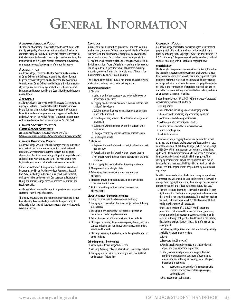# **General Information**

#### <span id="page-44-0"></span>*Academic Freedom Policy*

The mission of Academy College is to provide our students with the highest quality of education. In that academic freedom is central to that goal, faculty members are entitled to freedom in their classrooms in discussing their subjects and determining the manner in which it is taught without harassment, surveillance, or unreasonable restriction on part of the administration.

#### *Accreditation*

Academy College is accredited by the Accrediting Commission of Career Schools and Colleges to award Bachelor of Science Degrees, Associate Degrees, and Certificates. The Accrediting Commission of Career Schools and Colleges is listed as a nationally recognized accrediting agency by the U.S. Department of Education and is recognized by the Council for Higher Education Accreditation.

#### *Approvals*

Academy College is approved by the Minnesota State Approving Agency for Veterans Educational benefits. It is also approved by the State of Minnesota for education under the Vocational Rehabilitation Education program and is approved by the FAA under FAR Part 141 as well as Airline Transport Pilot Certificate with reduced aeronautical experience under Part 161.160.

#### *Campus Security Policy &*

#### *Crime Report Statistics*

*See catalog addendum, "Annual Security Report," or https://www.academycollege.edu/registrar/student-consumer-info/*

#### *Campus Visitation Policy*

Academy College welcomes and encourages visits by individuals who desire to become informed regarding our educational programs. Acceptable reasons for such visits include tours, observation of various classrooms, participation in special events and conferring with faculty and staff. The visits should have legitimate purpose and not interfere with course instruction.

Visitors are welcomed during normal business hours and must be accompanied by an Academy College Representative. All Non-Academy College individuals must check in at the front desk upon arrival and departure. Our classrooms, laboratories, library and student lounge areas are reserved for student and faculty use only.

Academy College reserves the right to request non-accompanied visitors to leave the specified areas.

This policy ensures safety and minimizes interruption to instruction, allowing Academy College students the opportunity to effectively utilize lab and classroom space as they work towards academic success.

#### *Conduct*

In order to foster a supportive, productive, and safe learning environment, Academy College has adopted a Code of Conduct that sets forth the boundaries of acceptable behavior on the part of each student. Each student bears the responsibility for his/her own behavior. Violations of this code will result in disciplinary action. Types of disciplinary actions include reduction in a grade for a specific exam or assignment, warning, probation, removal from a class, and dismissal. These actions may be imposed alone or in combination.

The following lists include, but are not limited to, various types of violations that may result in disciplinary action.

#### **Academic Misconduct**

1. Cheating

- a. Using unauthorized sources or technological devices to answer exam questions
- b. Copying another student's answers, with or without that student's knowledge
- c. Collaborating with others on an assignment or an exam when not authorized
- d. Providing or using answers of another for an assignment or an exam
- e. Submitting work completed by another student under own name
- f. Taking or completing work in another a student's name
- g. Falsifying lab sheets
- 2. Plagiarism
- a. Representing another's work product, in whole or in part, as one's own
- b. Paraphrasing another's work without proper citation
- c. Not properly attributing another's authorship or the proper source
- 3. Using copyrighted material without proper permission
- 4. Misrepresenting or falsifying data
- 5. Submitting the same work product in more than one course
- 6. Procuring and/or distributing an exam to others before it has been administered
- 7. Aiding or abetting another student in any of the above actions

#### **Disruptive and/or Dangerous Conduct**

- 1. Using cell phones in the classrooms or the library
- 2. Engaging in conversation that is not subject relevant during class periods
- 3. Engaging in any activity that interferes or impedes an instructor in conducting class sessions
- 4. Being disrespectful of the instructor or other students
- 5. Storing or possessing dangerous weapons , devices, and substances including but not limited to firearms, ammunition, knives, and fireworks
- 6. Stalking, harassing, threatening, or bullying faculty, staff or other students

#### **Other Impermissible Conduct**

- 1. Violating Academy College's dress code
- 2. Violating Academy College's Internet and E-mail usage policies
- 3. Engaging in an activity, on campus grounds, that is illegal under state or federal law

#### *Copyright Policy*

Academy College respects the ownership rights of intellectual property in all of its various mediums, including digital and print, by adhering to the Copyright Law of the United States (17 U.S.C.). Academy College requires all faculty members, staff and students to comply with all applicable copyright laws.

#### **Copyright Law**

The Copyright Law provides owners with exclusive rights including the right to reproduce their work; use their work as a basis for a derivative work; electronically distribute or publish copies; publically perform a work such as a play; and, publicly display an image including on a computer screen. Copyright law applies not only to the reproduction of protected material, but also its use in the classroom setting, whether it is face to face, such as in an on campus classroom, or online.

Under the provisions of 17 U.S.C §102(a) the types of protected works include, but are not limited to

- 1. literary works;
- 2. musical works, including any accompanying words;
- 3. dramatic works, including any accompanying music;
- 4. pantomimes and choreographic works;
- 5. pictorial, graphic, and sculptural works;
- 6. motion pictures and other audiovisual works;
- 7. sound recordings; and
- 8 architectural works.

Under federal law, a copyright owner can be awarded actual damages, the infringers' profits, attorneys' fees, and court costs or opt for an award of statutory damages, which can be as high as \$150,000. Willful infringement can result in criminal fines up to \$250,000 and incarceration up to five years. A permanent injunction can be issued to enjoin all infringing acts. The infringing reproductions as well the equipment used can be impounded and destroyed. Liability still can attach to an individual even if the reproductions are produced by a commercial copy shop.

To aid in the understanding of what works may be reproduced a three step analysis should be used to determine if the work is exempt from copyright protection, if not exempt has the term of protection expired, and if does its use constitutes "fair use."

1. The first step is to determine if the work is available for copyright protection. The lack of a copyright notice does not mean that a work is not copyright protected. This has been optional for works published after March 1, 1989. Even unpublished works may have copyright protection.

 Under the provisions of 17 U.S.C. §102 (b) copyright protection is not afforded to ideas, procedures, processes, systems, methods of operation, concepts, principles or discoveries. Although not specifically addressed in the statute, descriptions, explanations, or illustrations of these can be copyrighted.

 The following categories of works are also are not generally available for copyright protection:

- a. Facts
- b. Freeware (not Shareware)
- c. Works that have not been fixed in a tangible form of expression (e.g. sometime improvised)
- d. Titles, names, short phrases, and slogans; familiar symbols or designs; mere variations of typographic ornamentation, lettering, or coloring; mere listings of ingredients or contents;
	- Works consisting entirely of information that is common property and containing no original authorship; and
- f. U.S. government publications.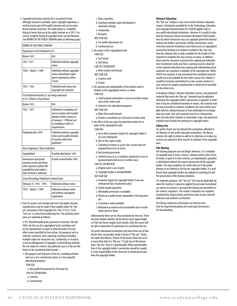2. Copyright protection extends for a set period of time although renewal is available. Upon copyright expiration, a work becomes part of the public domain and can be reproduced without restriction. The table below is a modified listing of works that are in the public domain as of 2011. For a more complete listing of copyright limits see the librarian. (see WORKS IN THE PUBLIC DOMAIN table on following page)

| WORKS IN THE PUBLIC DOMAIN                                                                                                           |                                                                                                                                                                  |  |
|--------------------------------------------------------------------------------------------------------------------------------------|------------------------------------------------------------------------------------------------------------------------------------------------------------------|--|
| Registered or First Published in U.S.                                                                                                |                                                                                                                                                                  |  |
| Before 1923                                                                                                                          | N/A                                                                                                                                                              |  |
| 1923-1927                                                                                                                            | Published without copyright<br>notice                                                                                                                            |  |
| 1928 - March 1, 1989                                                                                                                 | Published without copyright<br>notice and without subse-<br>quent registration within<br>5 years                                                                 |  |
| 1923 - 1963                                                                                                                          | Published with notice but<br>copyright not renewed                                                                                                               |  |
| First Published Outside U.S. by Foreign Nationals<br>or U.S. Citizens Living Abroad                                                  |                                                                                                                                                                  |  |
| Before 1923                                                                                                                          | N/A                                                                                                                                                              |  |
| 1923 - 1977                                                                                                                          | Published in compliance of<br>source country and in public<br>domain of that country as<br>of January 1, 1996 but not<br>in compliance with U.S.<br>requirements |  |
| Published after 1978                                                                                                                 | Published without copyright<br>notice and in public domain<br>of country where first<br>published`                                                               |  |
| Never Registered / Never Published                                                                                                   |                                                                                                                                                                  |  |
| Unpublished                                                                                                                          | If author died before 1941                                                                                                                                       |  |
| Anonymous and pseud-<br>onymous works and those<br>with corporate authors OR<br>unpublished and author's<br>date of death is unknown | If work created before 1891                                                                                                                                      |  |
| Sound Recordings Published in United States                                                                                          |                                                                                                                                                                  |  |
| February 15. 1972 - 1978                                                                                                             | <b>Published without notice</b>                                                                                                                                  |  |
| 1978 - March 1, 1989                                                                                                                 | <b>Published without notice</b><br>and without subsequent<br>registration                                                                                        |  |

3. Even if a work is not exempt and not in the public domain, reproductions may be made if they qualify under the "fair use" provisions of the Copyright Act, Title 17 U.S.C. §107. "Fair use" is a four factor balancing test. The statutory provisions are reprinted as follows:

 § 107. Notwithstanding the provisions of sections 106 and 106A, the fair use of a copyrighted work, including such use by reproduction in copies or phonorecords or by any other means specified by that section, for purposes such as criticism, comment, news reporting, teaching (including multiple copies for classroom use), scholarship, or research, is not an infringement of copyright. In determining whether the use made of a work in any particular case is a fair use the factors to be considered shall include—

- 1. the purpose and character of the use, including whether such use is of a commercial nature or is for nonprofit educational purposes
	- FAIR USE:
	- a. Non-profit Educational Use Personal Use CAN TILT EITHER WAY
	- a. Criticism
	- b. Commentary
- c. News reporting
- d. Teaching (multipe copies distributed in
	- classroom setting)
- e. Scholarship
- f. Research
- NOT FAIR USE
- a. For-profit educational use
- b. Commercial use
- 2. the nature of the copyrighted work
	- FAIR USE:
	- a. Fact based
	- b. Not fiction
	- CAN TILT EITHER WAY
	- a. Both creative and factual
	- NOT FAIR USE a. Creative work
	- b. Fiction
	-
- 3. the amount and substantiality of the portion used in relation to the copyrighted work as a whole FAIR USE:
	- a. Small amount and portion is not an essential component of the entire work
	- b. Amount is for educational purposes
	- NOT FAIR USE
	- a. More than small amount
- b. Portion is essential to or is the heart of entire work
- 4. the effect of the use upon the potential market for or
- value of the copyrighted work.
- FAIR USE:
- a. No or little economic impact for copyright holder if use was widespread
- b. One or few copies made
- c. Transitory in nature (e.g.one class session and not repeated from term to term)
- d. No licensing provisions
- e. Limited access (e.g. to students registered in class or password protected access to online class) CAN TILT EITHER WAY
- 
- a. Original work is out of print
- b. Copyright holder is unindentifiable
- NOT FAIR USE
- a. Economic impact for copyright holder if use was widespread (loss of potential sales)
- b. Avoids royalty payments
- c. Affordable permission is available
- d. Placed on a public forum repeatedly or for long term use
- e. Licensing is easily available
- f. Material was meant to be consumable such as workbooks and test forms

 Unfortunately there are no clear standards for this test. There has been debate whether all the factors have equal weight or if the last factor weighs more heavily. Only the courts will be able to determine if a particular use constitutes fair use.

 For profit educational institutions only have three out of four factors that can possibly weigh in favor of "fair use." Using the table that follows, if three of the factors favor fair use it is more likely that it is "fair use." If only two of the factors favor "fair use" then it is questionable. When questionable, then it the copyright holder's permission should be sought. It is the responsibility of the instructor to obtain permission from the copyright holder.

#### **Distance Education**

The "fair use" analysis is also to be used in distance education courses. Exemptions provided for in the Technology, Education and Copyright Harmonization Act (TEACH) applies only to non-profit educational institutions. However it is useful to note that the American Library Association developed TEACH guidelines by which instructors may use copyright protected material without the holder's permission. Briefly summarized, course instructors and the institutions must limit access to copyrighted material by limiting it to students enrolled in the class and that the material only is made available for the length of time required to complete the class session or course. In addition there must be measures to prevent the copying and redistribution of protected works and that a warning must be attached to the material indicating that copying and redistributing these materials can constitute a violation of the copyright law. When TEACH was enacted, it was envisioned that exempted material would not to be available for the entire course term. Rather it would be transitory and limited to a class session similar to a class session on campus meaning that it would not be viewable for the entire term.

In Academy College's distance education courses, only protected material that meets the 'fair use" standard may be uploaded otherwise the copyright holder's permission is required. In order that it may be considered transitory in nature, this material may be only accessible to students enrolled in the class and be viewable only for a limited amount of time preferably for no longer than one week. Any such material must be in a format that does not only allow students to download a copy. Any protected material must include the posting of a copyright notice.

#### **Library Use**

For profit schools are not allowed the exemptions afforded to the libraries of non-profit education institutions. The library reserves the right to refuse to add to its collection or to place on reserve any material it feels may be in violation of the copyright laws.

#### **File Sharing**

File sharing programs are not illegal. However, it is a violation of copyright laws if music, movies, software and/or other forms of media, in part or in their entirety, are downloaded, uploaded or distributed without the express permission of the copyright holder. The only exceptions are works that are in the public domain or are labeled as free by the copyright holder. It is well known that copyright holders are vigilant in searching for and the prosecution of file sharing violations.

For academic purposes, the" fair use" test may be applicable for some file sharing. It cannot be applied for personal recreational use and in no instance is personal file sharing use permitted on the school's computers. The school's computers are regularly monitored for illegal activity and known peer to peer network addresses and websites are blocked.

The library maintains information on internet sites that list legal downloading sites and legal alternatives for downloading.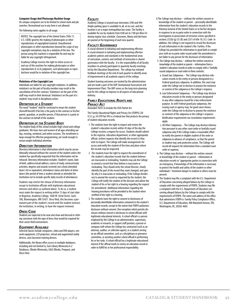#### <span id="page-46-0"></span>**Computer Usage And Photocopy Machine Usage**

On campus computers are to be limited to school work and job searches. Recreational use in any form is not allowed.

The following notice applies to all usage.

NOTICE: The copyright law of the United States (Title 17, U.S. CODE) governs the making of photocopies or other reproductions of copyrighted material. Unauthorized photocopies or other reproductions beyond the scope of any copyright exemptions may be a violation of the law. The person using this machine is responsible for and may be liable for any copyright infringement.

Academy College reserves the right to refuse access to and use of this machine for making photocopies or other reproductions if, in its judgment, such photocopies or reproductions would be in violation of the copyright law.

#### **Violations of the Copyright Law**

Individuals are liable for any copyright violations. In addition, violation/s on the part of faculty member may result in the cancellation of his/her contract. Violation/s on the part of the staff may result in their dismissal. Violation/s on the part of a student/ may result in disciplinary action.

#### *Definition of <sup>a</sup> Student*

The word "student" shall be construed to mean the student (himself/herself) if he/she is the party to the contract or his/her parent, guardian, or another person, if that person is a party to the contract on behalf of the student.

#### *Definition of the Student Body*

The student body of this school includes high school and college graduates. We have men and women of all ages attending our day, evening, weekend, and online sessions. The enrollment is large enough for effective programming, yet small enough to ensure ample individual attention.

#### *Directory Information*

Directory information is that information which may be unconditionally released without the consent of the student unless the student has specifically requested that the information not be released. Directory information includes: Student's name, date of birth, address/email address; course of study; extracurricular activities; degrees and awards received; last school attended; dean's list or equivalent; attendance status and dates of attendance (the period of time a student attends or attended the Institution not to include specific daily records of attendance).

Students may restrict the release of Directory information except to Institution officials with legitimate educational interests and others as outlined above. To do so, a student must make the request in writing within 15 days of start date to Registrar, Academy College, 1600 W. 82nd Street, Suite 100, Bloomington, MN 55431. Once filed, this becomes a permanent part of the student's record until the student instructs the Institution, in writing, to have the request removed.

#### *Dress Code*

Students are expected to be neat and clean and dressed in clothing consistent with the type of dress that would be required for their career field environment.

#### *Equipment Available*

Selected classes include computers, video and DVD players, network equipment, LCD projectors, virtual and augmented reality devices, and classroom training devices.

Additionally, the library offers access to multiple databases, including and not limited to, East Library Minnesota A-Z Databases, EBooks Minnesota, GALE EBooks, Proquest, and Ebsco Host.

#### *Facility*

Academy College is located near interstates 35W and 494. Ample parking space is available to all, at no cost, and the location is on a major metropolitan bus route. The facility is available for use by students from 8:00 am to 7:00 pm Mon-Fri during regular class schedule. Classroom, library and lab hours are posted at the beginning of each new quarter.

#### *Faculty Governance*

A crucial element in initiating and implementing effective A crucial element in initiating and implementing effective academic policies and standards in the fundamental areas of curriculum, content, and methods of instruction is shared governance with the faculty. It is the responsibility of all faculty members to actively participate in quarterly faculty meetings led by the Education Department. The college has initiated feedback meetings at the end of each quarter to identify areas of improvement in all academic aspects of the college.

Student learning outcomes are tracked by the administration and are made a part of the IAIP (Institutional Assessment and Improvement Plan). The IAIP serves as the long term planning tool for the college to improve in all aspects of educational delivery.

#### *Family Educational Rights and Privacy Act*

Amended 10/01 to include the USA Patriot Act

The Family Educational Rights and Privacy Act (FERPA) (20 U.S.C.g; 34 CFR Part 99) is a Federal law that protects the privacy of student education records.

- 1. The students have the right to inspect and review the student's education records within 45 days of the day the College receives a request for access. Students should submit to the registrar, education department, or other appropriate official, written requests that identify the record (s) they wish to inspect. The College will make arrangements for access and notify the student of the time and place where the records may be inspected.
- 2. The students have the right to request the amendment of the student's education records that the student believes are inaccurate or misleading. Students may ask the College to amend a record that they believe is inaccurate or misleading. They should write the school Director, clearly identify the part of the record they want changed, and specify why it is inaccurate or misleading. If the College decides not to amend the record as requested by the student, the College will notify the student of the decision and advise the student of his or her right to a hearing regarding the request for amendment. Additional information regarding the hearing procedures will be provided to the student when notified of the right to a hearing.
- 3. The students have the right to consent to disclosures of personally identifiable information contained in the student's education records, except to the extent that FERPA authorizes disclosure without consent. One exception which permits disclosure without consent is disclosure to school officials with legitimate educational interests. A school official is a person employed by the College in an administrative, supervisory, academic or research, or support staff position; a person or company with whom the College has contracted (such as an attorney, auditor, or collection agent); or a student serving on an official committee, such as a disciplinary or grievance committee, or assisting another school official in performing his or her tasks. A school official has a legitimate educational interest if the official needs to review an education record in order to fulfill his or her professional responsibility.
- 4. The College may disclose without the written consent or knowledge of the student or parent – personally identifiable information from the student's education records to the Attorney General of the United States or to his/her designee in response to an ex parte order in connection with the investigation or prosecution of terrorism crimes specified in sections 2332b (g) (5) (B) and 2331 of title 18, U.S. Code. In addition, the College is not required to record the disclosure of such information in the student's file. Further, if the College has provided this information in good faith in compliance with an ex parte order issued under the amendment is not liable to any person for the disclosure of information.
- 5. The College may disclose without the written consent or knowledge of the student or parent – information from a student's education records in order to comply with a "lawfully issued subpoena or court order in three contexts:
	- a. Grand Jury Subpoenas The College may disclose education records to the entity or persons designated in a Federal grand jury subpoena. In addition, the court may order the College not to disclose to anyone the existence or context of the subpoena or the College's response.
	- b. Law Enforcement Subpoenas The College may disclose education records to the entity or persons designated in any other subpoena issued for a law enforcement purpose. As with Federal grand jury subpoenas, the issuing court or agency may, for good cause shown, order the College not to disclose to anyone the existence or contents of the subpoena or the College's response. Notification requirements nor recordation requirements apply.
	- c. All Other Subpoenas The College may disclose information pursuant to any other court order or lawfully issued subpoena only if the College makes a reasonable effort to notify the parent or eligible student of the order or subpoena in advance of compliance, so that the parent or student may seek protective action. The College will record all requests for information from a standard court order or supoena.
- 6. The College may disclose without the written consent or knowledge of the student or parent – information in education records to "appropriate parties in connection with an emergency, if knowledge of the information is necessary to protect the health and safety of the student or other individuals." Imminent danger to student or others must be present.
- 7. The Student may file a complaint with the U.S. Department of Education concerning alleged failures by the College to comply with the requirements of FERPA. Students may file a complaint with the U.S. Department of Education concerning alleged failures by the College to comply with the requirements of FERPA. The name and address of the office that administers FERPA is: Family Policy Compliance Office, U.S. Department of Education, 400 Maryland Avenue, SW, Washington, DC, 20202-4605.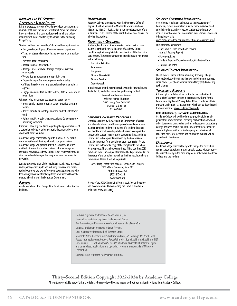#### <span id="page-47-0"></span>*Internet and PC Systems Acceptable Usage Policy*

It is the expressed interest of Academy College to extract maximum benefit from the use of the Internet. Since the Internet is not a self regulating communication channel, the college requires its students and faculty to adhere to the following Usage Policy.

Students will not use the college's bandwidth or equipment to:

- •Send, receive, or display offensive messages or pictures • Transmit obscene language in any electronic communication
- •Purchase goods or services
- Harass, insult, or attack others
- Damage, alter, or invade foreign computer systems or networks
- Violate license agreements or copyright laws
- Engage in any self-promoting commercial activity
- Affiliate the school with any particular religious or political agenda
- Engage in any use that violates federal, state, or local law or regulations

With regard to on-campus use, students agree not to:

- Intentionally subvert or cancel school provided virus protection
- Delete, modify, or sabotage another student's electronic work
- Delete, modify, or sabotage any Academy College property (including software)

If students have any questions regarding the appropriateness of a particular website or other electronic document, they should check with their instructor.

Academy College reserves the right to monitor all electronic communications originating within its computer networks. Academy College will provide antivirus software and other methods of protecting student networks from damage and intrusion; however, Academy College is not responsible for any direct or indirect damages that may arise from the use of its networks.

Sanctions: Any violation of the regulations listed above may result in disciplinary action, up to and including dismissal and prosecution by appropriate law enforcement agencies. Any party who feels wrongly accused of violating these provisions will have the right to a hearing with the Education Department.

#### *Parking*

Academy College offers free parking for students in front of the building.

#### *Registration*

Academy College is registered with the Minnesota Office of Higher Education pursuant to Minnesota Statutes sections 136A.61 to 136A.71. Registration is not an endorsement of the institution. Credits earned at the institution may not transfer to all other institutions.

#### *Reporting <sup>a</sup> Grievance*

Students, faculty, and other interested parties having complaints regarding the overall policies of Academy College should bring their complaints to the attention of the Education Department. These complaints could include but are not limited to the following:

- Education Activities
- Admissions
- Equipment
- •Student Financial Aid
- •Student Services
- Grade Appeals

If it is believed that the complaints have not been satisfied, students, faculty and other interested parties may contact:

Research and Program Services Office of Higher Education 1450 Energy Park, Suite 350 St. Paul, MN, 55108 651.642.0533

#### *Student Complaint Procedure*

Schools accredited by the Accrediting Commission of Career Schools and Colleges must have a procedure and operational plan for handling student complaints. If a student does not feel that the school has adequately addressed a complaint or concern, the student may consider contacting the Accrediting Commission. All complaints reviewed by the Commission must be in written form and should grant permission for the Commission to forward a copy of the complaint to the school for a response. This can be accomplished filling out the ACCSC complaint form. The complaintent(s) will be kept informed as to the status of the complaint as well as the final resolution by the commission. Please direct all inquiries to:

Accrediting Commission of Career Schools and Colleges 2102 Wilson Boulevard, Suite 302 Arlington, VA 22201 (703) 247-4212 www.accsc.org

A copy of the ACCSC Complaint Form is available at the school and may be obtained by c[o](www.academycollege.edu/resources/student-services )ntacting the Campus Director, or online at: www.accsc.org

#### *Student Consumer Information*

According to regulations published by the Department of Education, certain information must be made available to all enrolled students and prospective students. Students may request a hard copy of this information from Student Services or Admissions or visit:

### www.academycollege.edu/registrar/student-consumer-info/

#### This information includes:

- The Campus Crime Report and Policies
- (Annual Security Report)
- Placement Rates
- •Student Right-to-Know Completion/Graduation Rates
- Transfer Out Rates

#### *Student Contact Information*

The student is responsible for informing Academy College Student Services office of any changes in their name, address, email address, or phone number within thirty (30) days of any such change.

#### *Transcript Requests*

A transcript is confidential and not to be released without the student's written consent in accordance with the Family Educational Rights and Privacy Act of 1974. To order an official transcript, fill out our transcript form which can be downloaded from our website: <www.academycollege.edu>

#### **Hold of Diploma(s), Transcripts and Related Items**

Academy College will withhold transcripts, the diploma, eligibility for Commencement Ceremony participation and/or all other documents or materials until all indebtedness to Academy College has been paid in full. In the event that the delinquent account is placed with an outside agency for collection, all collection costs, attorney fees and court costs incurred will be passed on to the student.

#### *Disclosure*

Academy College reserves the right to change the curriculum, course schedules, tuition, and/or cancel a course without notice. The current catalog is the current agreement between Academy College and the student.

Flash is a registered trademark of Adobe Systems, Inc.

- Java and Javascript are registered trademarks of Oracle.
- A+, Network+, and Server+ are registered trademarks of CompTIA.
- Linux is a trademark registered to Linus Torvalds.
- Unix is a registered trademark of The Open Group.

Microsoft, Active Directory, MOUS Certification Exam, MS Exchange, MS Word, Excel, Access, Internet Explorer, Outlook, PowerPoint, VBscript, Visual Basic, Visual Basic .NET, DOS, Visual C++, .Net, Windows Server, MS Windows, Microsoft Jet Database Engine, and other related applications and operating systems are trademarks of Microsoft Corporation.

Quickbooks is a registered trademark of Intuit Inc.

**Thirty-Second Edition Copyright 2022-2024 by Academy College** All rights reserved. No part of this material may be reproduced by any means without permission in writing from Academy College.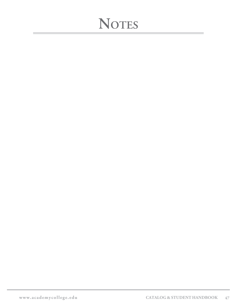# **NOTES**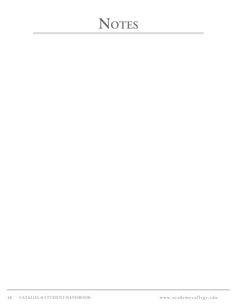# **NOTES**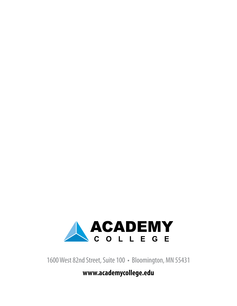![](_page_51_Picture_0.jpeg)

1600 West 82nd Street, Suite 100 • Bloomington, MN 55431

**www.academycollege.edu**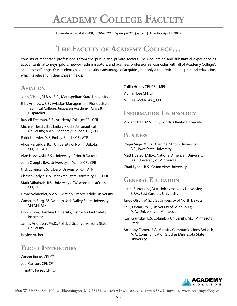Addendum to Catalog #31; 2020-2022 | Spring 2022 Quarter | Effective April 4, 2022 Addendum to Catalog #31; 2020–2022 | Spring 2022 Quarter | Effective April 4, 2022

# THE FACULTY OF ACADEMY COLLEGE...

**THE FACULTY OF ACADEMY COLLEGE…** consists of respected professionals from the public and private sectors. Their education and substantial experience as DPOTJTUT PG SFTQFDUFE QSPGFTTJPOBMT GSPN UIF QVCMJD BOE QSJWBUF TFDUPST 5IFJS FEVDBUJPO BOE TVCTUBOUJBM FYQFSJFODF BT BDDPVOUBOUT academic offerings. Our students have the distinct advantage of acquiring not only a theoretical but a practical education, which is relevant in their chosen fields. accountants, attorneys, pilots, network administrators, and business professionals, coincides with all of Academy College's

# **AVIATION**

- John O'Neill, M.B.A., B.A., Metropolitan State University
- #
#
-3
%\$
#
# Elias Andrews, B.S., Aviation Management, Florida State Technical College; Jeppesen Academy; Aircraft Dispatcher **Exercise Service Service**
- ausell Frooman, B.C., Asademy College: CEL CELL Russell Freeman, B.S., Academy College; CFI; CFII
- Michael Heath, B.S., Embry Riddle Aeronautical University; A.A.S., Academy College; CFI; CFII
- Patrick Lawler, M.S, Embry Riddle; CFI; ATP
- Alicia Partridge, B.S., University of North Dakota;<br>CEL CEIL ATR CFI; CFII; ATP
- Alan Horzewski, B.S., University of North Dakota
- John Clough, B.A., University of Maine; CFI; CFII
- Nick Lorence, B.S., Liberty University; CFI; ATP
- Chasen Carlyle, B.S., Mankato State University; CFI; CFII
- Mark Mihalovic, B.S. University of Wisconsin LaCrosse;<br>CFI: CFII CFI; CFII
	- David Schneider, A.A.S., Aviation, Embry Riddle University
	- Cameron Burg, BS Aviation Utah Valley State University, CFI CFII ATP
	- Don Brown, Hamline University, Instructor FAA Safety Inspector
	- James Andresen, Ph.D., Political Science, Arizona State **University**
	- Haylee Archer

# **Flight Instructors**

Carson Burke, CFI; CFII Joel Carlson, CFI; CFII Timothy Ferrel, CFI; CFII **BUSINESS"/%"\$\$06/5\*/(** Collin Huiras CFI; CFII; MEI Vichian Lee CFI; CFII **Australian Communist Communist Communist**  $\mathbf{B} = \mathbf{B} \mathbf{B} + \mathbf{B} \mathbf{B}$ Michael McCloskey, CFI

# **INFORMATION TECHNOLOGY**

Roger Sage, M.B.A., Cardinal Stritch University; B.S., Iowa State Vincent Tran, M.S., B.S., Florida Atlantic University

# **Business**

- Roger Sage, M.B.A., Cardinal Stritch University; B.S., Iowa State University
- Matt Hustad, M.B.A., National American University; B.A., University of Minnesota

Chad Lynch, B.S., Grand View University

#### ENIEDAI FINICATION GENERAL EDUCATION

- Laura Burroughs, M.A., Johns Hopkins University; B.F.A., East Carolina University
- Jarod Olson, M.S., B.S., University of North Dakota
- Kelly Oman, Ph.D, University of Saint Louis; M.A., University of Minnesota
- Kurt Grunzke, B.S. Columbia University; M.S. Minnesota State
- Anthony Comer, B.A. Ministry Communications Antioch; M.A. Communication Studies Minnesota State University

![](_page_52_Picture_36.jpeg)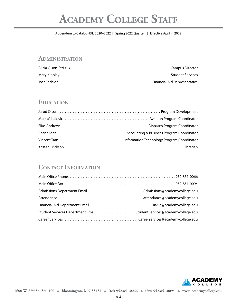# **Academy College Staff**

Addendum to Catalog #31; 2020-2022 | Spring 2022 Quarter | Effective April 4, 2022 Addendum to Catalog #31; 2020–2022 | Spring 2022 Quarter | Effective April 4, 2022

# $A$  **DMINISTRATION**

# **EDUCATION**

# **Contact Information**

![](_page_53_Picture_8.jpeg)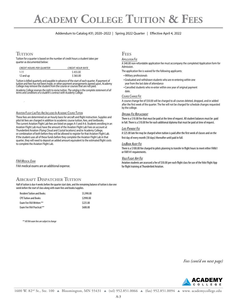# **Academy College Tuition & Fees**

# Addendum to Catalog #31; 2020-2022 | Spring 2022 Quarter | Effective April 4, 2022 Addendum to Catalog #31; 2020–2022 | Spring 2022 Quarter | Effective April 4, 2022

"EEFS" | Summer 2020 | Summer 2018 | Summer 2018 | Summer 2018 | Summer 2018 | Summer 2018 | Summer 2018 | Summer

"EEFS" | Summer 2020 | Summer 2018 | Summer 2018 | Summer 2018 | Summer 2018 | Summer 2018 | Summer 2018 | Summer

"EEFS" | Summer 2020 | Summer 2018 | Summer 2018 | Summer 2018 | Summer 2018 | Summer 2018 | Summer 2018 | Summer

# **TUITION TUITION**

**THER**<br> **THE EXULTION**<br>
SUPPLICATION FEE quarter as documented below:

| <b>CREDIT HOURS PER OUARTER</b> | <b>CREDIT HOUR RATE</b> | Admission.                                                  |
|---------------------------------|-------------------------|-------------------------------------------------------------|
|                                 | 5455.00                 | The application fee is waived for the following applicants: |
| 2 and up                        | 365.00                  | • Military professionals                                    |

Tuition is billed quarterly and payable in advance of the start of each quarter. If payment of<br>tuition and fees has not been made, or other nayment arrangements agreed upon. Academy, +PIO0/FJMM
.#"
#"
.FUSPQPMJUBO4UBUF6OJWFSTJUZ tuition and fees has not been made, or other payment arrangements agreed upon, Academy<br>College may remove the student from the course or courses that are not paid.

Academy College reserves the right to revise tuition. The catalog is the complete statement of all<br>terms and conditions of a student's contract with Academy College.

### <u> Aviation Flight Lab Fees Are Included In Academic Course Tuition</u>

These fees are determined on an hourly basis for aircraft and flight instruction. Supplies and phot Kit lees are charged in addition to academic course tunion, lees, and textbooks.<br>The current Aviation Flight Lab fees are listed on pages A-5 and A-6. Students enrolling in an the cartent/wildom right cab fees are isted on pages its sind it of statents emoning in<br>Aviation Flight Lab must have the amount of the Aviation Flight Lab Fees on account at Thunderbird Aviation (Flying Cloud and Crystal locations) and/or Academy College, In the student uses all of these funds before they complete the Aviation might cab in that<br>quarter, they will need to deposit an added amount equivalent to the estimated flight costs pilot kit fees are charged in addition to academic course tuition, fees, and textbooks. pilot kit fees are charged in addition to academic course tuition, fees, and textbooks. or combination of both before they will be allowed to register for that Aviation Flight Lab. If the student uses all of these funds before they complete the Aviation Flight Lab in that to complete the Aviation Flight Lab.

<u>FAA Medical Exam</u>

FAA medical exams are an additional expense FAA medical exams are an additional expense

# **AIRCRAFT DISPATCHER TUITION AIRCRAFT DISPATCHER TUITION**

Half of tuition is due 4 weeks before the quarter start date, and the remaining balance of tuition is due one<br>week hefore the start of class along with exam fees and books/supplies week before the start of class along with exam fees and books/supplies.

| <b>Resident Tuition and Books:</b> | \$5,990.00 |
|------------------------------------|------------|
| <b>CPF Tuition and Books:</b>      | \$2990.00  |
| <b>Exam Fee FAA Written:</b> **    | \$225.00   |
| <b>Exam Fee FAA Practical:**</b>   | \$600.00   |

f"VEJUPQUJPOBWBJMBCMFGPSDVSSFOUMZMJDFOTFEEJTQBUDIFSTTFFLJOHDVSSFODZ f"VEJUPQUJPOBWBJMBCMFGPSDVSSFOUMZMJDFOTFEEJTQBUDIFSTTFFLJOHDVSSFODZ  *\*\* All FAA exam fees are subject to change*

# **FEES FEES**

#### <u>Application Fee</u>

CREDIT HOURS PER QUARTER GREDIT GOUR RATE THE SERVID BOE DISSION. IN BOE TO BOE TO BOE TOTALLY BE GREEN THOUR RATE A \$40.00 non-refundable application fee must accompany the completed Application form for Admission.

- Military professionals
- Graduated and withdrawn students who are re-entering within one<br>year from the last date of attendance year from the last date of attendance
- Cancelled students who re-enter within one year of original payment #4
4U\$MPVE4UBUF6OJWFSTJUZ#"
4U0MBG\$PMMFHF\$1". date.

#### the *Change Fee* extending the state of the state of the state of the state of the state of the state of the state of the state of the state of the state of the state of the state of the state of the state of the state of <u>Course Change Fee</u>

A course change fee of \$50.00 will be charged to all courses deleted, dropped, and/or added after the first week of the quarter. The fee will not be charged for schedule changes requested<br>by the college. .JOOFTPUB by the college.

#### Diploma Fee Replacement

There is a \$10.00 fee that must be paid at the time of request. All student balances must be paid Roger Sage, M.B.A., Cardinal Stritch University; B.S., Iowa State in full. There is a \$10.00 fee for each additional diploma that must be paid at time of request. EVEL USE STEDEN STEDEN TE STEDEN DE STEDEN BRAND PRODUCES PRESENT DE STEDEN STEDEN STEDEN STEDEN STEDEN STEDEN EVFUPGBJMJOHPSXJUIESBXJOHGSPNBDPVSTFPSFMFDUJOHOPUUPSFHJTUFSGPSBQSFWJPVTMZPGGFSFE

#### <u>Late Payment Fee</u>

 $\mathcal{S}_{\mathcal{S}}$  of overviewenth (20 days) thereafter until naid in full first day of every month (30 days) thereafter until paid in full. <u>bourse and the set of the set of the set of the set of the set of the set of the set of the set of the set of the set of the set of the set of the set of the set of the set of the set of the set of the set of the set of t</u> A yestoo late ree may be enarged when tunnon is paid anter the mst week or classes and on the <u>December 200</u><br>Adaptasi Leopold Politics December 2001 A \$25.00 late fee may be charged when tuition is paid after the first week of classes and on the<br>-

### LogBook Audit Fee

<u>EUGDOOR HODITTEE</u><br>There is a \$100.00 fee charged to pilots planning to transfer in flight hours to meet either FAR61 or FAR141 requirements.

#### $\mathbf{F}$  is the state of the state variable state  $\mathbf{F}$ <u>Volo Flight App Fee</u>  $\overline{P}$  is the state of the state version of the state  $\overline{P}$

Aviation students are assessed a fee of \$50.00 per each flight class for use of the Volo Flight App for flight training at Thunderbird Aviation.

*Fees (cont'd on next page)*

![](_page_54_Picture_33.jpeg)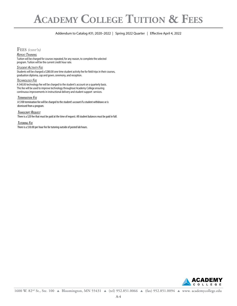# **Academy College Tuition & Fees**

# Addendum to Catalog #31; 2020-2022 | Spring 2022 Quarter | Effective April 4, 2022 **ACADEMY COLLEGE TUITION & F EES** Addendum to Catalog #31; 2020–2022 | Spring 2022 Quarter | Effective April 4, 2022

# **FEES** *(CONT'D)*

#### REPEAT TRAINING

**REPEAT TRAINING**<br>Tuition will be charged for courses repeated, for any reason, to complete the selected program. Tuition will be the current credit hour rate.

#### <u>Student Activity Fee</u>

Students will be charged a \$280.00 one time student activity fee for field trips in their courses, of the master that you allow the the mind character terms, you can also present the surface concerns.<br>graduation diploma, cap and gown, ceremony, and reception.

# **TECHNOLOGY FEE**

This fee will be used to improve technology throughout Academy College ensuring continuous improvements in instructional delivery and student support services.<br>-A \$40.00 technology fee will be charged to the student's account on a quarterly basis.

#### Termination Fee

A \$100 termination fee will be charged to the student's account if a student withdraws or is dismissed from a program. sterret territoristical programment odder potential potential potential potential potential potential potential potential potential potential potential potential potential potential potential potential potential potential

#### Transcript Request

There is a \$20 fee that must be paid at the time of request. All student balances must be paid in full.  $\,$ 

#### $5$  Fee **TUTORING FEE**

\$'\*
\*(\*
"(\* There is a \$50.00 per hour fee for tutoring outside of posted lab hours.

![](_page_55_Picture_15.jpeg)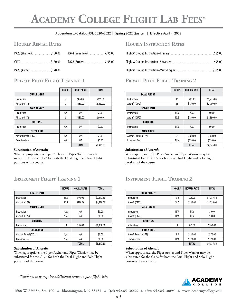# **Academy College Flight Lab Fees\***

# Addendum to Catalog #31; 2020-2022 | Spring 2022 Quarter | Effective April 4, 2022 Addendum to Catalog #31; 2020–2022 | Spring 2022 Quarter | Effective April 4, 2022

| PA28 (Warrior)\$150.00                                       |         | PA44 (Seminole) \$295.00              |                                                                 |                        |
|--------------------------------------------------------------|---------|---------------------------------------|-----------------------------------------------------------------|------------------------|
|                                                              |         | $(172$ \$180.00 PA28 (Arrow) \$195.00 |                                                                 |                        |
| $\mathsf{D}\Lambda\mathsf{D}\Omega$ / $\Lambda\ldots\Lambda$ | 6170.00 |                                       | Fitable 0. Corrected by stars at the Collection of the state of | $t$ <sub>10</sub> $r0$ |

# Private Pilot Flight Training 1

|                        | <b>HOURS</b> | <b>HOURLY RATE</b> | <b>TOTAL</b> |
|------------------------|--------------|--------------------|--------------|
| <b>DUAL FLIGHT</b>     |              |                    |              |
| Instruction            | 9            | \$85.00            | \$765.00     |
| Aircraft (C172)        | 9            | \$180.00           | \$1,620.00   |
| <b>SOLO FLIGHT</b>     |              |                    |              |
| Instruction            | N/A          | N/A                | \$0.00       |
| Aircraft (C172)        | .5           | \$180.00           | \$90.00      |
| <b>BRIEFING</b>        |              |                    |              |
| Instruction            | N/A          | N/A                | \$0.00       |
| <b>CHECK RIDE</b>      |              |                    |              |
| Aircraft Rental (C172) | N/A          | N/A                | \$0.00       |
| <b>Examiner Fee</b>    | N/A          | N/A                | \$0.00       |
|                        |              | <b>TOTAL</b>       | \$2,475.00   |

# Robert Merritt, Aircraft Dispatcher Certificate **Substitution of Aircraft:**

When appropriate, the Piper Archer and Piper Warrior may be substituted for the C172 for both the Dual Flight and Solo Flight portions of the course.

# **Instrument Flight Training 1**

|                        | <b>HOURS</b> | <b>HOURLY RATE</b> | <b>TOTAL</b> |
|------------------------|--------------|--------------------|--------------|
| <b>DUAL FLIGHT</b>     |              |                    |              |
| Instruction            | 26.5         | \$95.00            | \$2,517.50   |
| Aircraft (C172)        | 26.5         | \$180.00           | \$4,770.00   |
| <b>SOLO FLIGHT</b>     |              |                    |              |
| Instruction            | N/A          | N/A                | \$0.00       |
| Aircraft (C172)        | N/A          | N/A                | \$0.00       |
| <b>BRIEFING</b>        |              |                    |              |
| Instruction            | 14           | \$95.00            | \$1,330.00   |
| <b>CHECK RIDE</b>      |              |                    |              |
| Aircraft Rental (C172) | N/A          | N/A                | \$0.00       |
| <b>Examiner Fee</b>    | N/A          | N/A                | \$0.00       |
|                        |              | <b>TOTAL</b>       | \$8,617.50   |

#### **Substitution of Aircraft:**

When appropriate, the Piper Archer and Piper Warrior may be substituted for the C172 for both the Dual Flight and Solo Flight portions of the course.

*\*Students may require additional hours to pass flight labs*

# **Hourly Rental Rates Hourly Instruction Rates**

| PA28 (Warrior) \$150.00 | PA44 (Seminole) \$295.00                    |                                                            |  |
|-------------------------|---------------------------------------------|------------------------------------------------------------|--|
|                         | C172  \$180.00       PA28 (Arrow)  \$195.00 |                                                            |  |
| PA28 (Archer) \$170.00  |                                             | .5105.00 Flight & Ground Instruction-Multi-Engine \$105.00 |  |

# **PRIVATE PILOT FLIGHT TRAINING 2**

|                        | <b>HOURS</b>   | <b>HOURLY RATE</b> | <b>TOTAL</b> |
|------------------------|----------------|--------------------|--------------|
| <b>DUAL FLIGHT</b>     |                |                    |              |
| Instruction            | 15             | \$85.00            | \$1,275.00   |
| Aircraft (C172)        | 15             | \$180.00           | \$2,700.00   |
| <b>SOLO FLIGHT</b>     |                |                    |              |
| Instruction            | N/A            | N/A                | \$0.00       |
| Aircraft (C172)        | 10.5           | \$180.00           | \$1,890.00   |
| <b>BRIEFING</b>        |                |                    |              |
| Instruction            | N/A            | N/A                | \$0.00       |
| <b>CHECK RIDE</b>      |                |                    |              |
| Aircraft Rental (C172) | $\overline{2}$ | \$180.00           | \$360.00     |
| <b>Examiner Fee</b>    | N/A            | \$720.00           | \$720.00     |
|                        |                | <b>TOTAL</b>       | \$6,945.00   |

#### **Substitution of Aircraft:**

When appropriate, the Piper Archer and Piper Warrior may be substituted for the C172 for both the Dual Flight and Solo Flight portions of the course.

# **I**nstrument Flight Training 2

|                        | <b>HOURS</b> | <b>HOURLY RATE</b> | <b>TOTAL</b> |
|------------------------|--------------|--------------------|--------------|
| <b>DUAL FLIGHT</b>     |              |                    |              |
| Instruction            | 18.5         | \$95.00            | \$1,757.50   |
| Aircraft (C172)        | 18.5         | \$180.00           | \$3,330.00   |
| <b>SOLO FLIGHT</b>     |              |                    |              |
| Instruction            | N/A          | N/A                | \$0.00       |
| Aircraft (C172)        | N/A          | N/A                | \$0.00       |
| <b>BRIEFING</b>        |              |                    |              |
| Instruction            | 8            | \$95.00            | \$760.00     |
| <b>CHECK RIDE</b>      |              |                    |              |
| Aircraft Rental (C172) | 1.5          | \$180.00           | \$270.00     |
| <b>Examiner Fee</b>    | N/A          | \$720.00           | \$720.00     |
|                        |              | <b>TOTAL</b>       | \$6,837.50   |

#### **Substitution of Aircraft:**

When appropriate, the Piper Archer and Piper Warrior may be substituted for the C172 for both the Dual Flight and Solo Flight portions of the course.

![](_page_56_Picture_23.jpeg)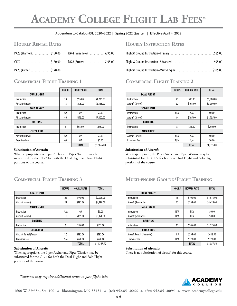# **Academy College Flight Lab Fees\***

# Addendum to Catalog #31; 2020-2022 | Spring 2022 Quarter | Effective April 4, 2022 Addendum to Catalog #31; 2020–2022 | Spring 2022 Quarter | Effective April 4, 2022

| PA28 (Warrior)\$150.00    |          | PA44 (Seminole) \$295.00 |                                                     |        |
|---------------------------|----------|--------------------------|-----------------------------------------------------|--------|
| $C172$ \$180.00           |          | PA28 (Arrow) \$195.00    |                                                     |        |
| PA <sub>28</sub> (Archer) | \$170.00 |                          | <b>Elight &amp; Ground Instruction-Multi-Engine</b> | ¢1በ5 በ |

# **COMMERCIAL FLIGHT TRAINING 1**

|                     | <b>HOURS</b> | <b>HOURLY RATE</b> | <b>TOTAL</b> |
|---------------------|--------------|--------------------|--------------|
| <b>DUAL FLIGHT</b>  |              |                    |              |
| Instruction         | 13           | \$95.00            | \$1,235.00   |
| Aircraft (Arrow)    | 13           | \$195.00           | \$2,535.00   |
| <b>SOLO FLIGHT</b>  |              |                    |              |
| Instruction         | N/A          | N/A                | \$0.00       |
| Aircraft (Arrow)    | 40           | \$195.00           | \$7,800.00   |
| <b>BRIEFING</b>     |              |                    |              |
| Instruction         | 5            | \$95.00            | \$475.00     |
| <b>CHECK RIDE</b>   |              |                    |              |
| Aircraft (Arrow)    | N/A          | N/A                | \$0.00       |
| <b>Examiner Fee</b> | N/A          | N/A                | \$0.00       |
|                     |              | <b>TOTAL</b>       | \$12,045.00  |

# Robert Merritt, Aircraft Dispatcher Certificate **Substitution of Aircraft:**

When appropriate, the Piper Archer and Piper Warrior may be substituted for the C172 for both the Dual Flight and Solo Flight portions of the course.

# **Commercial Flight Training 3**

|                         | <b>HOURS</b> | <b>HOURLY RATE</b> | <b>TOTAL</b> |
|-------------------------|--------------|--------------------|--------------|
| <b>DUAL FLIGHT</b>      |              |                    |              |
| Instruction             | 22           | \$95.00            | \$2,090.00   |
| Aircraft (Arrow)        | 22           | \$195.00           | \$4,290.00   |
| <b>SOLO FLIGHT</b>      |              |                    |              |
| Instruction             | N/A          | N/A                | \$0.00       |
| Aircraft (Arrow)        | 16           | \$195.00           | \$3,120.00   |
| <b>BRIEFING</b>         |              |                    |              |
| Instruction             | 9            | \$95.00            | \$855.00     |
| <b>CHECK RIDE</b>       |              |                    |              |
| Aircraft Rental (Arrow) | 1.5          | \$195.00           | \$292.50     |
| <b>Examiner Fee</b>     | N/A          | \$720.00           | \$720.00     |
|                         |              | <b>TOTAL</b>       | \$11,367.50  |

#### **Substitution of Aircraft:**

When appropriate, the Piper Archer and Piper Warrior may be substituted for the C172 for both the Dual Flight and Solo Flight portions of the course.

*\*Students may require additional hours to pass flight labs*

# **Hourly Rental Rates Hourly Instruction Rates**

| PA28 (Warrior) \$150.00 | PA44 (Seminole) \$295.00                    |                                                            |  |
|-------------------------|---------------------------------------------|------------------------------------------------------------|--|
|                         | C172  \$180.00       PA28 (Arrow)  \$195.00 |                                                            |  |
| PA28 (Archer) \$170.00  |                                             | .5105.00 Flight & Ground Instruction-Multi-Engine \$105.00 |  |

# **COMMERCIAL FLIGHT TRAINING 2**

|                     | <b>HOURS</b> | <b>HOURLY RATE</b> | <b>TOTAL</b> |
|---------------------|--------------|--------------------|--------------|
| <b>DUAL FLIGHT</b>  |              |                    |              |
| Instruction         | 20           | \$95.00            | \$1,900.00   |
| Aircraft (Arrow)    | 20           | \$195.00           | \$3,900.00   |
| <b>SOLO FLIGHT</b>  |              |                    |              |
| Instruction         | N/A          | N/A                | \$0.00       |
| Aircraft (Arrow)    | 9            | \$195.00           | \$1,755.00   |
| <b>BRIEFING</b>     |              |                    |              |
| Instruction         | 8            | \$95.00            | \$760.00     |
| <b>CHECK RIDE</b>   |              |                    |              |
| Aircraft (Arrow)    | N/A          | N/A                | \$0.00       |
| <b>Examiner Fee</b> | N/A          | N/A                | \$0.00       |
|                     |              | <b>TOTAL</b>       | \$8,315.00   |

#### **Substitution of Aircraft:**

When appropriate, the Piper Archer and Piper Warrior may be substituted for the C172 for both the Dual Flight and Solo Flight portions of the course.

#### $M$ ulti-engine Ground/Flight Training  $\frac{1}{2}$

|                            | <b>HOURS</b> | <b>HOURLY RATE</b> | <b>TOTAL</b> |
|----------------------------|--------------|--------------------|--------------|
| <b>DUAL FLIGHT</b>         |              |                    |              |
| Instruction                | 15           | \$105.00           | \$1,575.00   |
| Aircraft (Seminole)        | 15           | \$295.00           | \$4,425.00   |
| <b>SOLO FLIGHT</b>         |              |                    |              |
| Instruction                | N/A          | N/A                | \$0.00       |
| Aircraft (Seminole)        | N/A          | N/A                | \$0.00       |
| <b>BRIEFING</b>            |              |                    |              |
| Instruction                | 15           | \$105.00           | \$1,575.00   |
| <b>CHECK RIDE</b>          |              |                    |              |
| Aircraft Rental (Seminole) | 1.5          | \$295.00           | \$442.50     |
| <b>Examiner Fee</b>        | N/A          | \$720.00           | \$720.00     |
|                            |              | <b>TOTAL</b>       | \$8,857.50   |

#### **Substitution of Aircraft:**

There is no substitution of aircraft for this course.

![](_page_57_Picture_23.jpeg)